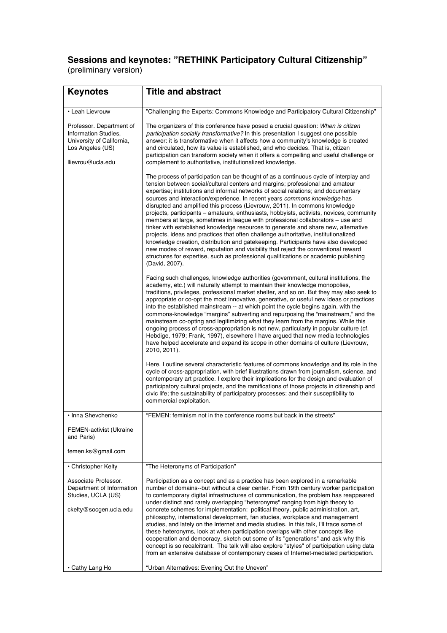### **Sessions and keynotes: "RETHINK Participatory Cultural Citizenship"** (preliminary version)

| <b>Keynotes</b>                                                                                                        | <b>Title and abstract</b>                                                                                                                                                                                                                                                                                                                                                                                                                                                                                                                                                                                                                                                                                                                                                                                                                                                                                                                                                                                                               |
|------------------------------------------------------------------------------------------------------------------------|-----------------------------------------------------------------------------------------------------------------------------------------------------------------------------------------------------------------------------------------------------------------------------------------------------------------------------------------------------------------------------------------------------------------------------------------------------------------------------------------------------------------------------------------------------------------------------------------------------------------------------------------------------------------------------------------------------------------------------------------------------------------------------------------------------------------------------------------------------------------------------------------------------------------------------------------------------------------------------------------------------------------------------------------|
|                                                                                                                        |                                                                                                                                                                                                                                                                                                                                                                                                                                                                                                                                                                                                                                                                                                                                                                                                                                                                                                                                                                                                                                         |
| • Leah Lievrouw                                                                                                        | "Challenging the Experts: Commons Knowledge and Participatory Cultural Citizenship"                                                                                                                                                                                                                                                                                                                                                                                                                                                                                                                                                                                                                                                                                                                                                                                                                                                                                                                                                     |
| Professor. Department of<br>Information Studies,<br>University of California,<br>Los Angeles (US)<br>llievrou@ucla.edu | The organizers of this conference have posed a crucial question: When is citizen<br>participation socially transformative? In this presentation I suggest one possible<br>answer: it is transformative when it affects how a community's knowledge is created<br>and circulated, how its value is established, and who decides. That is, citizen<br>participation can transform society when it offers a compelling and useful challenge or<br>complement to authoritative, institutionalized knowledge.<br>The process of participation can be thought of as a continuous cycle of interplay and<br>tension between social/cultural centers and margins; professional and amateur<br>expertise; institutions and informal networks of social relations; and documentary<br>sources and interaction/experience. In recent years <i>commons knowledge</i> has<br>disrupted and amplified this process (Lievrouw, 2011). In commons knowledge<br>projects, participants – amateurs, enthusiasts, hobbyists, activists, novices, community |
|                                                                                                                        | members at large, sometimes in league with professional collaborators - use and<br>tinker with established knowledge resources to generate and share new, alternative<br>projects, ideas and practices that often challenge authoritative, institutionalized<br>knowledge creation, distribution and gatekeeping. Participants have also developed<br>new modes of reward, reputation and visibility that reject the conventional reward<br>structures for expertise, such as professional qualifications or academic publishing<br>(David, 2007).                                                                                                                                                                                                                                                                                                                                                                                                                                                                                      |
|                                                                                                                        | Facing such challenges, knowledge authorities (government, cultural institutions, the<br>academy, etc.) will naturally attempt to maintain their knowledge monopolies,<br>traditions, privileges, professional market shelter, and so on. But they may also seek to<br>appropriate or co-opt the most innovative, generative, or useful new ideas or practices<br>into the established mainstream -- at which point the cycle begins again, with the<br>commons-knowledge "margins" subverting and repurposing the "mainstream," and the<br>mainstream co-opting and legitimizing what they learn from the margins. While this<br>ongoing process of cross-appropriation is not new, particularly in popular culture (cf.<br>Hebdige, 1979; Frank, 1997), elsewhere I have argued that new media technologies<br>have helped accelerate and expand its scope in other domains of culture (Lievrouw,<br>2010, 2011).                                                                                                                     |
|                                                                                                                        | Here, I outline several characteristic features of commons knowledge and its role in the<br>cycle of cross-appropriation, with brief illustrations drawn from journalism, science, and<br>contemporary art practice. I explore their implications for the design and evaluation of<br>participatory cultural projects, and the ramifications of those projects in citizenship and<br>civic life; the sustainability of participatory processes; and their susceptibility to<br>commercial exploitation.                                                                                                                                                                                                                                                                                                                                                                                                                                                                                                                                 |
| · Inna Shevchenko                                                                                                      | "FEMEN: feminism not in the conference rooms but back in the streets"                                                                                                                                                                                                                                                                                                                                                                                                                                                                                                                                                                                                                                                                                                                                                                                                                                                                                                                                                                   |
| FEMEN-activist (Ukraine<br>and Paris)<br>femen.ks@gmail.com                                                            |                                                                                                                                                                                                                                                                                                                                                                                                                                                                                                                                                                                                                                                                                                                                                                                                                                                                                                                                                                                                                                         |
| • Christopher Kelty                                                                                                    | "The Heteronyms of Participation"                                                                                                                                                                                                                                                                                                                                                                                                                                                                                                                                                                                                                                                                                                                                                                                                                                                                                                                                                                                                       |
| Associate Professor.<br>Department of Information<br>Studies, UCLA (US)<br>ckelty@socgen.ucla.edu                      | Participation as a concept and as a practice has been explored in a remarkable<br>number of domains--but without a clear center. From 19th century worker participation<br>to contemporary digital infrastructures of communication, the problem has reappeared<br>under distinct and rarely overlapping "heteronyms" ranging from high theory to<br>concrete schemes for implementation: political theory, public administration, art,<br>philosophy, international development, fan studies, workplace and management<br>studies, and lately on the Internet and media studies. In this talk, I'll trace some of<br>these heteronyms, look at when participation overlaps with other concepts like<br>cooperation and democracy, sketch out some of its "generations" and ask why this<br>concept is so recalcitrant. The talk will also explore "styles" of participation using data<br>from an extensive database of contemporary cases of Internet-mediated participation.                                                         |
| • Cathy Lang Ho                                                                                                        | "Urban Alternatives: Evening Out the Uneven"                                                                                                                                                                                                                                                                                                                                                                                                                                                                                                                                                                                                                                                                                                                                                                                                                                                                                                                                                                                            |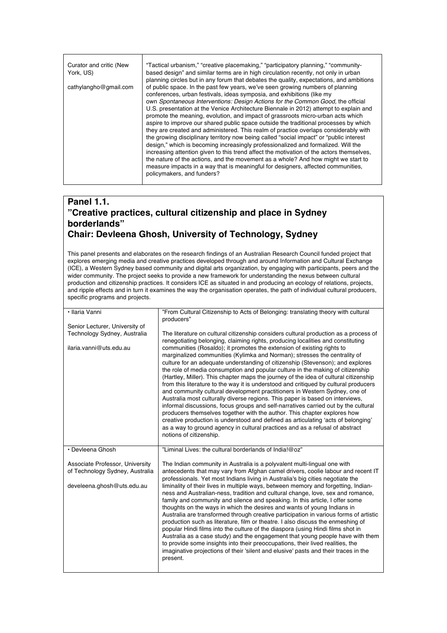| Curator and critic (New | "Tactical urbanism," "creative placemaking," "participatory planning," "community-       |
|-------------------------|------------------------------------------------------------------------------------------|
| York, US)               | based design" and similar terms are in high circulation recently, not only in urban      |
|                         | planning circles but in any forum that debates the quality, expectations, and ambitions  |
| cathylangho@gmail.com   | of public space. In the past few years, we've seen growing numbers of planning           |
|                         | conferences, urban festivals, ideas symposia, and exhibitions (like my                   |
|                         | own Spontaneous Interventions: Design Actions for the Common Good, the official          |
|                         | U.S. presentation at the Venice Architecture Biennale in 2012) attempt to explain and    |
|                         | promote the meaning, evolution, and impact of grassroots micro-urban acts which          |
|                         | aspire to improve our shared public space outside the traditional processes by which     |
|                         | they are created and administered. This realm of practice overlaps considerably with     |
|                         | the growing disciplinary territory now being called "social impact" or "public interest" |
|                         | design," which is becoming increasingly professionalized and formalized. Will the        |
|                         | increasing attention given to this trend affect the motivation of the actors themselves. |
|                         | the nature of the actions, and the movement as a whole? And how might we start to        |
|                         | measure impacts in a way that is meaningful for designers, affected communities,         |
|                         | policymakers, and funders?                                                               |
|                         |                                                                                          |

### **Panel 1.1. "Creative practices, cultural citizenship and place in Sydney borderlands" Chair: Devleena Ghosh, University of Technology, Sydney**

This panel presents and elaborates on the research findings of an Australian Research Council funded project that explores emerging media and creative practices developed through and around Information and Cultural Exchange (ICE), a Western Sydney based community and digital arts organization, by engaging with participants, peers and the wider community. The project seeks to provide a new framework for understanding the nexus between cultural wider production and citizenship practices. It considers ICE as situated in and producing an ecology of relations, projects, and ripple effects and in turn it examines the way the organisation operates, the path of individual cultural producers, specific programs and projects.

| · Ilaria Vanni                  | "From Cultural Citizenship to Acts of Belonging: translating theory with cultural<br>producers"                                                                                                                                                                                                                                                                                                                                                                                                                                                                                                                                                                                                                                                                                                                                                                                                                                                                                                                                          |
|---------------------------------|------------------------------------------------------------------------------------------------------------------------------------------------------------------------------------------------------------------------------------------------------------------------------------------------------------------------------------------------------------------------------------------------------------------------------------------------------------------------------------------------------------------------------------------------------------------------------------------------------------------------------------------------------------------------------------------------------------------------------------------------------------------------------------------------------------------------------------------------------------------------------------------------------------------------------------------------------------------------------------------------------------------------------------------|
| Senior Lecturer, University of  |                                                                                                                                                                                                                                                                                                                                                                                                                                                                                                                                                                                                                                                                                                                                                                                                                                                                                                                                                                                                                                          |
| Technology Sydney, Australia    | The literature on cultural citizenship considers cultural production as a process of<br>renegotiating belonging, claiming rights, producing localities and constituting                                                                                                                                                                                                                                                                                                                                                                                                                                                                                                                                                                                                                                                                                                                                                                                                                                                                  |
| ilaria.vanni@uts.edu.au         | communities (Rosaldo); it promotes the extension of existing rights to<br>marginalized communities (Kylimka and Norman); stresses the centrality of<br>culture for an adequate understanding of citizenship (Stevenson); and explores<br>the role of media consumption and popular culture in the making of citizenship<br>(Hartley, Miller). This chapter maps the journey of the idea of cultural citizenship<br>from this literature to the way it is understood and critiqued by cultural producers<br>and community cultural development practitioners in Western Sydney, one of<br>Australia most culturally diverse regions. This paper is based on interviews,<br>informal discussions, focus groups and self-narratives carried out by the cultural<br>producers themselves together with the author. This chapter explores how<br>creative production is understood and defined as articulating 'acts of belonging'<br>as a way to ground agency in cultural practices and as a refusal of abstract<br>notions of citizenship. |
| • Devleena Ghosh                | "Liminal Lives: the cultural borderlands of India!@oz"                                                                                                                                                                                                                                                                                                                                                                                                                                                                                                                                                                                                                                                                                                                                                                                                                                                                                                                                                                                   |
| Associate Professor, University | The Indian community in Australia is a polyvalent multi-lingual one with                                                                                                                                                                                                                                                                                                                                                                                                                                                                                                                                                                                                                                                                                                                                                                                                                                                                                                                                                                 |
| of Technology Sydney, Australia | antecedents that may vary from Afghan camel drivers, coolie labour and recent IT<br>professionals. Yet most Indians living in Australia's big cities negotiate the                                                                                                                                                                                                                                                                                                                                                                                                                                                                                                                                                                                                                                                                                                                                                                                                                                                                       |
| develeena.ghosh@uts.edu.au      | liminality of their lives in multiple ways, between memory and forgetting, Indian-<br>ness and Australian-ness, tradition and cultural change, love, sex and romance,<br>family and community and silence and speaking. In this article, I offer some<br>thoughts on the ways in which the desires and wants of young Indians in<br>Australia are transformed through creative participation in various forms of artistic<br>production such as literature, film or theatre. I also discuss the enmeshing of<br>popular Hindi films into the culture of the diaspora (using Hindi films shot in<br>Australia as a case study) and the engagement that young people have with them<br>to provide some insights into their preoccupations, their lived realities, the<br>imaginative projections of their 'silent and elusive' pasts and their traces in the<br>present.                                                                                                                                                                   |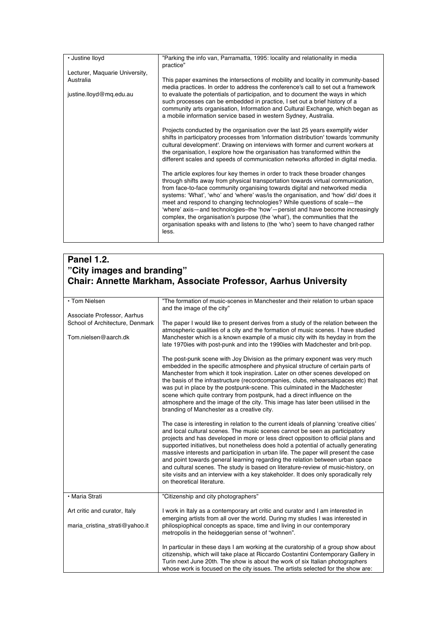| · Justine lloyd                | "Parking the info van, Parramatta, 1995: locality and relationality in media<br>practice"                                                                                                                                                                                                                                                                                                                                                                                                                                                                                                                                                                                 |
|--------------------------------|---------------------------------------------------------------------------------------------------------------------------------------------------------------------------------------------------------------------------------------------------------------------------------------------------------------------------------------------------------------------------------------------------------------------------------------------------------------------------------------------------------------------------------------------------------------------------------------------------------------------------------------------------------------------------|
| Lecturer, Maquarie University, |                                                                                                                                                                                                                                                                                                                                                                                                                                                                                                                                                                                                                                                                           |
| Australia                      | This paper examines the intersections of mobility and locality in community-based<br>media practices. In order to address the conference's call to set out a framework                                                                                                                                                                                                                                                                                                                                                                                                                                                                                                    |
| justine.lloyd@mq.edu.au        | to evaluate the potentials of participation, and to document the ways in which<br>such processes can be embedded in practice, I set out a brief history of a<br>community arts organisation, Information and Cultural Exchange, which began as<br>a mobile information service based in western Sydney, Australia.                                                                                                                                                                                                                                                                                                                                                        |
|                                | Projects conducted by the organisation over the last 25 years exemplify wider<br>shifts in participatory processes from 'information distribution' towards 'community<br>cultural development'. Drawing on interviews with former and current workers at<br>the organisation, I explore how the organisation has transformed within the<br>different scales and speeds of communication networks afforded in digital media.                                                                                                                                                                                                                                               |
|                                | The article explores four key themes in order to track these broader changes<br>through shifts away from physical transportation towards virtual communication,<br>from face-to-face community organising towards digital and networked media<br>systems: 'What', 'who' and 'where' was/ is the organisation, and 'how' did/ does it<br>meet and respond to changing technologies? While questions of scale—the<br>'where' axis-and technologies-the 'how'-persist and have become increasingly<br>complex, the organisation's purpose (the 'what'), the communities that the<br>organisation speaks with and listens to (the 'who') seem to have changed rather<br>less. |

### **Panel 1.2. "City images and branding" Chair: Annette Markham, Associate Professor, Aarhus University**

| • Tom Nielsen                   | "The formation of music-scenes in Manchester and their relation to urban space<br>and the image of the city"                                                                                                                                                                                                                                                                                                                                                                                                                                                                                                                                                                                                                         |
|---------------------------------|--------------------------------------------------------------------------------------------------------------------------------------------------------------------------------------------------------------------------------------------------------------------------------------------------------------------------------------------------------------------------------------------------------------------------------------------------------------------------------------------------------------------------------------------------------------------------------------------------------------------------------------------------------------------------------------------------------------------------------------|
| Associate Professor, Aarhus     |                                                                                                                                                                                                                                                                                                                                                                                                                                                                                                                                                                                                                                                                                                                                      |
| School of Architecture, Denmark | The paper I would like to present derives from a study of the relation between the<br>atmospheric qualities of a city and the formation of music scenes. I have studied                                                                                                                                                                                                                                                                                                                                                                                                                                                                                                                                                              |
| Tom.nielsen@aarch.dk            | Manchester which is a known example of a music city with its heyday in from the<br>late 1970ies with post-punk and into the 1990ies with Madchester and brit-pop.                                                                                                                                                                                                                                                                                                                                                                                                                                                                                                                                                                    |
|                                 | The post-punk scene with Joy Division as the primary exponent was very much<br>embedded in the specific atmosphere and physical structure of certain parts of<br>Manchester from which it took inspiration. Later on other scenes developed on<br>the basis of the infrastructure (recordcompanies, clubs, rehearsal spaces etc) that<br>was put in place by the postpunk-scene. This culminated in the Madchester<br>scene which quite contrary from postpunk, had a direct influence on the<br>atmosphere and the image of the city. This image has later been utilised in the<br>branding of Manchester as a creative city.                                                                                                       |
|                                 | The case is interesting in relation to the current ideals of planning 'creative cities'<br>and local cultural scenes. The music scenes cannot be seen as participatory<br>projects and has developed in more or less direct opposition to official plans and<br>supported initiatives, but nonetheless does hold a potential of actually generating<br>massive interests and participation in urban life. The paper will present the case<br>and point towards general learning regarding the relation between urban space<br>and cultural scenes. The study is based on literature-review of music-history, on<br>site visits and an interview with a key stakeholder. It does only sporadically rely<br>on theoretical literature. |
| • Maria Strati                  | "Citizenship and city photographers"                                                                                                                                                                                                                                                                                                                                                                                                                                                                                                                                                                                                                                                                                                 |
| Art critic and curator, Italy   | I work in Italy as a contemporary art critic and curator and I am interested in<br>emerging artists from all over the world. During my studies I was interested in                                                                                                                                                                                                                                                                                                                                                                                                                                                                                                                                                                   |
| maria_cristina_strati@yahoo.it  | philospiophical concepts as space, time and living in our contemporary<br>metropolis in the heideggerian sense of "wohnen".                                                                                                                                                                                                                                                                                                                                                                                                                                                                                                                                                                                                          |
|                                 | In particular in these days I am working at the curatorship of a group show about<br>citizenship, which will take place at Riccardo Costantini Contemporary Gallery in<br>Turin next June 20th. The show is about the work of six Italian photographers<br>whose work is focused on the city issues. The artists selected for the show are:                                                                                                                                                                                                                                                                                                                                                                                          |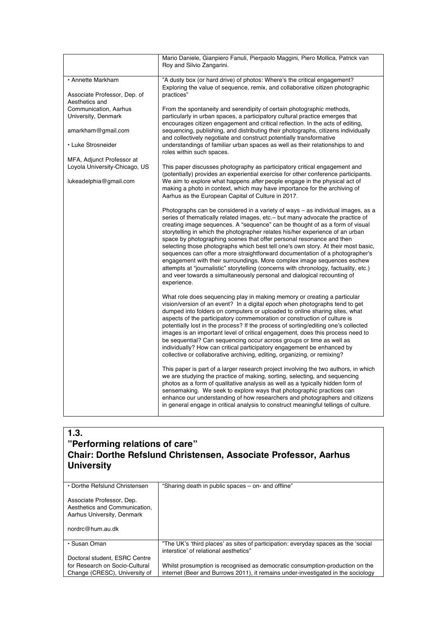|                                              | Mario Daniele, Gianpiero Fanuli, Pierpaolo Maggini, Piero Mollica, Patrick van<br>Roy and Silvio Zangarini.                                                                                                                                                                                                                                                                                                                                                                                                                                                                                                                                                                                                                                                                                                                                   |
|----------------------------------------------|-----------------------------------------------------------------------------------------------------------------------------------------------------------------------------------------------------------------------------------------------------------------------------------------------------------------------------------------------------------------------------------------------------------------------------------------------------------------------------------------------------------------------------------------------------------------------------------------------------------------------------------------------------------------------------------------------------------------------------------------------------------------------------------------------------------------------------------------------|
| • Annette Markham                            | "A dusty box (or hard drive) of photos: Where's the critical engagement?<br>Exploring the value of sequence, remix, and collaborative citizen photographic                                                                                                                                                                                                                                                                                                                                                                                                                                                                                                                                                                                                                                                                                    |
| Associate Professor, Dep. of                 | practices"                                                                                                                                                                                                                                                                                                                                                                                                                                                                                                                                                                                                                                                                                                                                                                                                                                    |
| Aesthetics and                               |                                                                                                                                                                                                                                                                                                                                                                                                                                                                                                                                                                                                                                                                                                                                                                                                                                               |
| Communication, Aarhus<br>University, Denmark | From the spontaneity and serendipity of certain photographic methods,<br>particularly in urban spaces, a participatory cultural practice emerges that<br>encourages citizen engagement and critical reflection. In the acts of editing,                                                                                                                                                                                                                                                                                                                                                                                                                                                                                                                                                                                                       |
| amarkham@gmail.com                           | sequencing, publishing, and distributing their photographs, citizens individually<br>and collectively negotiate and construct potentially transformative                                                                                                                                                                                                                                                                                                                                                                                                                                                                                                                                                                                                                                                                                      |
| • Luke Strosneider                           | understandings of familiar urban spaces as well as their relationships to and<br>roles within such spaces.                                                                                                                                                                                                                                                                                                                                                                                                                                                                                                                                                                                                                                                                                                                                    |
| MFA, Adjunct Professor at                    |                                                                                                                                                                                                                                                                                                                                                                                                                                                                                                                                                                                                                                                                                                                                                                                                                                               |
| Loyola University-Chicago, US                | This paper discusses photography as participatory critical engagement and<br>(potentially) provides an experiential exercise for other conference participants.                                                                                                                                                                                                                                                                                                                                                                                                                                                                                                                                                                                                                                                                               |
| lukeadelphia@gmail.com                       | We aim to explore what happens after people engage in the physical act of<br>making a photo in context, which may have importance for the archiving of<br>Aarhus as the European Capital of Culture in 2017.                                                                                                                                                                                                                                                                                                                                                                                                                                                                                                                                                                                                                                  |
|                                              | Photographs can be considered in a variety of ways – as individual images, as a<br>series of thematically related images, etc. – but many advocate the practice of<br>creating image sequences. A "sequence" can be thought of as a form of visual<br>storytelling in which the photographer relates his/her experience of an urban<br>space by photographing scenes that offer personal resonance and then<br>selecting those photographs which best tell one's own story. At their most basic,<br>sequences can offer a more straightforward documentation of a photographer's<br>engagement with their surroundings. More complex image sequences eschew<br>attempts at "journalistic" storytelling (concerns with chronology, factuality, etc.)<br>and veer towards a simultaneously personal and dialogical recounting of<br>experience. |
|                                              | What role does sequencing play in making memory or creating a particular<br>vision/version of an event? In a digital epoch when photographs tend to get<br>dumped into folders on computers or uploaded to online sharing sites, what<br>aspects of the participatory commemoration or construction of culture is<br>potentially lost in the process? If the process of sorting/editing one's collected<br>images is an important level of critical engagement, does this process need to<br>be sequential? Can sequencing occur across groups or time as well as<br>individually? How can critical participatory engagement be enhanced by<br>collective or collaborative archiving, editing, organizing, or remixing?                                                                                                                       |
|                                              | This paper is part of a larger research project involving the two authors, in which<br>we are studying the practice of making, sorting, selecting, and sequencing<br>photos as a form of qualitative analysis as well as a typically hidden form of<br>sensemaking. We seek to explore ways that photographic practices can<br>enhance our understanding of how researchers and photographers and citizens<br>in general engage in critical analysis to construct meaningful tellings of culture.                                                                                                                                                                                                                                                                                                                                             |

### **1.3. "Performing relations of care" Chair: Dorthe Refslund Christensen, Associate Professor, Aarhus University**

| • Dorthe Refslund Christensen                                                            | "Sharing death in public spaces – on- and offline"                                                                          |
|------------------------------------------------------------------------------------------|-----------------------------------------------------------------------------------------------------------------------------|
| Associate Professor, Dep.<br>Aesthetics and Communication.<br>Aarhus University, Denmark |                                                                                                                             |
| nordrc@hum.au.dk                                                                         |                                                                                                                             |
| • Susan Oman                                                                             | "The UK's 'third places' as sites of participation: everyday spaces as the 'social<br>interstice' of relational aesthetics" |
| Doctoral student, ESRC Centre                                                            |                                                                                                                             |
| for Research on Socio-Cultural                                                           | Whilst prosumption is recognised as democratic consumption-production on the                                                |
| Change (CRESC), University of                                                            | internet (Beer and Burrows 2011), it remains under-investigated in the sociology                                            |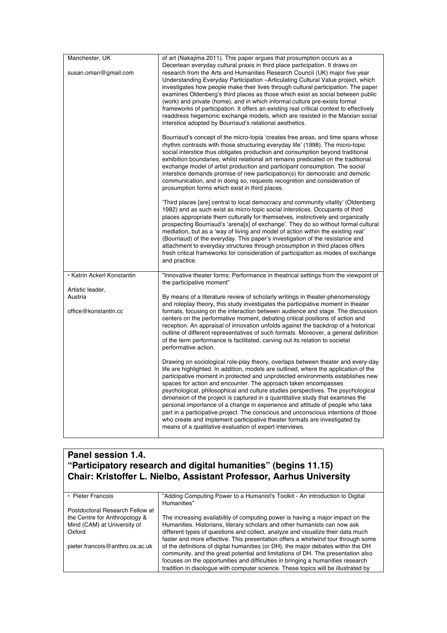| Manchester, UK<br>susan.oman@gmail.com | of art (Nakajima 2011). This paper argues that prosumption occurs as a<br>Decertean everyday cultural praxis in third place participation. It draws on<br>research from the Arts and Humanities Research Council (UK) major five year<br>Understanding Everyday Participation - Articulating Cultural Value project, which<br>investigates how people make their lives through cultural participation. The paper<br>examines Oldenberg's third places as those which exist as social between public<br>(work) and private (home), and in which informal culture pre-exists formal<br>frameworks of participation. It offers an existing real critical context to effectively<br>readdress hegemonic exchange models, which are resisted in the Marxian social<br>interstice adopted by Bourriaud's relational aesthetics. |
|----------------------------------------|---------------------------------------------------------------------------------------------------------------------------------------------------------------------------------------------------------------------------------------------------------------------------------------------------------------------------------------------------------------------------------------------------------------------------------------------------------------------------------------------------------------------------------------------------------------------------------------------------------------------------------------------------------------------------------------------------------------------------------------------------------------------------------------------------------------------------|
|                                        | Bourriaud's concept of the micro-topia 'creates free areas, and time spans whose<br>rhythm contrasts with those structuring everyday life' (1998). The micro-topic<br>social interstice thus obligates production and consumption beyond traditional<br>exhibition boundaries, whilst relational art remains predicated on the traditional<br>exchange model of artist production and participant consumption. The social<br>interstice demands promise of new participation(s) for democratic and demotic<br>communication, and in doing so, requests recognition and consideration of<br>prosumption forms which exist in third places.                                                                                                                                                                                 |
|                                        | 'Third places [are] central to local democracy and community vitality' (Oldenberg<br>1982) and as such exist as micro-topic social interstices. Occupants of third<br>places appropriate them culturally for themselves, instinctively and organically<br>prospecting Bourriaud's 'arena[s] of exchange'. They do so without formal cultural<br>mediation, but as a 'way of living and model of action within the existing real'<br>(Bourriaud) of the everyday. This paper's investigation of the resistance and<br>attachment to everyday structures through prosumption in third places offers<br>fresh critical frameworks for consideration of participation as modes of exchange<br>and practice.                                                                                                                   |
| • Katrin Ackerl Konstantin             | "Innovative theater forms: Performance in theatrical settings from the viewpoint of<br>the participative moment"                                                                                                                                                                                                                                                                                                                                                                                                                                                                                                                                                                                                                                                                                                          |
| Artistic leader,                       |                                                                                                                                                                                                                                                                                                                                                                                                                                                                                                                                                                                                                                                                                                                                                                                                                           |
| Austria<br>office@konstantin.cc        | By means of a literature review of scholarly writings in theater-phenomenology<br>and roleplay theory, this study investigates the participative moment in theater<br>formats, focusing on the interaction between audience and stage. The discussion<br>centers on the performative moment, debating critical positions of action and<br>reception. An appraisal of innovation unfolds against the backdrop of a historical<br>outline of different representatives of such formats. Moreover, a general definition<br>of the term performance is facilitated, carving out its relation to societal<br>performative action.                                                                                                                                                                                              |
|                                        | Drawing on sociological role-play theory, overlaps between theater and every-day<br>life are highlighted. In addition, models are outlined, where the application of the<br>participative moment in protected and unprotected environments establishes new<br>spaces for action and encounter. The approach taken encompasses<br>psychological, philosophical and culture studies perspectives. The psychological<br>dimension of the project is captured in a quantitative study that examines the<br>personal importance of a change in experience and attitude of people who take<br>part in a participative project. The conscious and unconscious intentions of those<br>who create and implement participative theater formats are investigated by<br>means of a qualitative evaluation of expert interviews.       |

# **Panel session 1.4. "Participatory research and digital humanities" (begins 11.15) Chair: Kristoffer L. Nielbo, Assistant Professor, Aarhus University**

| • Pieter Francois               | "Adding Computing Power to a Humanist's Toolkit - An introduction to Digital      |
|---------------------------------|-----------------------------------------------------------------------------------|
|                                 | Humanities"                                                                       |
| Postdoctoral Research Fellow at |                                                                                   |
| the Centre for Anthropology &   | The increasing availability of computing power is having a major impact on the    |
| Mind (CAM) at University of     | Humanities. Historians, literary scholars and other humanists can now ask         |
| Oxford                          | different types of questions and collect, analyze and visualize their data much   |
|                                 | faster and more effective. This presentation offers a whirlwind tour through some |
| pieter.francois@anthro.ox.ac.uk | of the definitions of digital humanities (or DH), the major debates within the DH |
|                                 | community, and the great potential and limitations of DH. The presentation also   |
|                                 | focuses on the opportunities and difficulties in bringing a humanities research   |
|                                 | tradition in diaologue with computer science. These topics will be illustrated by |
|                                 |                                                                                   |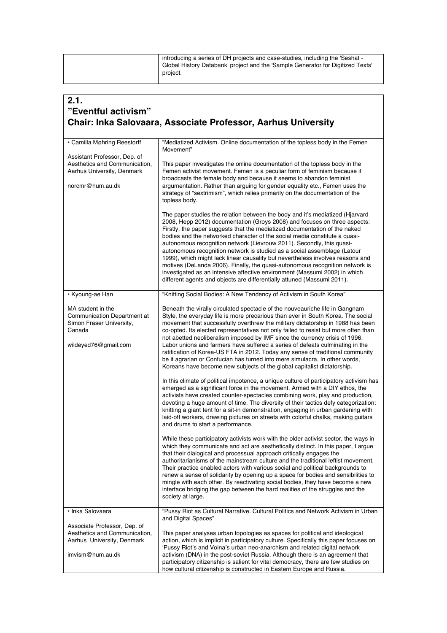| introducing a series of DH projects and case-studies, including the 'Seshat -<br>Global History Databank' project and the 'Sample Generator for Digitized Texts'<br>project. |
|------------------------------------------------------------------------------------------------------------------------------------------------------------------------------|
|                                                                                                                                                                              |

 $\mathbf{r}$ 

| 2.1.<br>"Eventful activism"                                                                                     | <b>Chair: Inka Salovaara, Associate Professor, Aarhus University</b>                                                                                                                                                                                                                                                                                                                                                                                                                                                                                                                                                                                                                                                                                                                                   |
|-----------------------------------------------------------------------------------------------------------------|--------------------------------------------------------------------------------------------------------------------------------------------------------------------------------------------------------------------------------------------------------------------------------------------------------------------------------------------------------------------------------------------------------------------------------------------------------------------------------------------------------------------------------------------------------------------------------------------------------------------------------------------------------------------------------------------------------------------------------------------------------------------------------------------------------|
| · Camilla Møhring Reestorff                                                                                     | "Mediatized Activism. Online documentation of the topless body in the Femen<br>Movement"                                                                                                                                                                                                                                                                                                                                                                                                                                                                                                                                                                                                                                                                                                               |
| Assistant Professor, Dep. of<br>Aesthetics and Communication,<br>Aarhus University, Denmark<br>norcmr@hum.au.dk | This paper investigates the online documentation of the topless body in the<br>Femen activist movement. Femen is a peculiar form of feminism because it<br>broadcasts the female body and because it seems to abandon feminist<br>argumentation. Rather than arguing for gender equality etc., Femen uses the<br>strategy of "sextrimism", which relies primarily on the documentation of the<br>topless body.                                                                                                                                                                                                                                                                                                                                                                                         |
|                                                                                                                 | The paper studies the relation between the body and it's mediatized (Hiarvard<br>2008, Hepp 2012) documentation (Groys 2008) and focuses on three aspects:<br>Firstly, the paper suggests that the mediatized documentation of the naked<br>bodies and the networked character of the social media constitute a quasi-<br>autonomous recognition network (Lievrouw 2011). Secondly, this quasi-<br>autonomous recognition network is studied as a social assemblage (Latour<br>1999), which might lack linear causality but nevertheless involves reasons and<br>motives (DeLanda 2006). Finally, the quasi-autonomous recognition network is<br>investigated as an intensive affective environment (Massumi 2002) in which<br>different agents and objects are differentially attuned (Massumi 2011). |
| • Kyoung-ae Han                                                                                                 | "Knitting Social Bodies: A New Tendency of Activism in South Korea"                                                                                                                                                                                                                                                                                                                                                                                                                                                                                                                                                                                                                                                                                                                                    |
| MA student in the<br>Communication Department at<br>Simon Fraser University,<br>Canada<br>wildeyed76@gmail.com  | Beneath the virally circulated spectacle of the nouveauriche life in Gangnam<br>Style, the everyday life is more precarious than ever in South Korea. The social<br>movement that successfully overthrew the military dictatorship in 1988 has been<br>co-opted. Its elected representatives not only failed to resist but more often than<br>not abetted neoliberalism imposed by IMF since the currency crisis of 1996.<br>Labor unions and farmers have suffered a series of defeats culminating in the<br>ratification of Korea-US FTA in 2012. Today any sense of traditional community<br>be it agrarian or Confucian has turned into mere simulacra. In other words,<br>Koreans have become new subjects of the global capitalist dictatorship.                                                 |
|                                                                                                                 | In this climate of political impotence, a unique culture of participatory activism has<br>emerged as a significant force in the movement. Armed with a DIY ethos, the<br>activists have created counter-spectacles combining work, play and production,<br>devoting a huge amount of time. The diversity of their tactics defy categorization:<br>knitting a giant tent for a sit-in demonstration, engaging in urban gardening with<br>laid-off workers, drawing pictures on streets with colorful chalks, making guitars<br>and drums to start a performance.                                                                                                                                                                                                                                        |
|                                                                                                                 | While these participatory activists work with the older activist sector, the ways in<br>which they communicate and act are aesthetically distinct. In this paper, I argue<br>that their dialogical and processual approach critically engages the<br>authoritarianisms of the mainstream culture and the traditional leftist movement.<br>Their practice enabled actors with various social and political backgrounds to<br>renew a sense of solidarity by opening up a space for bodies and sensibilities to<br>mingle with each other. By reactivating social bodies, they have become a new<br>interface bridging the gap between the hard realities of the struggles and the<br>society at large.                                                                                                  |
| · Inka Salovaara                                                                                                | "Pussy Riot as Cultural Narrative. Cultural Politics and Network Activism in Urban<br>and Digital Spaces"                                                                                                                                                                                                                                                                                                                                                                                                                                                                                                                                                                                                                                                                                              |
| Associate Professor, Dep. of<br>Aesthetics and Communication,<br>Aarhus University, Denmark<br>imvism@hum.au.dk | This paper analyses urban topologies as spaces for political and ideological<br>action, which is implicit in participatory culture. Specifically this paper focuses on<br>'Pussy Riot's and Voina's urban neo-anarchism and related digital network<br>activism (DNA) in the post-soviet Russia. Although there is an agreement that<br>participatory citizenship is salient for vital democracy, there are few studies on<br>how cultural citizenship is constructed in Eastern Europe and Russia.                                                                                                                                                                                                                                                                                                    |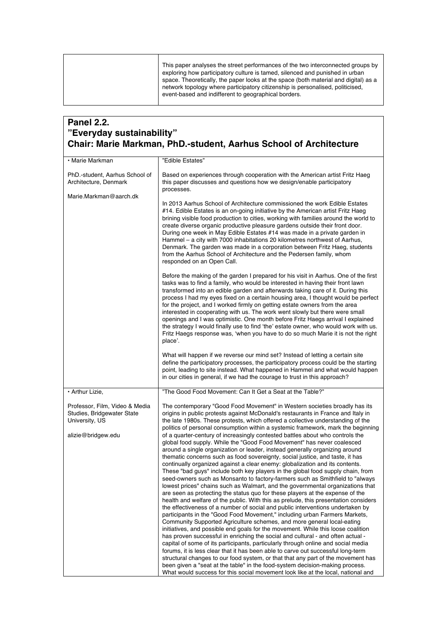This paper analyses the street performances of the two interconnected groups by exploring how participatory culture is tamed, silenced and punished in urban space. Theoretically, the paper looks at the space (both material and digital) as a network topology where participatory citizenship is personalised, politicised, event-based and indifferent to geographical borders.

### **Panel 2.2. "Everyday sustainability" Chair: Marie Markman, PhD.-student, Aarhus School of Architecture**

| • Marie Markman                                                                                      | "Edible Estates"                                                                                                                                                                                                                                                                                                                                                                                                                                                                                                                                                                                                                                                                                                                                                                                                                                                                                                                                                                                                                                                                                                                                                                                                                                                                                                                                                                                                                                                                                                                                                                                                                                                                                                                                                                                                                                                                                                                                                                                                                  |
|------------------------------------------------------------------------------------------------------|-----------------------------------------------------------------------------------------------------------------------------------------------------------------------------------------------------------------------------------------------------------------------------------------------------------------------------------------------------------------------------------------------------------------------------------------------------------------------------------------------------------------------------------------------------------------------------------------------------------------------------------------------------------------------------------------------------------------------------------------------------------------------------------------------------------------------------------------------------------------------------------------------------------------------------------------------------------------------------------------------------------------------------------------------------------------------------------------------------------------------------------------------------------------------------------------------------------------------------------------------------------------------------------------------------------------------------------------------------------------------------------------------------------------------------------------------------------------------------------------------------------------------------------------------------------------------------------------------------------------------------------------------------------------------------------------------------------------------------------------------------------------------------------------------------------------------------------------------------------------------------------------------------------------------------------------------------------------------------------------------------------------------------------|
| PhD.-student, Aarhus School of<br>Architecture, Denmark                                              | Based on experiences through cooperation with the American artist Fritz Haeg<br>this paper discusses and questions how we design/enable participatory<br>processes.                                                                                                                                                                                                                                                                                                                                                                                                                                                                                                                                                                                                                                                                                                                                                                                                                                                                                                                                                                                                                                                                                                                                                                                                                                                                                                                                                                                                                                                                                                                                                                                                                                                                                                                                                                                                                                                               |
| Marie.Markman@aarch.dk                                                                               | In 2013 Aarhus School of Architecture commissioned the work Edible Estates<br>#14. Edible Estates is an on-going initiative by the American artist Fritz Haeg<br>brining visible food production to cities, working with families around the world to<br>create diverse organic productive pleasure gardens outside their front door.<br>During one week in May Edible Estates #14 was made in a private garden in<br>Hammel – a city with 7000 inhabitations 20 kilometres northwest of Aarhus,<br>Denmark. The garden was made in a corporation between Fritz Haeg, students<br>from the Aarhus School of Architecture and the Pedersen family, whom<br>responded on an Open Call.                                                                                                                                                                                                                                                                                                                                                                                                                                                                                                                                                                                                                                                                                                                                                                                                                                                                                                                                                                                                                                                                                                                                                                                                                                                                                                                                              |
|                                                                                                      | Before the making of the garden I prepared for his visit in Aarhus. One of the first<br>tasks was to find a family, who would be interested in having their front lawn<br>transformed into an edible garden and afterwards taking care of it. During this<br>process I had my eyes fixed on a certain housing area, I thought would be perfect<br>for the project, and I worked firmly on getting estate owners from the area<br>interested in cooperating with us. The work went slowly but there were small<br>openings and I was optimistic. One month before Fritz Haegs arrival I explained<br>the strategy I would finally use to find 'the' estate owner, who would work with us.<br>Fritz Haegs response was, 'when you have to do so much Marie it is not the right<br>place'.                                                                                                                                                                                                                                                                                                                                                                                                                                                                                                                                                                                                                                                                                                                                                                                                                                                                                                                                                                                                                                                                                                                                                                                                                                           |
|                                                                                                      | What will happen if we reverse our mind set? Instead of letting a certain site<br>define the participatory processes, the participatory process could be the starting<br>point, leading to site instead. What happened in Hammel and what would happen<br>in our cities in general, if we had the courage to trust in this approach?                                                                                                                                                                                                                                                                                                                                                                                                                                                                                                                                                                                                                                                                                                                                                                                                                                                                                                                                                                                                                                                                                                                                                                                                                                                                                                                                                                                                                                                                                                                                                                                                                                                                                              |
| • Arthur Lizie,                                                                                      | "The Good Food Movement: Can It Get a Seat at the Table?"                                                                                                                                                                                                                                                                                                                                                                                                                                                                                                                                                                                                                                                                                                                                                                                                                                                                                                                                                                                                                                                                                                                                                                                                                                                                                                                                                                                                                                                                                                                                                                                                                                                                                                                                                                                                                                                                                                                                                                         |
| Professor, Film, Video & Media<br>Studies, Bridgewater State<br>University, US<br>alizie@bridgew.edu | The contemporary "Good Food Movement" in Western societies broadly has its<br>origins in public protests against McDonald's restaurants in France and Italy in<br>the late 1980s. These protests, which offered a collective understanding of the<br>politics of personal consumption within a systemic framework, mark the beginning<br>of a quarter-century of increasingly contested battles about who controls the<br>global food supply. While the "Good Food Movement" has never coalesced<br>around a single organization or leader, instead generally organizing around<br>thematic concerns such as food sovereignty, social justice, and taste, it has<br>continually organized against a clear enemy: globalization and its contents.<br>These "bad guys" include both key players in the global food supply chain, from<br>seed-owners such as Monsanto to factory-farmers such as Smithfield to "always"<br>lowest prices" chains such as Walmart, and the governmental organizations that<br>are seen as protecting the status quo for these players at the expense of the<br>health and welfare of the public. With this as prelude, this presentation considers<br>the effectiveness of a number of social and public interventions undertaken by<br>participants in the "Good Food Movement," including urban Farmers Markets,<br>Community Supported Agriculture schemes, and more general local-eating<br>initiatives, and possible end goals for the movement. While this loose coalition<br>has proven successful in enriching the social and cultural - and often actual -<br>capital of some of its participants, particularly through online and social media<br>forums, it is less clear that it has been able to carve out successful long-term<br>structural changes to our food system, or that that any part of the movement has<br>been given a "seat at the table" in the food-system decision-making process.<br>What would success for this social movement look like at the local, national and |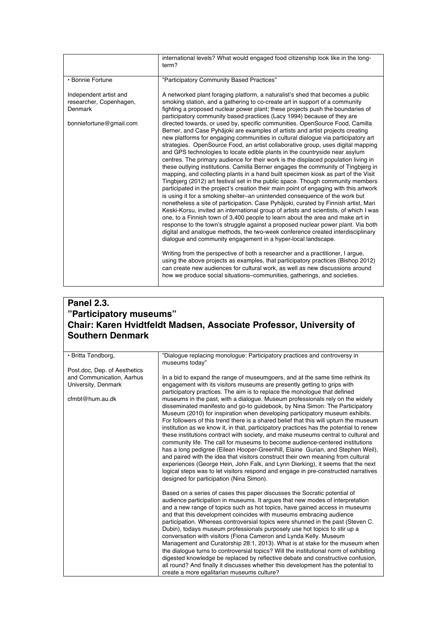| "Participatory Community Based Practices"<br>• Bonnie Fortune<br>Independent artist and<br>smoking station, and a gathering to co-create art in support of a community<br>researcher, Copenhagen,<br>Denmark<br>participatory community based practices (Lacy 1994) because of they are<br>bonniefortune@gmail.com<br>Berner, and Case Pyhäjoki are examples of artists and artist projects creating<br>and GPS technologies to locate edible plants in the countryside near asylum | international levels? What would engaged food citizenship look like in the long-<br>term?                                                                                                                                                                                                                                                                                                                                                                                                                                                                                                                                                                                                                                                                                                                                                                                                                                                                                                                                                                                                                                                                                                                                                                                                                                                                                                                                                                                                                                                                           |
|-------------------------------------------------------------------------------------------------------------------------------------------------------------------------------------------------------------------------------------------------------------------------------------------------------------------------------------------------------------------------------------------------------------------------------------------------------------------------------------|---------------------------------------------------------------------------------------------------------------------------------------------------------------------------------------------------------------------------------------------------------------------------------------------------------------------------------------------------------------------------------------------------------------------------------------------------------------------------------------------------------------------------------------------------------------------------------------------------------------------------------------------------------------------------------------------------------------------------------------------------------------------------------------------------------------------------------------------------------------------------------------------------------------------------------------------------------------------------------------------------------------------------------------------------------------------------------------------------------------------------------------------------------------------------------------------------------------------------------------------------------------------------------------------------------------------------------------------------------------------------------------------------------------------------------------------------------------------------------------------------------------------------------------------------------------------|
|                                                                                                                                                                                                                                                                                                                                                                                                                                                                                     |                                                                                                                                                                                                                                                                                                                                                                                                                                                                                                                                                                                                                                                                                                                                                                                                                                                                                                                                                                                                                                                                                                                                                                                                                                                                                                                                                                                                                                                                                                                                                                     |
| dialogue and community engagement in a hyper-local landscape.<br>Writing from the perspective of both a researcher and a practitioner, I argue,<br>how we produce social situations-communities, gatherings, and societies.                                                                                                                                                                                                                                                         | A networked plant foraging platform, a naturalist's shed that becomes a public<br>fighting a proposed nuclear power plant; these projects push the boundaries of<br>directed towards, or used by, specific communities. OpenSource Food, Camilla<br>new platforms for engaging communities in cultural dialogue via participatory art<br>strategies. OpenSource Food, an artist collaborative group, uses digital mapping<br>centres. The primary audience for their work is the displaced population living in<br>these outlying institutions. Camilla Berner engages the community of Tingbjerg in<br>mapping, and collecting plants in a hand built specimen kiosk as part of the Visit<br>Tingbjerg (2012) art festival set in the public space. Though community members<br>participated in the project's creation their main point of engaging with this artwork<br>is using it for a smoking shelter–an unintended consequence of the work but<br>nonetheless a site of participation. Case Pyhäjoki, curated by Finnish artist, Mari<br>Keski-Korsu, invited an international group of artists and scientists, of which I was<br>one, to a Finnish town of 3,400 people to learn about the area and make art in<br>response to the town's struggle against a proposed nuclear power plant. Via both<br>digital and analogue methods, the two-week conference created interdisciplinary<br>using the above projects as examples, that participatory practices (Bishop 2012)<br>can create new audiences for cultural work, as well as new discussions around |

# **Panel 2.3. "Participatory museums" Chair: Karen Hvidtfeldt Madsen, Associate Professor, University of Southern Denmark**

| · Britta Tøndborg,           | "Dialoque replacing monologue: Participatory practices and controversy in<br>museums today"                                                                         |
|------------------------------|---------------------------------------------------------------------------------------------------------------------------------------------------------------------|
| Post doc, Dep. of Aesthetics |                                                                                                                                                                     |
| and Communication, Aarhus    | In a bid to expand the range of museumgoers, and at the same time rethink its                                                                                       |
| University, Denmark          | engagement with its visitors museums are presently getting to grips with                                                                                            |
|                              | participatory practices. The aim is to replace the monologue that defined                                                                                           |
| cfmbt@hum.au.dk              | museums in the past, with a dialogue. Museum professionals rely on the widely                                                                                       |
|                              | disseminated manifesto and go-to quidebook, by Nina Simon: The Participatory                                                                                        |
|                              | Museum (2010) for inspiration when developing participatory museum exhibits.                                                                                        |
|                              | For followers of this trend there is a shared belief that this will upturn the museum                                                                               |
|                              | institution as we know it, in that, participatory practices has the potential to renew                                                                              |
|                              | these institutions contract with society, and make museums central to cultural and                                                                                  |
|                              | community life. The call for museums to become audience-centered institutions                                                                                       |
|                              | has a long pedigree (Eilean Hooper-Greenhill, Elaine Gurian, and Stephen Weil),<br>and paired with the idea that visitors construct their own meaning from cultural |
|                              | experiences (George Hein, John Falk, and Lynn Dierking), it seems that the next                                                                                     |
|                              | logical steps was to let visitors respond and engage in pre-constructed narratives                                                                                  |
|                              | designed for participation (Nina Simon).                                                                                                                            |
|                              |                                                                                                                                                                     |
|                              | Based on a series of cases this paper discusses the Socratic potential of                                                                                           |
|                              | audience participation in museums. It argues that new modes of interpretation                                                                                       |
|                              | and a new range of topics such as hot topics, have gained access in museums                                                                                         |
|                              | and that this development coincides with museums embracing audience                                                                                                 |
|                              | participation. Whereas controversial topics were shunned in the past (Steven C.                                                                                     |
|                              | Dubin), todays museum professionals purposely use hot topics to stir up a                                                                                           |
|                              | conversation with visitors (Fiona Cameron and Lynda Kelly. Museum                                                                                                   |
|                              | Management and Curatorship 28:1, 2013). What is at stake for the museum when                                                                                        |
|                              | the dialogue turns to controversial topics? Will the institutional norm of exhibiting                                                                               |
|                              | digested knowledge be replaced by reflective debate and constructive confusion,                                                                                     |
|                              | all round? And finally it discusses whether this development has the potential to                                                                                   |
|                              | create a more egalitarian museums culture?                                                                                                                          |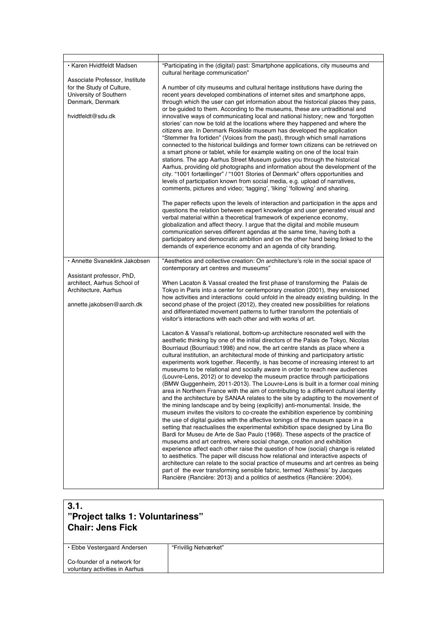| · Karen Hvidtfeldt Madsen                                                                                                      | "Participating in the (digital) past: Smartphone applications, city museums and<br>cultural heritage communication"                                                                                                                                                                                                                                                                                                                                                                                                                                                                                                                                                                                                                                                                                                                                                                                                                                                                                                                                                                                                                                                                                                                                                                                                                                                                                                                                                                                                                                                                                                                                                                                                                                                                                         |
|--------------------------------------------------------------------------------------------------------------------------------|-------------------------------------------------------------------------------------------------------------------------------------------------------------------------------------------------------------------------------------------------------------------------------------------------------------------------------------------------------------------------------------------------------------------------------------------------------------------------------------------------------------------------------------------------------------------------------------------------------------------------------------------------------------------------------------------------------------------------------------------------------------------------------------------------------------------------------------------------------------------------------------------------------------------------------------------------------------------------------------------------------------------------------------------------------------------------------------------------------------------------------------------------------------------------------------------------------------------------------------------------------------------------------------------------------------------------------------------------------------------------------------------------------------------------------------------------------------------------------------------------------------------------------------------------------------------------------------------------------------------------------------------------------------------------------------------------------------------------------------------------------------------------------------------------------------|
| Associate Professor, Institute<br>for the Study of Culture,<br>University of Southern<br>Denmark, Denmark<br>hvidtfeldt@sdu.dk | A number of city museums and cultural heritage institutions have during the<br>recent years developed combinations of internet sites and smartphone apps,<br>through which the user can get information about the historical places they pass.<br>or be guided to them. According to the museums, these are untraditional and<br>innovative ways of communicating local and national history; new and 'forgotten<br>stories' can now be told at the locations where they happened and where the<br>citizens are. In Denmark Roskilde museum has developed the application<br>"Stemmer fra fortiden" (Voices from the past), through which small narrations<br>connected to the historical buildings and former town citizens can be retrieved on<br>a smart phone or tablet, while for example waiting on one of the local train<br>stations. The app Aarhus Street Museum quides you through the historical<br>Aarhus, providing old photographs and information about the development of the<br>city. "1001 fortællinger" / "1001 Stories of Denmark" offers opportunities and<br>levels of participation known from social media, e.g. upload of narratives,<br>comments, pictures and video; 'tagging', 'liking' 'following' and sharing.<br>The paper reflects upon the levels of interaction and participation in the apps and<br>questions the relation between expert knowledge and user generated visual and<br>verbal material within a theoretical framework of experience economy,<br>globalization and affect theory. I argue that the digital and mobile museum<br>communication serves different agendas at the same time, having both a<br>participatory and democratic ambition and on the other hand being linked to the<br>demands of experience economy and an agenda of city branding. |
| · Annette Svaneklink Jakobsen                                                                                                  | "Aesthetics and collective creation: On architecture's role in the social space of<br>contemporary art centres and museums"                                                                                                                                                                                                                                                                                                                                                                                                                                                                                                                                                                                                                                                                                                                                                                                                                                                                                                                                                                                                                                                                                                                                                                                                                                                                                                                                                                                                                                                                                                                                                                                                                                                                                 |
| Assistant professor, PhD,<br>architect, Aarhus School of<br>Architecture, Aarhus<br>annette.jakobsen@aarch.dk                  | When Lacaton & Vassal created the first phase of transforming the Palais de<br>Tokyo in Paris into a center for centemporary creation (2001), they envisioned<br>how activities and interactions could unfold in the already existing building. In the<br>second phase of the project (2012), they created new possibilities for relations<br>and differentiated movement patterns to further transform the potentials of<br>visitor's interactions with each other and with works of art.                                                                                                                                                                                                                                                                                                                                                                                                                                                                                                                                                                                                                                                                                                                                                                                                                                                                                                                                                                                                                                                                                                                                                                                                                                                                                                                  |
|                                                                                                                                | Lacaton & Vassal's relational, bottom-up architecture resonated well with the<br>aesthetic thinking by one of the initial directors of the Palais de Tokyo, Nicolas<br>Bourriaud (Bourriaud:1998) and now, the art centre stands as place where a<br>cultural institution, an architectural mode of thinking and participatory artistic<br>experiments work together. Recently, is has become of increasing interest to art<br>museums to be relational and socially aware in order to reach new audiences<br>(Louvre-Lens, 2012) or to develop the museum practice through participations<br>(BMW Guggenheim, 2011-2013). The Louvre-Lens is built in a former coal mining<br>area in Northern France with the aim of contributing to a different cultural identity<br>and the architecture by SANAA relates to the site by adapting to the movement of<br>the mining landscape and by being (explicitly) anti-monumental. Inside, the<br>museum invites the visitors to co-create the exhibition experience by combining<br>the use of digital guides with the affective tonings of the museum space in a<br>setting that reactualises the experimental exhibition space designed by Lina Bo<br>Bardi for Museu de Arte de Sao Paulo (1968). These aspects of the practice of<br>museums and art centres, where social change, creation and exhibition<br>experience affect each other raise the question of how (social) change is related<br>to aesthetics. The paper will discuss how relational and interactive aspects of<br>architecture can relate to the social practice of museums and art centres as being<br>part of the ever transforming sensible fabric, termed 'Aisthesis' by Jacques<br>Rancière (Rancière: 2013) and a politics of aesthetics (Rancière: 2004).                          |

### **3.1. "Project talks 1: Voluntariness" Chair: Jens Fick**

• Ebbe Vestergaard Andersen

"Frivillig Netværket"

Co-founder of a network for voluntary activities in Aarhus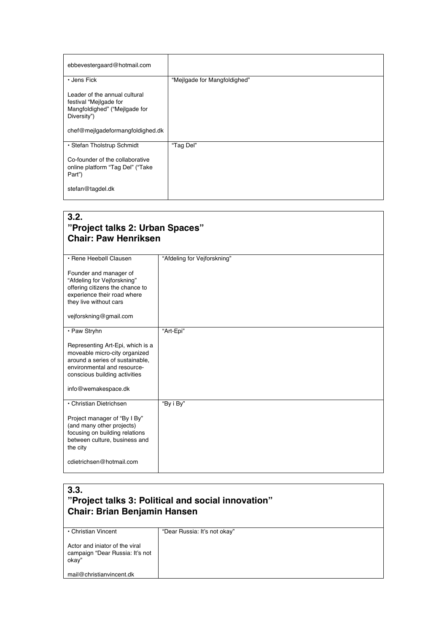| ebbevestergaard@hotmail.com                                                                             |                              |
|---------------------------------------------------------------------------------------------------------|------------------------------|
| • Jens Fick                                                                                             | "Mejlgade for Mangfoldighed" |
| Leader of the annual cultural<br>festival "Mejlgade for<br>Mangfoldighed" ("Mejlgade for<br>Diversity") |                              |
| chef@mejlgadeformangfoldighed.dk                                                                        |                              |
| • Stefan Tholstrup Schmidt                                                                              | "Tag Del"                    |
| Co-founder of the collaborative<br>online platform "Tag Del" ("Take<br>Part")                           |                              |
| stefan@tagdel.dk                                                                                        |                              |

### **3.2. "Project talks 2: Urban Spaces" Chair: Paw Henriksen**

| · Rene Heebøll Clausen<br>Founder and manager of<br>"Afdeling for Vejforskning"<br>offering citizens the chance to<br>experience their road where<br>they live without cars<br>vejforskning@gmail.com | "Afdeling for Vejforskning" |
|-------------------------------------------------------------------------------------------------------------------------------------------------------------------------------------------------------|-----------------------------|
| • Paw Stryhn                                                                                                                                                                                          | "Art-Epi"                   |
| Representing Art-Epi, which is a<br>moveable micro-city organized<br>around a series of sustainable.<br>environmental and resource-<br>conscious building activities<br>info@wemakespace.dk           |                             |
| • Christian Dietrichsen                                                                                                                                                                               | "By i By"                   |
| Project manager of "By I By"<br>(and many other projects)<br>focusing on building relations<br>between culture, business and<br>the city                                                              |                             |
| cdietrichsen@hotmail.com                                                                                                                                                                              |                             |

| 3.3.<br>"Project talks 3: Political and social innovation"<br><b>Chair: Brian Benjamin Hansen</b> |                              |
|---------------------------------------------------------------------------------------------------|------------------------------|
| • Christian Vincent                                                                               | "Dear Russia: It's not okay" |
| Actor and injator of the viral<br>campaign "Dear Russia: It's not<br>okay"                        |                              |
| mail@christianvincent.dk                                                                          |                              |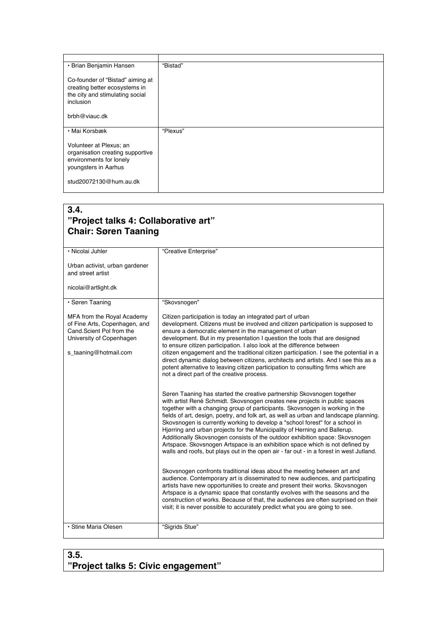| • Brian Benjamin Hansen                                                                                                  | "Bistad" |
|--------------------------------------------------------------------------------------------------------------------------|----------|
| Co-founder of "Bistad" aiming at<br>creating better ecosystems in<br>the city and stimulating social<br><i>inclusion</i> |          |
| brbh@viauc.dk                                                                                                            |          |
| • Mai Korsbæk                                                                                                            | "Plexus" |
| Volunteer at Plexus; an<br>organisation creating supportive<br>environments for lonely<br>youngsters in Aarhus           |          |
| stud20072130@hum.au.dk                                                                                                   |          |

# **3.4.**

# **"Project talks 4: Collaborative art" Chair: Søren Taaning**

| · Nicolai Juhler                                                                                                                             | "Creative Enterprise"                                                                                                                                                                                                                                                                                                                                                                                                                                                                                                                                                                                                                                                                                                                                 |
|----------------------------------------------------------------------------------------------------------------------------------------------|-------------------------------------------------------------------------------------------------------------------------------------------------------------------------------------------------------------------------------------------------------------------------------------------------------------------------------------------------------------------------------------------------------------------------------------------------------------------------------------------------------------------------------------------------------------------------------------------------------------------------------------------------------------------------------------------------------------------------------------------------------|
| Urban activist, urban gardener<br>and street artist                                                                                          |                                                                                                                                                                                                                                                                                                                                                                                                                                                                                                                                                                                                                                                                                                                                                       |
| nicolai@artlight.dk                                                                                                                          |                                                                                                                                                                                                                                                                                                                                                                                                                                                                                                                                                                                                                                                                                                                                                       |
| · Søren Taaning                                                                                                                              | "Skovsnogen"                                                                                                                                                                                                                                                                                                                                                                                                                                                                                                                                                                                                                                                                                                                                          |
| MFA from the Royal Academy<br>of Fine Arts, Copenhagen, and<br>Cand.Scient Pol from the<br>University of Copenhagen<br>s_taaning@hotmail.com | Citizen participation is today an integrated part of urban<br>development. Citizens must be involved and citizen participation is supposed to<br>ensure a democratic element in the management of urban<br>development. But in my presentation I question the tools that are designed<br>to ensure citizen participation. I also look at the difference between<br>citizen engagement and the traditional citizen participation. I see the potential in a<br>direct dynamic dialog between citizens, architects and artists. And I see this as a<br>potent alternative to leaving citizen participation to consulting firms which are<br>not a direct part of the creative process.                                                                   |
|                                                                                                                                              | Søren Taaning has started the creative partnership Skovsnogen together<br>with artist René Schmidt. Skovsnogen creates new projects in public spaces<br>together with a changing group of participants. Skovsnogen is working in the<br>fields of art, design, poetry, and folk art, as well as urban and landscape planning.<br>Skovsnogen is currently working to develop a "school forest" for a school in<br>Higrring and urban projects for the Municipality of Herning and Ballerup.<br>Additionally Skovsnogen consists of the outdoor exhibition space: Skovsnogen<br>Artspace. Skovsnogen Artspace is an exhibition space which is not defined by<br>walls and roofs, but plays out in the open air - far out - in a forest in west Jutland. |
|                                                                                                                                              | Skovsnogen confronts traditional ideas about the meeting between art and<br>audience. Contemporary art is disseminated to new audiences, and participating<br>artists have new opportunities to create and present their works. Skovsnogen<br>Artspace is a dynamic space that constantly evolves with the seasons and the<br>construction of works. Because of that, the audiences are often surprised on their<br>visit; it is never possible to accurately predict what you are going to see.                                                                                                                                                                                                                                                      |
| · Stine Maria Olesen                                                                                                                         | "Sigrids Stue"                                                                                                                                                                                                                                                                                                                                                                                                                                                                                                                                                                                                                                                                                                                                        |

# **3.5. "Project talks 5: Civic engagement"**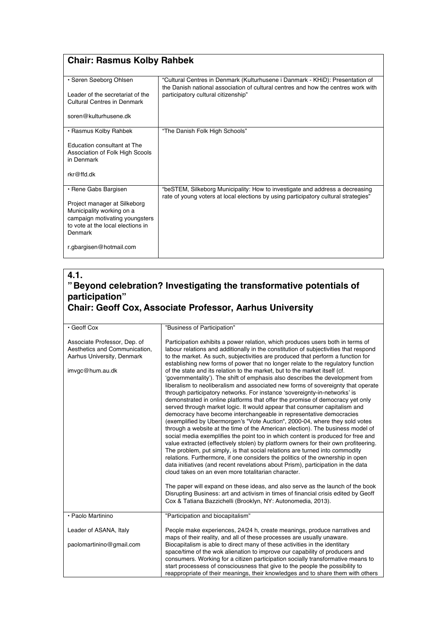# **Chair: Rasmus Kolby Rahbek**

| • Søren Søeborg Ohlsen                                                                                                                                              | "Cultural Centres in Denmark (Kulturhusene i Danmark - KHiD): Presentation of                                                                                       |
|---------------------------------------------------------------------------------------------------------------------------------------------------------------------|---------------------------------------------------------------------------------------------------------------------------------------------------------------------|
| I eader of the secretariat of the<br><b>Cultural Centres in Denmark</b>                                                                                             | the Danish national association of cultural centres and how the centres work with<br>participatory cultural citizenship"                                            |
| soren@kulturhusene.dk                                                                                                                                               |                                                                                                                                                                     |
| • Rasmus Kolby Rahbek                                                                                                                                               | "The Danish Folk High Schools"                                                                                                                                      |
| Education consultant at The<br>Association of Folk High Scools<br>in Denmark                                                                                        |                                                                                                                                                                     |
| rkr@ffd dk                                                                                                                                                          |                                                                                                                                                                     |
| • Rene Gabs Bargisen<br>Project manager at Silkeborg<br>Municipality working on a<br>campaign motivating youngsters<br>to vote at the local elections in<br>Denmark | "beSTEM, Silkeborg Municipality: How to investigate and address a decreasing<br>rate of young voters at local elections by using participatory cultural strategies" |
| r.gbargisen@hotmail.com                                                                                                                                             |                                                                                                                                                                     |

### **4.1. "Beyond celebration? Investigating the transformative potentials of participation" Chair: Geoff Cox, Associate Professor, Aarhus University**

| · Geoff Cox                                                                                                    | "Business of Participation"                                                                                                                                                                                                                                                                                                                                                                                                                                                                                                                                                                                                                                                                                                                                                                                                                                                                                                                                                                                                                                                                                                                                                                                                                                                                                                                                                                                                                                                                                                                                                                                                                                                                                                                                                                                        |
|----------------------------------------------------------------------------------------------------------------|--------------------------------------------------------------------------------------------------------------------------------------------------------------------------------------------------------------------------------------------------------------------------------------------------------------------------------------------------------------------------------------------------------------------------------------------------------------------------------------------------------------------------------------------------------------------------------------------------------------------------------------------------------------------------------------------------------------------------------------------------------------------------------------------------------------------------------------------------------------------------------------------------------------------------------------------------------------------------------------------------------------------------------------------------------------------------------------------------------------------------------------------------------------------------------------------------------------------------------------------------------------------------------------------------------------------------------------------------------------------------------------------------------------------------------------------------------------------------------------------------------------------------------------------------------------------------------------------------------------------------------------------------------------------------------------------------------------------------------------------------------------------------------------------------------------------|
| Associate Professor, Dep. of<br>Aesthetics and Communication,<br>Aarhus University, Denmark<br>imvgc@hum.au.dk | Participation exhibits a power relation, which produces users both in terms of<br>labour relations and additionally in the constitution of subjectivities that respond<br>to the market. As such, subjectivities are produced that perform a function for<br>establishing new forms of power that no longer relate to the regulatory function<br>of the state and its relation to the market, but to the market itself (cf.<br>'governmentality'). The shift of emphasis also describes the development from<br>liberalism to neoliberalism and associated new forms of sovereignty that operate<br>through participatory networks. For instance 'sovereignty-in-networks' is<br>demonstrated in online platforms that offer the promise of democracy yet only<br>served through market logic. It would appear that consumer capitalism and<br>democracy have become interchangeable in representative democracies<br>(exemplified by Ubermorgen's "Vote Auction", 2000-04, where they sold votes<br>through a website at the time of the American election). The business model of<br>social media exemplifies the point too in which content is produced for free and<br>value extracted (effectively stolen) by platform owners for their own profiteering.<br>The problem, put simply, is that social relations are turned into commodity<br>relations. Furthermore, if one considers the politics of the ownership in open<br>data initiatives (and recent revelations about Prism), participation in the data<br>cloud takes on an even more totalitarian character.<br>The paper will expand on these ideas, and also serve as the launch of the book<br>Disrupting Business: art and activism in times of financial crisis edited by Geoff<br>Cox & Tatiana Bazzichelli (Brooklyn, NY: Autonomedia, 2013). |
| • Paolo Martinino                                                                                              | "Participation and biocapitalism"                                                                                                                                                                                                                                                                                                                                                                                                                                                                                                                                                                                                                                                                                                                                                                                                                                                                                                                                                                                                                                                                                                                                                                                                                                                                                                                                                                                                                                                                                                                                                                                                                                                                                                                                                                                  |
| Leader of ASANA, Italy                                                                                         | People make experiences, 24/24 h, create meanings, produce narratives and<br>maps of their reality, and all of these processes are usually unaware.                                                                                                                                                                                                                                                                                                                                                                                                                                                                                                                                                                                                                                                                                                                                                                                                                                                                                                                                                                                                                                                                                                                                                                                                                                                                                                                                                                                                                                                                                                                                                                                                                                                                |
| paolomartinino@gmail.com                                                                                       | Biocapitalism is able to direct many of these activities in the identitary<br>space/time of the wok alienation to improve our capability of producers and<br>consumers. Working for a citizen participation socially transformative means to<br>start processess of consciousness that give to the people the possibility to<br>reappropriate of their meanings, their knowledges and to share them with others                                                                                                                                                                                                                                                                                                                                                                                                                                                                                                                                                                                                                                                                                                                                                                                                                                                                                                                                                                                                                                                                                                                                                                                                                                                                                                                                                                                                    |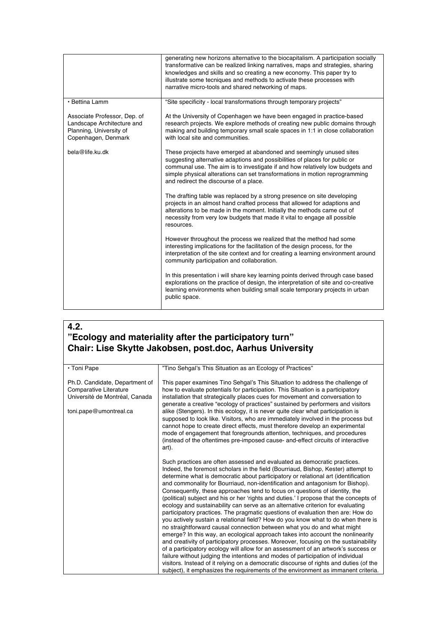|                                                                                                              | generating new horizons alternative to the biocapitalism. A participation socially<br>transformative can be realized linking narratives, maps and strategies, sharing<br>knowledges and skills and so creating a new economy. This paper try to<br>illustrate some tecniques and methods to activate these processes with<br>narrative micro-tools and shared networking of maps. |
|--------------------------------------------------------------------------------------------------------------|-----------------------------------------------------------------------------------------------------------------------------------------------------------------------------------------------------------------------------------------------------------------------------------------------------------------------------------------------------------------------------------|
| • Bettina Lamm                                                                                               | "Site specificity - local transformations through temporary projects"                                                                                                                                                                                                                                                                                                             |
| Associate Professor, Dep. of<br>Landscape Architecture and<br>Planning, University of<br>Copenhagen, Denmark | At the University of Copenhagen we have been engaged in practice-based<br>research projects. We explore methods of creating new public domains through<br>making and building temporary small scale spaces in 1:1 in close collaboration<br>with local site and communities.                                                                                                      |
| bela@life.ku.dk                                                                                              | These projects have emerged at abandoned and seemingly unused sites<br>suggesting alternative adaptions and possibilities of places for public or<br>communal use. The aim is to investigate if and how relatively low budgets and<br>simple physical alterations can set transformations in motion reprogramming<br>and redirect the discourse of a place.                       |
|                                                                                                              | The drafting table was replaced by a strong presence on site developing<br>projects in an almost hand crafted process that allowed for adaptions and<br>alterations to be made in the moment. Initially the methods came out of<br>necessity from very low budgets that made it vital to engage all possible<br>resources.                                                        |
|                                                                                                              | However throughout the process we realized that the method had some<br>interesting implications for the facilitation of the design process, for the<br>interpretation of the site context and for creating a learning environment around<br>community participation and collaboration.                                                                                            |
|                                                                                                              | In this presentation i will share key learning points derived through case based<br>explorations on the practice of design, the interpretation of site and co-creative<br>learning environments when building small scale temporary projects in urban<br>public space.                                                                                                            |

### **4.2. "Ecology and materiality after the participatory turn" Chair: Lise Skytte Jakobsen, post.doc, Aarhus University**

| • Toni Pape                                                                                                          | "Tino Sehgal's This Situation as an Ecology of Practices"                                                                                                                                                                                                                                                                                                                                                                                                                                                                                                                                                                                                                                                                                                                                                                                                                                                                                                                                                                                                                                                                                                                                                                                                                                                                                                                            |
|----------------------------------------------------------------------------------------------------------------------|--------------------------------------------------------------------------------------------------------------------------------------------------------------------------------------------------------------------------------------------------------------------------------------------------------------------------------------------------------------------------------------------------------------------------------------------------------------------------------------------------------------------------------------------------------------------------------------------------------------------------------------------------------------------------------------------------------------------------------------------------------------------------------------------------------------------------------------------------------------------------------------------------------------------------------------------------------------------------------------------------------------------------------------------------------------------------------------------------------------------------------------------------------------------------------------------------------------------------------------------------------------------------------------------------------------------------------------------------------------------------------------|
| Ph.D. Candidate, Department of<br>Comparative Literature<br>Université de Montréal, Canada<br>toni.pape@umontreal.ca | This paper examines Tino Sehgal's This Situation to address the challenge of<br>how to evaluate potentials for participation. This Situation is a participatory<br>installation that strategically places cues for movement and conversation to<br>generate a creative "ecology of practices" sustained by performers and visitors<br>alike (Stengers). In this ecology, it is never quite clear what participation is<br>supposed to look like. Visitors, who are immediately involved in the process but<br>cannot hope to create direct effects, must therefore develop an experimental<br>mode of engagement that foregrounds attention, techniques, and procedures<br>(instead of the oftentimes pre-imposed cause- and-effect circuits of interactive<br>art).                                                                                                                                                                                                                                                                                                                                                                                                                                                                                                                                                                                                                 |
|                                                                                                                      | Such practices are often assessed and evaluated as democratic practices.<br>Indeed, the foremost scholars in the field (Bourriaud, Bishop, Kester) attempt to<br>determine what is democratic about participatory or relational art (identification<br>and commonality for Bourriaud, non-identification and antagonism for Bishop).<br>Consequently, these approaches tend to focus on questions of identity, the<br>(political) subject and his or her 'rights and duties.' I propose that the concepts of<br>ecology and sustainability can serve as an alternative criterion for evaluating<br>participatory practices. The pragmatic questions of evaluation then are: How do<br>you actively sustain a relational field? How do you know what to do when there is<br>no straightforward causal connection between what you do and what might<br>emerge? In this way, an ecological approach takes into account the nonlinearity<br>and creativity of participatory processes. Moreover, focusing on the sustainability<br>of a participatory ecology will allow for an assessment of an artwork's success or<br>failure without judging the intentions and modes of participation of individual<br>visitors. Instead of it relying on a democratic discourse of rights and duties (of the<br>subject), it emphasizes the requirements of the environment as immanent criteria. |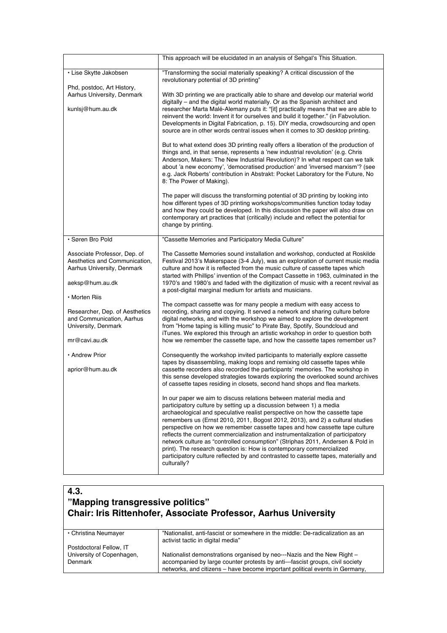|                                                                                                                      | This approach will be elucidated in an analysis of Sehgal's This Situation.                                                                                                                                                                                                                                                                                                                                                                                                                                                                                                                                                                                                                                                                  |
|----------------------------------------------------------------------------------------------------------------------|----------------------------------------------------------------------------------------------------------------------------------------------------------------------------------------------------------------------------------------------------------------------------------------------------------------------------------------------------------------------------------------------------------------------------------------------------------------------------------------------------------------------------------------------------------------------------------------------------------------------------------------------------------------------------------------------------------------------------------------------|
| · Lise Skytte Jakobsen                                                                                               | "Transforming the social materially speaking? A critical discussion of the<br>revolutionary potential of 3D printing"                                                                                                                                                                                                                                                                                                                                                                                                                                                                                                                                                                                                                        |
| Phd, postdoc, Art History,<br>Aarhus University, Denmark<br>kunlsj@hum.au.dk                                         | With 3D printing we are practically able to share and develop our material world<br>digitally – and the digital world materially. Or as the Spanish architect and<br>researcher Marta Malé-Alemany puts it: "[it] practically means that we are able to<br>reinvent the world: Invent it for ourselves and build it together." (in Fabvolution.<br>Developments in Digital Fabrication, p. 15). DIY media, crowdsourcing and open<br>source are in other words central issues when it comes to 3D desktop printing.                                                                                                                                                                                                                          |
|                                                                                                                      | But to what extend does 3D printing really offers a liberation of the production of<br>things and, in that sense, represents a 'new industrial revolution' (e.g. Chris<br>Anderson, Makers: The New Industrial Revolution)? In what respect can we talk<br>about 'a new economy', 'democratised production' and 'inversed marxism'? (see<br>e.g. Jack Roberts' contribution in Abstrakt: Pocket Laboratory for the Future, No<br>8: The Power of Making).                                                                                                                                                                                                                                                                                    |
|                                                                                                                      | The paper will discuss the transforming potential of 3D printing by looking into<br>how different types of 3D printing workshops/communities function today today<br>and how they could be developed. In this discussion the paper will also draw on<br>contemporary art practices that (critically) include and reflect the potential for<br>change by printing.                                                                                                                                                                                                                                                                                                                                                                            |
| · Søren Bro Pold                                                                                                     | "Cassette Memories and Participatory Media Culture"                                                                                                                                                                                                                                                                                                                                                                                                                                                                                                                                                                                                                                                                                          |
| Associate Professor, Dep. of<br>Aesthetics and Communication,<br>Aarhus University, Denmark<br>aeksp@hum.au.dk       | The Cassette Memories sound installation and workshop, conducted at Roskilde<br>Festival 2013's Makerspace (3-4 July), was an exploration of current music media<br>culture and how it is reflected from the music culture of cassette tapes which<br>started with Phillips' invention of the Compact Cassette in 1963, culminated in the<br>1970's and 1980's and faded with the digitization of music with a recent revival as<br>a post-digital marginal medium for artists and musicians.                                                                                                                                                                                                                                                |
| • Morten Riis<br>Researcher, Dep. of Aesthetics<br>and Communication, Aarhus<br>University, Denmark<br>mr@cavi.au.dk | The compact cassette was for many people a medium with easy access to<br>recording, sharing and copying. It served a network and sharing culture before<br>digital networks, and with the workshop we aimed to explore the development<br>from "Home taping is killing music" to Pirate Bay, Spotify, Soundcloud and<br>iTunes. We explored this through an artistic workshop in order to question both<br>how we remember the cassette tape, and how the cassette tapes remember us?                                                                                                                                                                                                                                                        |
| • Andrew Prior<br>aprior@hum.au.dk                                                                                   | Consequently the workshop invited participants to materially explore cassette<br>tapes by disassembling, making loops and remixing old cassette tapes while<br>cassette recorders also recorded the participants' memories. The workshop in<br>this sense developed strategies towards exploring the overlooked sound archives<br>of cassette tapes residing in closets, second hand shops and flea markets.                                                                                                                                                                                                                                                                                                                                 |
|                                                                                                                      | In our paper we aim to discuss relations between material media and<br>participatory culture by setting up a discussion between 1) a media<br>archaeological and speculative realist perspective on how the cassette tape<br>remembers us (Ernst 2010, 2011, Bogost 2012, 2013), and 2) a cultural studies<br>perspective on how we remember cassette tapes and how cassette tape culture<br>reflects the current commercialization and instrumentalization of participatory<br>network culture as "controlled consumption" (Striphas 2011, Andersen & Pold in<br>print). The research question is: How is contemporary commercialized<br>participatory culture reflected by and contrasted to cassette tapes, materially and<br>culturally? |

| 4.3.<br>"Mapping transgressive politics"<br><b>Chair: Iris Rittenhofer, Associate Professor, Aarhus University</b> |                                                                                                                     |
|--------------------------------------------------------------------------------------------------------------------|---------------------------------------------------------------------------------------------------------------------|
| • Christina Neumayer                                                                                               | "Nationalist, anti-fascist or somewhere in the middle: De-radicalization as an<br>activist tactic in digital media" |
| Postdoctoral Fellow, IT<br>University of Copenhagen,                                                               | Nationalist demonstrations organised by neo---Nazis and the New Right -                                             |

accompanied by large counter protests by anti-‐fascist groups, civil society networks, and citizens – have become important political events in Germany,

**Denmark**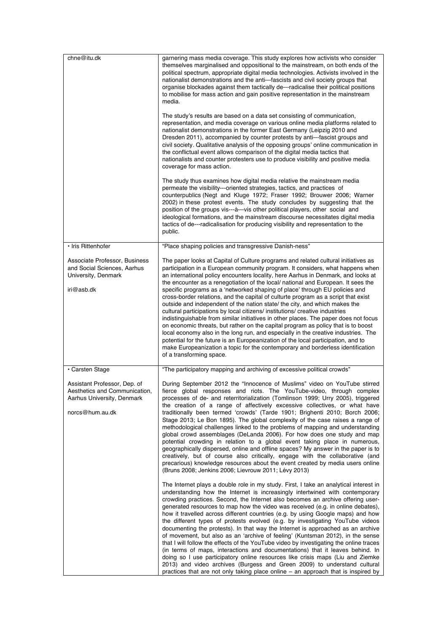| chne@itu.dk                                                                                                                       | garnering mass media coverage. This study explores how activists who consider<br>themselves marginalised and oppositional to the mainstream, on both ends of the<br>political spectrum, appropriate digital media technologies. Activists involved in the<br>nationalist demonstrations and the anti---fascists and civil society groups that<br>organise blockades against them tactically de---radicalise their political positions<br>to mobilise for mass action and gain positive representation in the mainstream<br>media.<br>The study's results are based on a data set consisting of communication,<br>representation, and media coverage on various online media platforms related to<br>nationalist demonstrations in the former East Germany (Leipzig 2010 and<br>Dresden 2011), accompanied by counter protests by anti---fascist groups and<br>civil society. Qualitative analysis of the opposing groups' online communication in<br>the conflictual event allows comparison of the digital media tactics that<br>nationalists and counter protesters use to produce visibility and positive media                                                                                                |
|-----------------------------------------------------------------------------------------------------------------------------------|-------------------------------------------------------------------------------------------------------------------------------------------------------------------------------------------------------------------------------------------------------------------------------------------------------------------------------------------------------------------------------------------------------------------------------------------------------------------------------------------------------------------------------------------------------------------------------------------------------------------------------------------------------------------------------------------------------------------------------------------------------------------------------------------------------------------------------------------------------------------------------------------------------------------------------------------------------------------------------------------------------------------------------------------------------------------------------------------------------------------------------------------------------------------------------------------------------------------|
|                                                                                                                                   | coverage for mass action.<br>The study thus examines how digital media relative the mainstream media<br>permeate the visibility---oriented strategies, tactics, and practices of<br>counterpublics (Negt and Kluge 1972; Fraser 1992; Brouwer 2006; Warner<br>2002) in these protest events. The study concludes by suggesting that the<br>position of the groups vis---à---vis other political players, other social and<br>ideological formations, and the mainstream discourse necessitates digital media<br>tactics of de---radicalisation for producing visibility and representation to the<br>public.                                                                                                                                                                                                                                                                                                                                                                                                                                                                                                                                                                                                      |
| · Iris Rittenhofer<br>Associate Professor, Business<br>and Social Sciences, Aarhus<br>University, Denmark<br>iri@asb.dk           | "Place shaping policies and transgressive Danish-ness"<br>The paper looks at Capital of Culture programs and related cultural initiatives as<br>participation in a European community program. It considers, what happens when<br>an international policy encounters locality, here Aarhus in Denmark, and looks at<br>the encounter as a renegotiation of the local/national and European. It sees the<br>specific programs as a 'networked shaping of place' through EU policies and<br>cross-border relations, and the capital of culturte program as a script that exist<br>outside and independent of the nation state/ the city, and which makes the<br>cultural participations by local citizens/ institutions/ creative industries<br>indistinguishable from similar initiatives in other places. The paper does not focus<br>on economic threats, but rather on the capital program as policy that is to boost<br>local economy also in the long run, and especially in the creative industries. The<br>potential for the future is an Europeanization of the local participation, and to<br>make Europeanization a topic for the contemporary and borderless identification<br>of a transforming space. |
| · Carsten Stage<br>Assistant Professor, Dep. of<br>Aesthetics and Communication,<br>Aarhus University, Denmark<br>norcs@hum.au.dk | "The participatory mapping and archiving of excessive political crowds"<br>During September 2012 the "Innocence of Muslims" video on YouTube stirred<br>fierce global responses and riots. The YouTube-video, through complex<br>processes of de- and reterritorialization (Tomlinson 1999; Urry 2005), triggered<br>the creation of a range of affectively excessive collectives, or what have<br>traditionally been termed 'crowds' (Tarde 1901; Brighenti 2010; Borch 2006;<br>Stage 2013; Le Bon 1895). The global complexity of the case raises a range of<br>methodological challenges linked to the problems of mapping and understanding<br>global crowd assemblages (DeLanda 2006). For how does one study and map<br>potential crowding in relation to a global event taking place in numerous,<br>geographically dispersed, online and offline spaces? My answer in the paper is to<br>creatively, but of course also critically, engage with the collaborative (and<br>precarious) knowledge resources about the event created by media users online<br>(Bruns 2008; Jenkins 2006; Lievrouw 2011; Lévy 2013)                                                                                          |
|                                                                                                                                   | The Internet plays a double role in my study. First, I take an analytical interest in<br>understanding how the Internet is increasingly intertwined with contemporary<br>crowding practices. Second, the Internet also becomes an archive offering user-<br>generated resources to map how the video was received (e.g. in online debates),<br>how it travelled across different countries (e.g. by using Google maps) and how<br>the different types of protests evolved (e.g. by investigating YouTube videos<br>documenting the protests). In that way the Internet is approached as an archive<br>of movement, but also as an 'archive of feeling' (Kuntsman 2012), in the sense<br>that I will follow the effects of the YouTube video by investigating the online traces<br>(in terms of maps, interactions and documentations) that it leaves behind. In<br>doing so I use participatory online resources like crisis maps (Liu and Ziemke<br>2013) and video archives (Burgess and Green 2009) to understand cultural<br>practices that are not only taking place online $-$ an approach that is inspired by                                                                                              |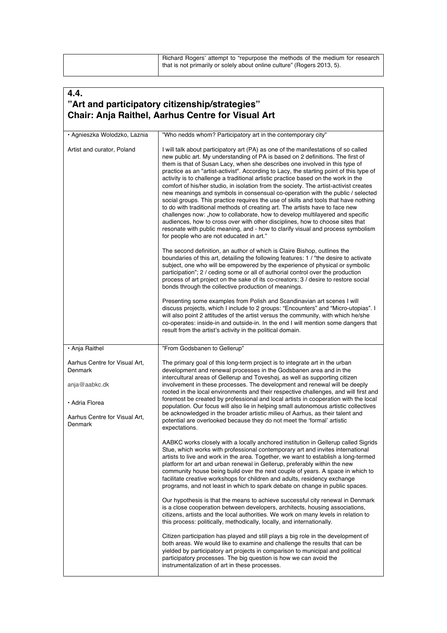| Richard Rogers' attempt to "repurpose the methods of the medium for research |
|------------------------------------------------------------------------------|
| that is not primarily or solely about online culture" (Rogers 2013, 5).      |
|                                                                              |

#### **4.4. "Art and participatory citizenship/strategies" Chair: Anja Raithel, Aarhus Centre for Visual Art** • Agnieszka Wolodzko, Laznia Artist and curator, Poland "Who nedds whom? Participatory art in the contemporary city" I will talk about participatory art (PA) as one of the manifestations of so called new public art. My understanding of PA is based on 2 definitions. The first of them is that of Susan Lacy, when she describes one involved in this type of practice as an "artist-activist". According to Lacy, the starting point of this type of activity is to challenge a traditional artistic practice based on the work in the comfort of his/her studio, in isolation from the society. The artist-activist creates new meanings and symbols in consensual co-operation with the public / selected social groups. This practice requires the use of skills and tools that have nothing to do with traditional methods of creating art. The artists have to face new challenges now: "how to collaborate, how to develop multilayered and specific audiences, how to cross over with other disciplines, how to choose sites that resonate with public meaning, and - how to clarify visual and process symbolism for people who are not educated in art." The second definition, an author of which is Claire Bishop, outlines the boundaries of this art, detailing the following features: 1 / "the desire to activate subject, one who will be empowered by the experience of physical or symbolic participation"; 2 / ceding some or all of authorial control over the production process of art project on the sake of its co-creators; 3 / desire to restore social bonds through the collective production of meanings. Presenting some examples from Polish and Scandinavian art scenes I will discuss projects, which I include to 2 groups: "Encounters" and "Micro-utopias". I will also point 2 attitudes of the artist versus the community, with which he/she co-operates: inside-in and outside-in. In the end I will mention some dangers that result from the artist's activity in the political domain. • Anja Raithel Aarhus Centre for Visual Art, Denmark anja@aabkc.dk • Adria Florea Aarhus Centre for Visual Art, Denmark "From Godsbanen to Gellerup" The primary goal of this long-term project is to integrate art in the urban development and renewal processes in the Godsbanen area and in the intercultural areas of Gellerup and Toveshøj, as well as supporting citizen involvement in these processes. The development and renewal will be deeply rooted in the local environments and their respective challenges, and will first and foremost be created by professional and local artists in cooperation with the local population. Our focus will also lie in helping small autonomous artistic collectives be acknowledged in the broader artistic milieu of Aarhus, as their talent and potential are overlooked because they do not meet the ʻformal' artistic expectations. AABKC works closely with a locally anchored institution in Gellerup called Sigrids Stue, which works with professional contemporary art and invites international artists to live and work in the area. Together, we want to establish a long-termed platform for art and urban renewal in Gellerup, preferably within the new community house being build over the next couple of years. A space in which to facilitate creative workshops for children and adults, residency exchange programs, and not least in which to spark debate on change in public spaces. Our hypothesis is that the means to achieve successful city renewal in Denmark is a close cooperation between developers, architects, housing associations, citizens, artists and the local authorities. We work on many levels in relation to this process: politically, methodically, locally, and internationally. Citizen participation has played and still plays a big role in the development of both areas. We would like to examine and challenge the results that can be yielded by participatory art projects in comparison to municipal and political participatory processes. The big question is how we can avoid the instrumentalization of art in these processes.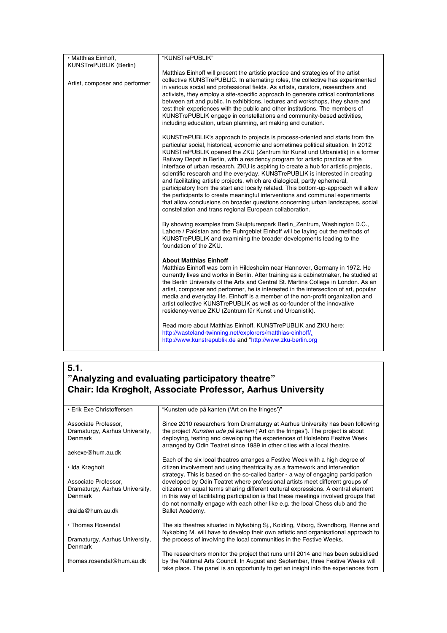| • Matthias Einhoff,            | "KUNSTrePUBLIK"                                                                                                                                                                                                                                                                                                                                                                                                                                                                                                                                                                                                                                                                                                                                                                                                                                                                                                   |
|--------------------------------|-------------------------------------------------------------------------------------------------------------------------------------------------------------------------------------------------------------------------------------------------------------------------------------------------------------------------------------------------------------------------------------------------------------------------------------------------------------------------------------------------------------------------------------------------------------------------------------------------------------------------------------------------------------------------------------------------------------------------------------------------------------------------------------------------------------------------------------------------------------------------------------------------------------------|
| <b>KUNSTrePUBLIK (Berlin)</b>  |                                                                                                                                                                                                                                                                                                                                                                                                                                                                                                                                                                                                                                                                                                                                                                                                                                                                                                                   |
| Artist, composer and performer | Matthias Einhoff will present the artistic practice and strategies of the artist<br>collective KUNSTrePUBLIC. In alternating roles, the collective has experimented<br>in various social and professional fields. As artists, curators, researchers and<br>activists, they employ a site-specific approach to generate critical confrontations<br>between art and public. In exhibitions, lectures and workshops, they share and<br>test their experiences with the public and other institutions. The members of<br>KUNSTrePUBLIK engage in constellations and community-based activities.<br>including education, urban planning, art making and curation.                                                                                                                                                                                                                                                      |
|                                | KUNSTrePUBLIK's approach to projects is process-oriented and starts from the<br>particular social, historical, economic and sometimes political situation. In 2012<br>KUNSTrePUBLIK opened the ZKU (Zentrum für Kunst und Urbanistik) in a former<br>Railway Depot in Berlin, with a residency program for artistic practice at the<br>interface of urban research. ZKU is aspiring to create a hub for artistic projects,<br>scientific research and the everyday. KUNSTrePUBLIK is interested in creating<br>and facilitating artistic projects, which are dialogical, partly ephemeral,<br>participatory from the start and locally related. This bottom-up-approach will allow<br>the participants to create meaningful interventions and communal experiments<br>that allow conclusions on broader questions concerning urban landscapes, social<br>constellation and trans regional European collaboration. |
|                                | By showing examples from Skulpturenpark Berlin_Zentrum, Washington D.C.,<br>Lahore / Pakistan and the Ruhrgebiet Einhoff will be laying out the methods of<br>KUNSTrePUBLIK and examining the broader developments leading to the<br>foundation of the ZKU.                                                                                                                                                                                                                                                                                                                                                                                                                                                                                                                                                                                                                                                       |
|                                | <b>About Matthias Einhoff</b><br>Matthias Einhoff was born in Hildesheim near Hannover, Germany in 1972. He<br>currently lives and works in Berlin. After training as a cabinet maker, he studied at<br>the Berlin University of the Arts and Central St. Martins College in London. As an<br>artist, composer and performer, he is interested in the intersection of art, popular<br>media and everyday life. Einhoff is a member of the non-profit organization and<br>artist collective KUNSTrePUBLIK as well as co-founder of the innovative<br>residency-venue ZKU (Zentrum für Kunst und Urbanistik).                                                                                                                                                                                                                                                                                                       |
|                                | Read more about Matthias Einhoff, KUNSTrePUBLIK and ZKU here:<br>http://wasteland-twinning.net/explorers/matthias-einhoff/<br>http://www.kunstrepublik.de and "http://www.zku-berlin.org                                                                                                                                                                                                                                                                                                                                                                                                                                                                                                                                                                                                                                                                                                                          |

# **5.1. "Analyzing and evaluating participatory theatre" Chair: Ida Krøgholt, Associate Professor, Aarhus University**

| • Erik Exe Christoffersen      | "Kunsten ude på kanten ('Art on the fringes')"                                                                                                           |
|--------------------------------|----------------------------------------------------------------------------------------------------------------------------------------------------------|
| Associate Professor,           | Since 2010 researchers from Dramaturgy at Aarhus University has been following                                                                           |
| Dramaturgy, Aarhus University, | the project Kunsten ude på kanten ('Art on the fringes'). The project is about                                                                           |
| Denmark                        | deploying, testing and developing the experiences of Holstebro Festive Week<br>arranged by Odin Teatret since 1989 in other cities with a local theatre. |
| aekexe@hum.au.dk               |                                                                                                                                                          |
|                                | Each of the six local theatres arranges a Festive Week with a high degree of                                                                             |
| ∙ Ida Krøgholt                 | citizen involvement and using theatricality as a framework and intervention                                                                              |
|                                | strategy. This is based on the so-called barter - a way of engaging participation                                                                        |
| Associate Professor,           | developed by Odin Teatret where professional artists meet different groups of                                                                            |
| Dramaturgy, Aarhus University, | citizens on equal terms sharing different cultural expressions. A central element                                                                        |
| Denmark                        | in this way of facilitating participation is that these meetings involved groups that                                                                    |
|                                | do not normally engage with each other like e.g. the local Chess club and the                                                                            |
| draida@hum.au.dk               | Ballet Academy.                                                                                                                                          |
|                                |                                                                                                                                                          |
| • Thomas Rosendal              | The six theatres situated in Nykøbing Si., Kolding, Viborg, Svendborg, Rønne and                                                                         |
|                                | Nykøbing M. will have to develop their own artistic and organisational approach to                                                                       |
| Dramaturgy, Aarhus University, | the process of involving the local communities in the Festive Weeks.                                                                                     |
| Denmark                        |                                                                                                                                                          |
|                                | The researchers monitor the project that runs until 2014 and has been subsidised                                                                         |
| thomas.rosendal@hum.au.dk      | by the National Arts Council. In August and September, three Festive Weeks will                                                                          |
|                                | take place. The panel is an opportunity to get an insight into the experiences from                                                                      |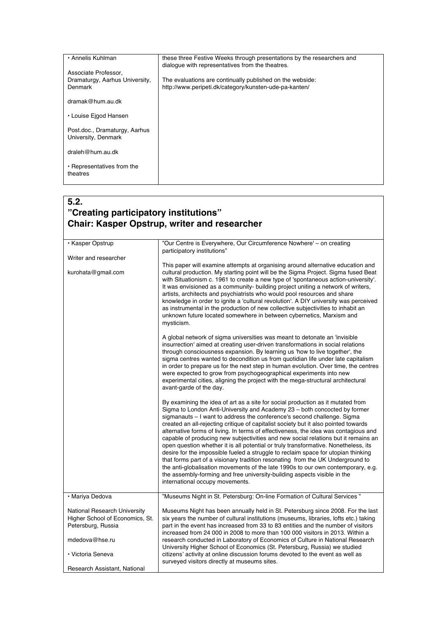| • Annelis Kuhlman                                                 | these three Festive Weeks through presentations by the researchers and<br>dialogue with representatives from the theatres. |
|-------------------------------------------------------------------|----------------------------------------------------------------------------------------------------------------------------|
| Associate Professor,<br>Dramaturgy, Aarhus University,<br>Denmark | The evaluations are continually published on the webside:<br>http://www.peripeti.dk/category/kunsten-ude-pa-kanten/        |
| dramak@hum.au.dk                                                  |                                                                                                                            |
| • Louise Eigod Hansen                                             |                                                                                                                            |
| Post.doc., Dramaturgy, Aarhus<br>University, Denmark              |                                                                                                                            |
| draleh@hum.au.dk                                                  |                                                                                                                            |
| • Representatives from the<br>theatres                            |                                                                                                                            |

### **5.2. "Creating participatory institutions" Chair: Kasper Opstrup, writer and researcher**

| · Kasper Opstrup                                                                                                             | "Our Centre is Everywhere, Our Circumference Nowhere' - on creating                                                                                                                                                                                                                                                                                                                                                                                                                                                                                                                                                                                                                                                                                                                                                                                                                                                                                                          |
|------------------------------------------------------------------------------------------------------------------------------|------------------------------------------------------------------------------------------------------------------------------------------------------------------------------------------------------------------------------------------------------------------------------------------------------------------------------------------------------------------------------------------------------------------------------------------------------------------------------------------------------------------------------------------------------------------------------------------------------------------------------------------------------------------------------------------------------------------------------------------------------------------------------------------------------------------------------------------------------------------------------------------------------------------------------------------------------------------------------|
|                                                                                                                              | participatory institutions"                                                                                                                                                                                                                                                                                                                                                                                                                                                                                                                                                                                                                                                                                                                                                                                                                                                                                                                                                  |
| Writer and researcher                                                                                                        | This paper will examine attempts at organising around alternative education and                                                                                                                                                                                                                                                                                                                                                                                                                                                                                                                                                                                                                                                                                                                                                                                                                                                                                              |
| kurohata@gmail.com                                                                                                           | cultural production. My starting point will be the Sigma Project. Sigma fused Beat<br>with Situationism c. 1961 to create a new type of 'spontaneous action-university'.<br>It was envisioned as a community- building project uniting a network of writers,<br>artists, architects and psychiatrists who would pool resources and share<br>knowledge in order to ignite a 'cultural revolution'. A DIY university was perceived<br>as instrumental in the production of new collective subjectivities to inhabit an<br>unknown future located somewhere in between cybernetics, Marxism and<br>mysticism.                                                                                                                                                                                                                                                                                                                                                                   |
|                                                                                                                              | A global network of sigma universities was meant to detonate an 'invisible<br>insurrection' aimed at creating user-driven transformations in social relations<br>through consciousness expansion. By learning us 'how to live together', the<br>sigma centres wanted to decondition us from quotidian life under late capitalism<br>in order to prepare us for the next step in human evolution. Over time, the centres<br>were expected to grow from psychogeographical experiments into new<br>experimental cities, aligning the project with the mega-structural architectural<br>avant-garde of the day.                                                                                                                                                                                                                                                                                                                                                                 |
|                                                                                                                              | By examining the idea of art as a site for social production as it mutated from<br>Sigma to London Anti-University and Academy 23 - both concocted by former<br>sigmanauts - I want to address the conference's second challenge. Sigma<br>created an all-rejecting critique of capitalist society but it also pointed towards<br>alternative forms of living. In terms of effectiveness, the idea was contagious and<br>capable of producing new subjectivities and new social relations but it remains an<br>open question whether it is all potential or truly transformative. Nonetheless, its<br>desire for the impossible fueled a struggle to reclaim space for utopian thinking<br>that forms part of a visionary tradition resonating from the UK Underground to<br>the anti-globalisation movements of the late 1990s to our own contemporary, e.g.<br>the assembly-forming and free university-building aspects visible in the<br>international occupy movements. |
| • Mariya Dedova                                                                                                              | "Museums Night in St. Petersburg: On-line Formation of Cultural Services"                                                                                                                                                                                                                                                                                                                                                                                                                                                                                                                                                                                                                                                                                                                                                                                                                                                                                                    |
| National Research University<br>Higher School of Economics, St.<br>Petersburg, Russia<br>mdedova@hse.ru<br>• Victoria Seneva | Museums Night has been annually held in St. Petersburg since 2008. For the last<br>six years the number of cultural institutions (museums, libraries, lofts etc.) taking<br>part in the event has increased from 33 to 83 entities and the number of visitors<br>increased from 24 000 in 2008 to more than 100 000 visitors in 2013. Within a<br>research conducted in Laboratory of Economics of Culture in National Research<br>University Higher School of Economics (St. Petersburg, Russia) we studied<br>citizens' activity at online discussion forums devoted to the event as well as<br>surveyed visitors directly at museums sites.                                                                                                                                                                                                                                                                                                                               |
| Research Assistant, National                                                                                                 |                                                                                                                                                                                                                                                                                                                                                                                                                                                                                                                                                                                                                                                                                                                                                                                                                                                                                                                                                                              |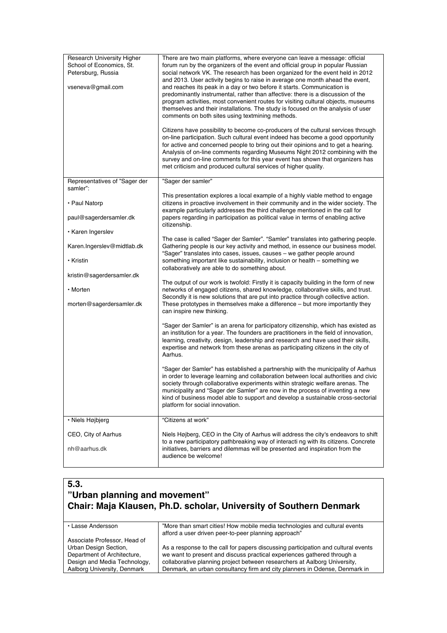| <b>Research University Higher</b><br>School of Economics, St.<br>Petersburg, Russia<br>vseneva@gmail.com | There are two main platforms, where everyone can leave a message: official<br>forum run by the organizers of the event and official group in popular Russian<br>social network VK. The research has been organized for the event held in 2012<br>and 2013. User activity begins to raise in average one month ahead the event,<br>and reaches its peak in a day or two before it starts. Communication is<br>predominantly instrumental, rather than affective: there is a discussion of the<br>program activities, most convenient routes for visiting cultural objects, museums<br>themselves and their installations. The study is focused on the analysis of user<br>comments on both sites using textmining methods.<br>Citizens have possibility to become co-producers of the cultural services through<br>on-line participation. Such cultural event indeed has become a good opportunity<br>for active and concerned people to bring out their opinions and to get a hearing.<br>Analysis of on-line comments regarding Museums Night 2012 combining with the<br>survey and on-line comments for this year event has shown that organizers has<br>met criticism and produced cultural services of higher quality. |
|----------------------------------------------------------------------------------------------------------|----------------------------------------------------------------------------------------------------------------------------------------------------------------------------------------------------------------------------------------------------------------------------------------------------------------------------------------------------------------------------------------------------------------------------------------------------------------------------------------------------------------------------------------------------------------------------------------------------------------------------------------------------------------------------------------------------------------------------------------------------------------------------------------------------------------------------------------------------------------------------------------------------------------------------------------------------------------------------------------------------------------------------------------------------------------------------------------------------------------------------------------------------------------------------------------------------------------------------|
| Representatives of "Sager der<br>samler":                                                                | "Sager der samler"                                                                                                                                                                                                                                                                                                                                                                                                                                                                                                                                                                                                                                                                                                                                                                                                                                                                                                                                                                                                                                                                                                                                                                                                         |
| • Paul Natorp<br>paul@sagerdersamler.dk<br>• Karen Ingerslev                                             | This presentation explores a local example of a highly viable method to engage<br>citizens in proactive involvement in their community and in the wider society. The<br>example particularly addresses the third challenge mentioned in the call for<br>papers regarding in participation as political value in terms of enabling active<br>citizenship.                                                                                                                                                                                                                                                                                                                                                                                                                                                                                                                                                                                                                                                                                                                                                                                                                                                                   |
| Karen.Ingerslev@midtlab.dk<br>• Kristin                                                                  | The case is called "Sager der Samler". "Samler" translates into gathering people.<br>Gathering people is our key activity and method, in essence our business model.<br>"Sager" translates into cases, issues, causes - we gather people around<br>something important like sustainability, inclusion or health – something we<br>collaboratively are able to do something about.                                                                                                                                                                                                                                                                                                                                                                                                                                                                                                                                                                                                                                                                                                                                                                                                                                          |
| kristin@sagerdersamler.dk<br>• Morten<br>morten@sagerdersamler.dk                                        | The output of our work is twofold: Firstly it is capacity building in the form of new<br>networks of engaged citizens, shared knowledge, collaborative skills, and trust.<br>Secondly it is new solutions that are put into practice through collective action.<br>These prototypes in themselves make a difference - but more importantly they<br>can inspire new thinking.                                                                                                                                                                                                                                                                                                                                                                                                                                                                                                                                                                                                                                                                                                                                                                                                                                               |
|                                                                                                          | "Sager der Samler" is an arena for participatory citizenship, which has existed as<br>an institution for a year. The founders are practitioners in the field of innovation,<br>learning, creativity, design, leadership and research and have used their skills,<br>expertise and network from these arenas as participating citizens in the city of<br>Aarhus.                                                                                                                                                                                                                                                                                                                                                                                                                                                                                                                                                                                                                                                                                                                                                                                                                                                            |
|                                                                                                          | "Sager der Samler" has established a partnership with the municipality of Aarhus<br>in order to leverage learning and collaboration between local authorities and civic<br>society through collaborative experiments within strategic welfare arenas. The<br>municipality and "Sager der Samler" are now in the process of inventing a new<br>kind of business model able to support and develop a sustainable cross-sectorial<br>platform for social innovation.                                                                                                                                                                                                                                                                                                                                                                                                                                                                                                                                                                                                                                                                                                                                                          |
| · Niels Højbjerg                                                                                         | "Citizens at work"                                                                                                                                                                                                                                                                                                                                                                                                                                                                                                                                                                                                                                                                                                                                                                                                                                                                                                                                                                                                                                                                                                                                                                                                         |
| CEO, City of Aarhus<br>nh@aarhus.dk                                                                      | Niels Højberg, CEO in the City of Aarhus will address the city's endeavors to shift<br>to a new participatory pathbreaking way of interacti ng with its citizens. Concrete<br>initiatives, barriers and dilemmas will be presented and inspiration from the<br>audience be welcome!                                                                                                                                                                                                                                                                                                                                                                                                                                                                                                                                                                                                                                                                                                                                                                                                                                                                                                                                        |

# **5.3. "Urban planning and movement" Chair: Maja Klausen, Ph.D. scholar, University of Southern Denmark**

| • Lasse Andersson            | "More than smart cities! How mobile media technologies and cultural events        |
|------------------------------|-----------------------------------------------------------------------------------|
|                              | afford a user driven peer-to-peer planning approach"                              |
| Associate Professor, Head of |                                                                                   |
| Urban Design Section,        | As a response to the call for papers discussing participation and cultural events |
| Department of Architecture,  | we want to present and discuss practical experiences gathered through a           |
| Design and Media Technology, | collaborative planning project between researchers at Aalborg University.         |
| Aalborg University, Denmark  | Denmark, an urban consultancy firm and city planners in Odense, Denmark in        |
|                              |                                                                                   |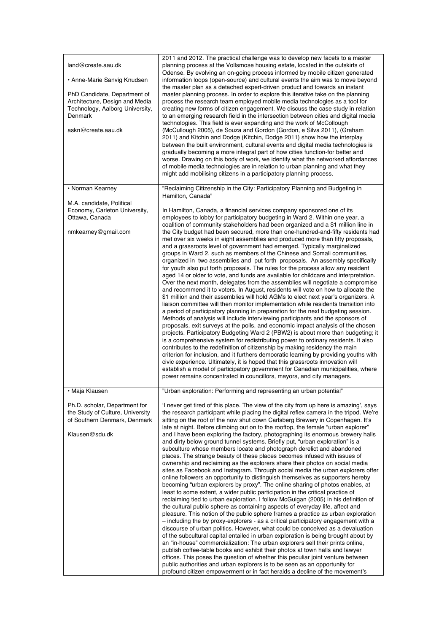| land@create.aau.dk<br>• Anne-Marie Sanvig Knudsen<br>PhD Candidate, Department of<br>Architecture, Design and Media<br>Technology, Aalborg University,<br>Denmark<br>askn@create.aau.dk | 2011 and 2012. The practical challenge was to develop new facets to a master<br>planning process at the Vollsmose housing estate, located in the outskirts of<br>Odense. By evolving an on-going process informed by mobile citizen generated<br>information loops (open-source) and cultural events the aim was to move beyond<br>the master plan as a detached expert-driven product and towards an instant<br>master planning process. In order to explore this iterative take on the planning<br>process the research team employed mobile media technologies as a tool for<br>creating new forms of citizen engagement. We discuss the case study in relation<br>to an emerging research field in the intersection between cities and digital media<br>technologies. This field is ever expanding and the work of McCollough<br>(McCullough 2005), de Souza and Gordon (Gordon, e Silva 2011), (Graham<br>2011) and Kitchin and Dodge (Kitchin, Dodge 2011) show how the interplay<br>between the built environment, cultural events and digital media technologies is<br>gradually becoming a more integral part of how cities function-for better and<br>worse. Drawing on this body of work, we identify what the networked affordances<br>of mobile media technologies are in relation to urban planning and what they<br>might add mobilising citizens in a participatory planning process.                                                                                                                                                                                                                                                                                                                                                                                                                                                                                                                                                                                                                                              |
|-----------------------------------------------------------------------------------------------------------------------------------------------------------------------------------------|----------------------------------------------------------------------------------------------------------------------------------------------------------------------------------------------------------------------------------------------------------------------------------------------------------------------------------------------------------------------------------------------------------------------------------------------------------------------------------------------------------------------------------------------------------------------------------------------------------------------------------------------------------------------------------------------------------------------------------------------------------------------------------------------------------------------------------------------------------------------------------------------------------------------------------------------------------------------------------------------------------------------------------------------------------------------------------------------------------------------------------------------------------------------------------------------------------------------------------------------------------------------------------------------------------------------------------------------------------------------------------------------------------------------------------------------------------------------------------------------------------------------------------------------------------------------------------------------------------------------------------------------------------------------------------------------------------------------------------------------------------------------------------------------------------------------------------------------------------------------------------------------------------------------------------------------------------------------------------------------------------------------------------------------------|
| • Norman Kearney                                                                                                                                                                        | "Reclaiming Citizenship in the City: Participatory Planning and Budgeting in<br>Hamilton, Canada"                                                                                                                                                                                                                                                                                                                                                                                                                                                                                                                                                                                                                                                                                                                                                                                                                                                                                                                                                                                                                                                                                                                                                                                                                                                                                                                                                                                                                                                                                                                                                                                                                                                                                                                                                                                                                                                                                                                                                  |
| M.A. candidate, Political<br>Economy, Carleton University,<br>Ottawa, Canada<br>nmkearney@gmail.com                                                                                     | In Hamilton, Canada, a financial services company sponsored one of its<br>employees to lobby for participatory budgeting in Ward 2. Within one year, a<br>coalition of community stakeholders had been organized and a \$1 million line in<br>the City budget had been secured, more than one-hundred-and-fifty residents had<br>met over six weeks in eight assemblies and produced more than fifty proposals,<br>and a grassroots level of government had emerged. Typically marginalized<br>groups in Ward 2, such as members of the Chinese and Somali communities,<br>organized in two assemblies and put forth proposals. An assembly specifically<br>for youth also put forth proposals. The rules for the process allow any resident<br>aged 14 or older to vote, and funds are available for childcare and interpretation.<br>Over the next month, delegates from the assemblies will negotiate a compromise<br>and recommend it to voters. In August, residents will vote on how to allocate the<br>\$1 million and their assemblies will hold AGMs to elect next year's organizers. A<br>liaison committee will then monitor implementation while residents transition into<br>a period of participatory planning in preparation for the next budgeting session.<br>Methods of analysis will include interviewing participants and the sponsors of<br>proposals, exit surveys at the polls, and economic impact analysis of the chosen<br>projects. Participatory Budgeting Ward 2 (PBW2) is about more than budgeting; it<br>is a comprehensive system for redistributing power to ordinary residents. It also<br>contributes to the redefinition of citizenship by making residency the main<br>criterion for inclusion, and it furthers democratic learning by providing youths with<br>civic experience. Ultimately, it is hoped that this grassroots innovation will<br>establish a model of participatory government for Canadian municipalities, where<br>power remains concentrated in councillors, mayors, and city managers.  |
| • Maja Klausen                                                                                                                                                                          | "Urban exploration: Performing and representing an urban potential"                                                                                                                                                                                                                                                                                                                                                                                                                                                                                                                                                                                                                                                                                                                                                                                                                                                                                                                                                                                                                                                                                                                                                                                                                                                                                                                                                                                                                                                                                                                                                                                                                                                                                                                                                                                                                                                                                                                                                                                |
| Ph.D. scholar, Department for<br>the Study of Culture, University<br>of Southern Denmark, Denmark<br>Klausen@sdu.dk                                                                     | I never get tired of this place. The view of the city from up here is amazing', says<br>the research participant while placing the digital reflex camera in the tripod. We're<br>sitting on the roof of the now shut down Carlsberg Brewery in Copenhagen. It's<br>late at night. Before climbing out on to the rooftop, the female "urban explorer"<br>and I have been exploring the factory, photographing its enormous brewery halls<br>and dirty below ground tunnel systems. Briefly put, "urban exploration" is a<br>subculture whose members locate and photograph derelict and abandoned<br>places. The strange beauty of these places becomes infused with issues of<br>ownership and reclaiming as the explorers share their photos on social media<br>sites as Facebook and Instagram. Through social media the urban explorers offer<br>online followers an opportunity to distinguish themselves as supporters hereby<br>becoming "urban explorers by proxy". The online sharing of photos enables, at<br>least to some extent, a wider public participation in the critical practice of<br>reclaiming tied to urban exploration. I follow McGuigan (2005) in his definition of<br>the cultural public sphere as containing aspects of everyday life, affect and<br>pleasure. This notion of the public sphere frames a practice as urban exploration<br>- including the by proxy-explorers - as a critical participatory engagement with a<br>discourse of urban politics. However, what could be conceived as a devaluation<br>of the subcultural capital entailed in urban exploration is being brought about by<br>an "in-house" commercialization: The urban explorers sell their prints online,<br>publish coffee-table books and exhibit their photos at town halls and lawyer<br>offices. This poses the question of whether this peculiar joint venture between<br>public authorities and urban explorers is to be seen as an opportunity for<br>profound citizen empowerment or in fact heralds a decline of the movement's |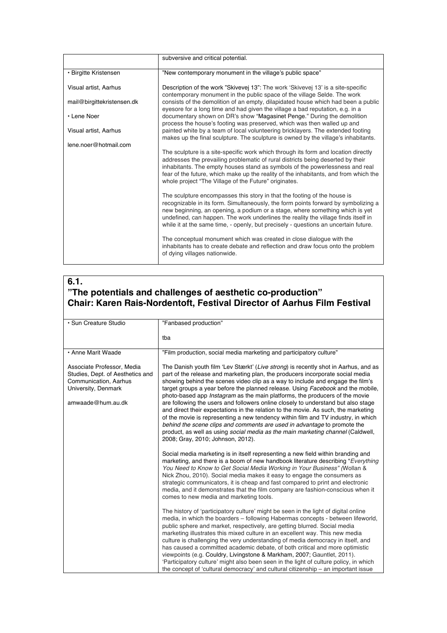|                            | subversive and critical potential.                                                                                                                                                                                                                                                                                                                                                                                          |
|----------------------------|-----------------------------------------------------------------------------------------------------------------------------------------------------------------------------------------------------------------------------------------------------------------------------------------------------------------------------------------------------------------------------------------------------------------------------|
| • Birgitte Kristensen      | "New contemporary monument in the village's public space"                                                                                                                                                                                                                                                                                                                                                                   |
| Visual artist. Aarhus      | Description of the work "Skivevej 13": The work 'Skivevej 13' is a site-specific<br>contemporary monument in the public space of the village Selde. The work                                                                                                                                                                                                                                                                |
| mail@birgittekristensen.dk | consists of the demolition of an empty, dilapidated house which had been a public<br>eyesore for a long time and had given the village a bad reputation, e.g. in a                                                                                                                                                                                                                                                          |
| • Lene Noer                | documentary shown on DR's show "Magasinet Penge." During the demolition<br>process the house's footing was preserved, which was then walled up and                                                                                                                                                                                                                                                                          |
| Visual artist, Aarhus      | painted white by a team of local volunteering bricklayers. The extended footing<br>makes up the final sculpture. The sculpture is owned by the village's inhabitants.                                                                                                                                                                                                                                                       |
| lene.noer@hotmail.com      |                                                                                                                                                                                                                                                                                                                                                                                                                             |
|                            | The sculpture is a site-specific work which through its form and location directly<br>addresses the prevailing problematic of rural districts being deserted by their<br>inhabitants. The empty houses stand as symbols of the powerlessness and real<br>fear of the future, which make up the reality of the inhabitants, and from which the<br>whole project "The Village of the Future" originates.                      |
|                            | The sculpture encompasses this story in that the footing of the house is<br>recognizable in its form. Simultaneously, the form points forward by symbolizing a<br>new beginning, an opening, a podium or a stage, where something which is yet<br>undefined, can happen. The work underlines the reality the village finds itself in<br>while it at the same time, - openly, but precisely - questions an uncertain future. |
|                            | The conceptual monument which was created in close dialogue with the<br>inhabitants has to create debate and reflection and draw focus onto the problem<br>of dying villages nationwide.                                                                                                                                                                                                                                    |

# **6.1. "The potentials and challenges of aesthetic co-production" Chair: Karen Rais-Nordentoft, Festival Director of Aarhus Film Festival**

| · Sun Creature Studio                                                                                                               | "Fanbased production"                                                                                                                                                                                                                                                                                                                                                                                                                                                                                                                                                                                                                                                                                                                                                                                                                                                                                       |
|-------------------------------------------------------------------------------------------------------------------------------------|-------------------------------------------------------------------------------------------------------------------------------------------------------------------------------------------------------------------------------------------------------------------------------------------------------------------------------------------------------------------------------------------------------------------------------------------------------------------------------------------------------------------------------------------------------------------------------------------------------------------------------------------------------------------------------------------------------------------------------------------------------------------------------------------------------------------------------------------------------------------------------------------------------------|
|                                                                                                                                     | tba                                                                                                                                                                                                                                                                                                                                                                                                                                                                                                                                                                                                                                                                                                                                                                                                                                                                                                         |
| • Anne Marit Waade                                                                                                                  | "Film production, social media marketing and participatory culture"                                                                                                                                                                                                                                                                                                                                                                                                                                                                                                                                                                                                                                                                                                                                                                                                                                         |
| Associate Professor, Media<br>Studies, Dept. of Aesthetics and<br>Communication, Aarhus<br>University, Denmark<br>amwaade@hum.au.dk | The Danish youth film 'Lev Stærkt' (Live strong) is recently shot in Aarhus, and as<br>part of the release and marketing plan, the producers incorporate social media<br>showing behind the scenes video clip as a way to include and engage the film's<br>target groups a year before the planned release. Using Facebook and the mobile,<br>photo-based app <i>Instagram</i> as the main platforms, the producers of the movie<br>are following the users and followers online closely to understand but also stage<br>and direct their expectations in the relation to the movie. As such, the marketing<br>of the movie is representing a new tendency within film and TV industry, in which<br>behind the scene clips and comments are used in advantage to promote the<br>product, as well as using <i>social media as the main marketing channel</i> (Caldwell,<br>2008; Gray, 2010; Johnson, 2012). |
|                                                                                                                                     | Social media marketing is in itself representing a new field within branding and<br>marketing, and there is a boom of new handbook literature describing "Everything"<br>You Need to Know to Get Social Media Working in Your Business" (Wollan &<br>Nick Zhou, 2010). Social media makes it easy to engage the consumers as<br>strategic communicators, it is cheap and fast compared to print and electronic<br>media, and it demonstrates that the film company are fashion-conscious when it<br>comes to new media and marketing tools.                                                                                                                                                                                                                                                                                                                                                                 |
|                                                                                                                                     | The history of 'participatory culture' might be seen in the light of digital online<br>media, in which the boarders - following Habermas concepts - between lifeworld,<br>public sphere and market, respectively, are getting blurred. Social media<br>marketing illustrates this mixed culture in an excellent way. This new media<br>culture is challenging the very understanding of media democracy in itself, and<br>has caused a committed academic debate, of both critical and more optimistic<br>viewpoints (e.g. Couldry, Livingstone & Markham, 2007; Gauntlet, 2011).<br>'Participatory culture' might also been seen in the light of culture policy, in which<br>the concept of 'cultural democracy' and cultural citizenship – an important issue                                                                                                                                             |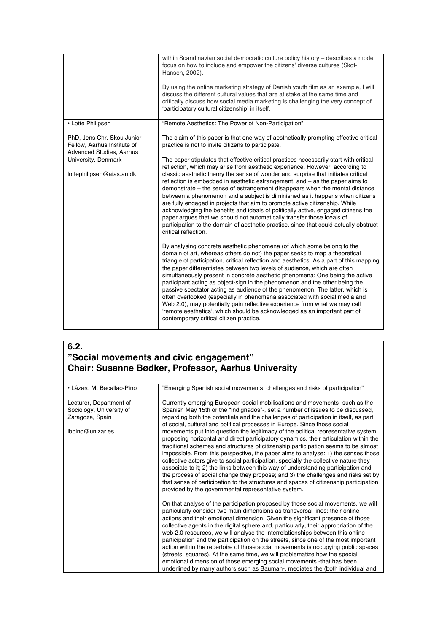|                                                                                              | within Scandinavian social democratic culture policy history - describes a model<br>focus on how to include and empower the citizens' diverse cultures (Skot-<br>Hansen, 2002).<br>By using the online marketing strategy of Danish youth film as an example, I will<br>discuss the different cultural values that are at stake at the same time and                                                                                                                                                                                                                                                                                                                                                                                                                                                                                                            |
|----------------------------------------------------------------------------------------------|-----------------------------------------------------------------------------------------------------------------------------------------------------------------------------------------------------------------------------------------------------------------------------------------------------------------------------------------------------------------------------------------------------------------------------------------------------------------------------------------------------------------------------------------------------------------------------------------------------------------------------------------------------------------------------------------------------------------------------------------------------------------------------------------------------------------------------------------------------------------|
|                                                                                              | critically discuss how social media marketing is challenging the very concept of<br>'participatory cultural citizenship' in itself.                                                                                                                                                                                                                                                                                                                                                                                                                                                                                                                                                                                                                                                                                                                             |
| • Lotte Philipsen                                                                            | "Remote Aesthetics: The Power of Non-Participation"                                                                                                                                                                                                                                                                                                                                                                                                                                                                                                                                                                                                                                                                                                                                                                                                             |
| PhD, Jens Chr. Skou Junior<br>Fellow, Aarhus Institute of<br><b>Advanced Studies, Aarhus</b> | The claim of this paper is that one way of aesthetically prompting effective critical<br>practice is not to invite citizens to participate.                                                                                                                                                                                                                                                                                                                                                                                                                                                                                                                                                                                                                                                                                                                     |
| University, Denmark                                                                          | The paper stipulates that effective critical practices necessarily start with critical<br>reflection, which may arise from aesthetic experience. However, according to                                                                                                                                                                                                                                                                                                                                                                                                                                                                                                                                                                                                                                                                                          |
| lottephilipsen@aias.au.dk                                                                    | classic aesthetic theory the sense of wonder and surprise that initiates critical<br>reflection is embedded in aesthetic estrangement, and $-$ as the paper aims to<br>demonstrate – the sense of estrangement disappears when the mental distance<br>between a phenomenon and a subject is diminished as it happens when citizens<br>are fully engaged in projects that aim to promote active citizenship. While<br>acknowledging the benefits and ideals of politically active, engaged citizens the<br>paper argues that we should not automatically transfer those ideals of<br>participation to the domain of aesthetic practice, since that could actually obstruct<br>critical reflection.                                                                                                                                                               |
|                                                                                              | By analysing concrete aesthetic phenomena (of which some belong to the<br>domain of art, whereas others do not) the paper seeks to map a theoretical<br>triangle of participation, critical reflection and aesthetics. As a part of this mapping<br>the paper differentiates between two levels of audience, which are often<br>simultaneously present in concrete aesthetic phenomena: One being the active<br>participant acting as object-sign in the phenomenon and the other being the<br>passive spectator acting as audience of the phenomenon. The latter, which is<br>often overlooked (especially in phenomena associated with social media and<br>Web 2.0), may potentially gain reflective experience from what we may call<br>'remote aesthetics', which should be acknowledged as an important part of<br>contemporary critical citizen practice. |

## **6.2. "Social movements and civic engagement" Chair: Susanne Bødker, Professor, Aarhus University**

| • Lázaro M. Bacallao-Pino                                                                  | "Emerging Spanish social movements: challenges and risks of participation"                                                                                                                                                                                                                                                                                                                                                                                                                                                                                                                                                                                                                                                                                      |
|--------------------------------------------------------------------------------------------|-----------------------------------------------------------------------------------------------------------------------------------------------------------------------------------------------------------------------------------------------------------------------------------------------------------------------------------------------------------------------------------------------------------------------------------------------------------------------------------------------------------------------------------------------------------------------------------------------------------------------------------------------------------------------------------------------------------------------------------------------------------------|
| Lecturer, Department of<br>Sociology, University of<br>Zaragoza, Spain<br>lbpino@unizar.es | Currently emerging European social mobilisations and movements - such as the<br>Spanish May 15th or the "Indignados"-, set a number of issues to be discussed,<br>regarding both the potentials and the challenges of participation in itself, as part<br>of social, cultural and political processes in Europe. Since those social<br>movements put into question the legitimacy of the political representative system,<br>proposing horizontal and direct participatory dynamics, their articulation within the<br>traditional schemes and structures of citizenship participation seems to be almost<br>impossible. From this perspective, the paper aims to analyse: 1) the senses those                                                                   |
|                                                                                            | collective actors give to social participation, specially the collective nature they<br>associate to it; 2) the links between this way of understanding participation and<br>the process of social change they propose; and 3) the challenges and risks set by<br>that sense of participation to the structures and spaces of citizenship participation<br>provided by the governmental representative system.                                                                                                                                                                                                                                                                                                                                                  |
|                                                                                            | On that analyse of the participation proposed by those social movements, we will<br>particularly consider two main dimensions as transversal lines: their online<br>actions and their emotional dimension. Given the significant presence of those<br>collective agents in the digital sphere and, particularly, their appropriation of the<br>web 2.0 resources, we will analyse the interrelationships between this online<br>participation and the participation on the streets, since one of the most important<br>action within the repertoire of those social movements is occupying public spaces<br>(streets, squares). At the same time, we will problematize how the special<br>emotional dimension of those emerging social movements -that has been |
|                                                                                            | underlined by many authors such as Bauman-, mediates the (both individual and                                                                                                                                                                                                                                                                                                                                                                                                                                                                                                                                                                                                                                                                                   |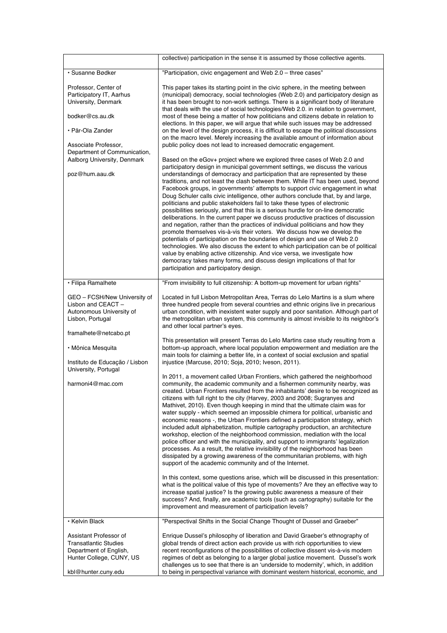|                                                                                                                                        | collective) participation in the sense it is assumed by those collective agents.                                                                                                                                                                                                                                                                                                                                                                                                                                                                                                                                                                                                                                                                                                                                                                                                                                                                                                                                                                                                                                                                                                                                                                                                               |
|----------------------------------------------------------------------------------------------------------------------------------------|------------------------------------------------------------------------------------------------------------------------------------------------------------------------------------------------------------------------------------------------------------------------------------------------------------------------------------------------------------------------------------------------------------------------------------------------------------------------------------------------------------------------------------------------------------------------------------------------------------------------------------------------------------------------------------------------------------------------------------------------------------------------------------------------------------------------------------------------------------------------------------------------------------------------------------------------------------------------------------------------------------------------------------------------------------------------------------------------------------------------------------------------------------------------------------------------------------------------------------------------------------------------------------------------|
| • Susanne Bødker                                                                                                                       | "Participation, civic engagement and Web 2.0 - three cases"                                                                                                                                                                                                                                                                                                                                                                                                                                                                                                                                                                                                                                                                                                                                                                                                                                                                                                                                                                                                                                                                                                                                                                                                                                    |
| Professor, Center of<br>Participatory IT, Aarhus<br>University, Denmark<br>bodker@cs.au.dk<br>• Pär-Ola Zander<br>Associate Professor, | This paper takes its starting point in the civic sphere, in the meeting between<br>(municipal) democracy, social technologies (Web 2.0) and participatory design as<br>it has been brought to non-work settings. There is a significant body of literature<br>that deals with the use of social technologies/Web 2.0. in relation to government,<br>most of these being a matter of how politicians and citizens debate in relation to<br>elections. In this paper, we will argue that while such issues may be addressed<br>on the level of the design process, it is difficult to escape the political discussions<br>on the macro level. Merely increasing the available amount of information about<br>public policy does not lead to increased democratic engagement.                                                                                                                                                                                                                                                                                                                                                                                                                                                                                                                     |
| Department of Communication,<br>Aalborg University, Denmark<br>poz@hum.aau.dk                                                          | Based on the eGov+ project where we explored three cases of Web 2.0 and<br>participatory design in municipal government settings, we discuss the various<br>understandings of democracy and participation that are represented by these<br>traditions, and not least the clash between them. While IT has been used, beyond<br>Facebook groups, in governments' attempts to support civic engagement in what<br>Doug Schuler calls civic intelligence, other authors conclude that, by and large,<br>politicians and public stakeholders fail to take these types of electronic<br>possibilities seriously, and that this is a serious hurdle for on-line democratic<br>deliberations. In the current paper we discuss productive practices of discussion<br>and negation, rather than the practices of individual politicians and how they<br>promote themselves vis-à-vis their voters. We discuss how we develop the<br>potentials of participation on the boundaries of design and use of Web 2.0<br>technologies. We also discuss the extent to which participation can be of political<br>value by enabling active citizenship. And vice versa, we investigate how<br>democracy takes many forms, and discuss design implications of that for<br>participation and participatory design. |
| · Filipa Ramalhete                                                                                                                     | "From invisibility to full citizenship: A bottom-up movement for urban rights"                                                                                                                                                                                                                                                                                                                                                                                                                                                                                                                                                                                                                                                                                                                                                                                                                                                                                                                                                                                                                                                                                                                                                                                                                 |
| GEO - FCSH/New University of<br>Lisbon and CEACT -<br>Autonomous University of<br>Lisbon, Portugal                                     | Located in full Lisbon Metropolitan Area, Terras do Lelo Martins is a slum where<br>three hundred people from several countries and ethnic origins live in precarious<br>urban condition, with inexistent water supply and poor sanitation. Although part of<br>the metropolitan urban system, this community is almost invisible to its neighbor's<br>and other local partner's eyes.                                                                                                                                                                                                                                                                                                                                                                                                                                                                                                                                                                                                                                                                                                                                                                                                                                                                                                         |
| framalhete@netcabo.pt<br>· Mônica Mesquita<br>Instituto de Educação / Lisbon                                                           | This presentation will present Terras do Lelo Martins case study resulting from a<br>bottom-up approach, where local population empowerment and mediation are the<br>main tools for claiming a better life, in a context of social exclusion and spatial<br>injustice (Marcuse, 2010; Soja, 2010; Iveson, 2011).                                                                                                                                                                                                                                                                                                                                                                                                                                                                                                                                                                                                                                                                                                                                                                                                                                                                                                                                                                               |
| University, Portugal<br>harmoni4@mac.com                                                                                               | In 2011, a movement called Urban Frontiers, which gathered the neighborhood<br>community, the academic community and a fishermen community nearby, was<br>created. Urban Frontiers resulted from the inhabitants' desire to be recognized as<br>citizens with full right to the city (Harvey, 2003 and 2008; Sugranyes and<br>Mathivet, 2010). Even though keeping in mind that the ultimate claim was for<br>water supply - which seemed an impossible chimera for political, urbanistic and<br>economic reasons -, the Urban Frontiers defined a participation strategy, which<br>included adult alphabetization, multiple cartography production, an architecture<br>workshop, election of the neighborhood commission, mediation with the local<br>police officer and with the municipality, and support to immigrants' legalization<br>processes. As a result, the relative invisibility of the neighborhood has been<br>dissipated by a growing awareness of the communitarian problems, with high<br>support of the academic community and of the Internet.                                                                                                                                                                                                                             |
|                                                                                                                                        | In this context, some questions arise, which will be discussed in this presentation:<br>what is the political value of this type of movements? Are they an effective way to<br>increase spatial justice? Is the growing public awareness a measure of their<br>success? And, finally, are academic tools (such as cartography) suitable for the<br>improvement and measurement of participation levels?                                                                                                                                                                                                                                                                                                                                                                                                                                                                                                                                                                                                                                                                                                                                                                                                                                                                                        |
| • Kelvin Black                                                                                                                         | "Perspectival Shifts in the Social Change Thought of Dussel and Graeber"                                                                                                                                                                                                                                                                                                                                                                                                                                                                                                                                                                                                                                                                                                                                                                                                                                                                                                                                                                                                                                                                                                                                                                                                                       |
| Assistant Professor of<br><b>Transatlantic Studies</b><br>Department of English,<br>Hunter College, CUNY, US<br>kbl@hunter.cuny.edu    | Enrique Dussel's philosophy of liberation and David Graeber's ethnography of<br>global trends of direct action each provide us with rich opportunities to view<br>recent reconfigurations of the possibilities of collective dissent vis-à-vis modern<br>regimes of debt as belonging to a larger global justice movement. Dussel's work<br>challenges us to see that there is an 'underside to modernity', which, in addition<br>to being in perspectival variance with dominant western historical, economic, and                                                                                                                                                                                                                                                                                                                                                                                                                                                                                                                                                                                                                                                                                                                                                                            |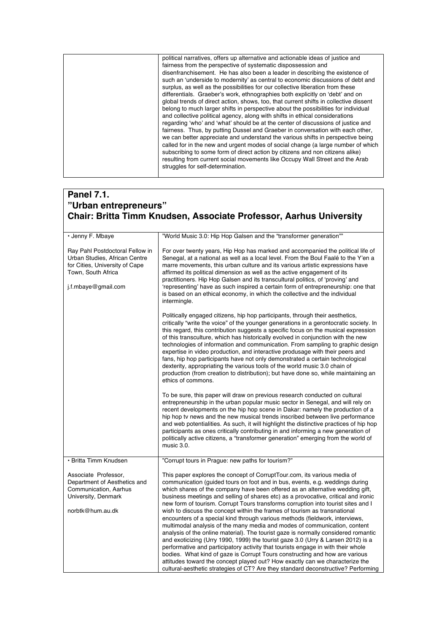| political narratives, offers up alternative and actionable ideas of justice and       |
|---------------------------------------------------------------------------------------|
| fairness from the perspective of systematic dispossession and                         |
| disenfranchisement. He has also been a leader in describing the existence of          |
| such an 'underside to modernity' as central to economic discussions of debt and       |
| surplus, as well as the possibilities for our collective liberation from these        |
| differentials. Graeber's work, ethnographies both explicitly on 'debt' and on         |
| global trends of direct action, shows, too, that current shifts in collective dissent |
| belong to much larger shifts in perspective about the possibilities for individual    |
| and collective political agency, along with shifts in ethical considerations          |
| regarding 'who' and 'what' should be at the center of discussions of justice and      |
| fairness. Thus, by putting Dussel and Graeber in conversation with each other,        |
| we can better appreciate and understand the various shifts in perspective being       |
| called for in the new and urgent modes of social change (a large number of which      |
| subscribing to some form of direct action by citizens and non citizens alike)         |
| resulting from current social movements like Occupy Wall Street and the Arab          |
| struggles for self-determination.                                                     |
|                                                                                       |

# **Panel 7.1. "Urban entrepreneurs" Chair: Britta Timm Knudsen, Associate Professor, Aarhus University**

| • Jenny F. Mbaye                                                                                                                                | "World Music 3.0: Hip Hop Galsen and the "transformer generation""                                                                                                                                                                                                                                                                                                                                                                                                                                                                                                                                                                                                                                                                                                                                                                                                                                                                                                                                                                                                                                                                                                               |
|-------------------------------------------------------------------------------------------------------------------------------------------------|----------------------------------------------------------------------------------------------------------------------------------------------------------------------------------------------------------------------------------------------------------------------------------------------------------------------------------------------------------------------------------------------------------------------------------------------------------------------------------------------------------------------------------------------------------------------------------------------------------------------------------------------------------------------------------------------------------------------------------------------------------------------------------------------------------------------------------------------------------------------------------------------------------------------------------------------------------------------------------------------------------------------------------------------------------------------------------------------------------------------------------------------------------------------------------|
| Ray Pahl Postdoctoral Fellow in<br>Urban Studies, African Centre<br>for Cities, University of Cape<br>Town, South Africa<br>j.f.mbaye@gmail.com | For over twenty years, Hip Hop has marked and accompanied the political life of<br>Senegal, at a national as well as a local level. From the Boul Faalé to the Y'en a<br>marre movements, this urban culture and its various artistic expressions have<br>affirmed its political dimension as well as the active engagement of its<br>practitioners. Hip Hop Galsen and its transcultural politics, of 'proving' and<br>'representing' have as such inspired a certain form of entrepreneurship: one that<br>is based on an ethical economy, in which the collective and the individual<br>intermingle.                                                                                                                                                                                                                                                                                                                                                                                                                                                                                                                                                                          |
|                                                                                                                                                 | Politically engaged citizens, hip hop participants, through their aesthetics,<br>critically "write the voice" of the younger generations in a gerontocratic society. In<br>this regard, this contribution suggests a specific focus on the musical expression<br>of this transculture, which has historically evolved in conjunction with the new<br>technologies of information and communication. From sampling to graphic design<br>expertise in video production, and interactive produsage with their peers and<br>fans, hip hop participants have not only demonstrated a certain technological<br>dexterity, appropriating the various tools of the world music 3.0 chain of<br>production (from creation to distribution); but have done so, while maintaining an<br>ethics of commons.                                                                                                                                                                                                                                                                                                                                                                                  |
|                                                                                                                                                 | To be sure, this paper will draw on previous research conducted on cultural<br>entrepreneurship in the urban popular music sector in Senegal, and will rely on<br>recent developments on the hip hop scene in Dakar: namely the production of a<br>hip hop tv news and the new musical trends inscribed between live performance<br>and web potentialities. As such, it will highlight the distinctive practices of hip hop<br>participants as ones critically contributing in and informing a new generation of<br>politically active citizens, a "transformer generation" emerging from the world of<br>music 3.0.                                                                                                                                                                                                                                                                                                                                                                                                                                                                                                                                                             |
| • Britta Timm Knudsen                                                                                                                           | "Corrupt tours in Praque: new paths for tourism?"                                                                                                                                                                                                                                                                                                                                                                                                                                                                                                                                                                                                                                                                                                                                                                                                                                                                                                                                                                                                                                                                                                                                |
| Associate Professor,<br>Department of Aesthetics and<br>Communication, Aarhus<br>University, Denmark<br>norbtk@hum.au.dk                        | This paper explores the concept of CorruptTour.com, its various media of<br>communication (guided tours on foot and in bus, events, e.g. weddings during<br>which shares of the company have been offered as an alternative wedding gift,<br>business meetings and selling of shares etc) as a provocative, critical and ironic<br>new form of tourism. Corrupt Tours transforms corruption into tourist sites and I<br>wish to discuss the concept within the frames of tourism as transnational<br>encounters of a special kind through various methods (fieldwork, interviews,<br>multimodal analysis of the many media and modes of communication, content<br>analysis of the online material). The tourist gaze is normally considered romantic<br>and exoticizing (Urry 1990, 1999) the tourist gaze 3.0 (Urry & Larsen 2012) is a<br>performative and participatory activity that tourists engage in with their whole<br>bodies. What kind of gaze is Corrupt Tours constructing and how are various<br>attitudes toward the concept played out? How exactly can we characterize the<br>cultural-aesthetic strategies of CT? Are they standard deconstructive? Performing |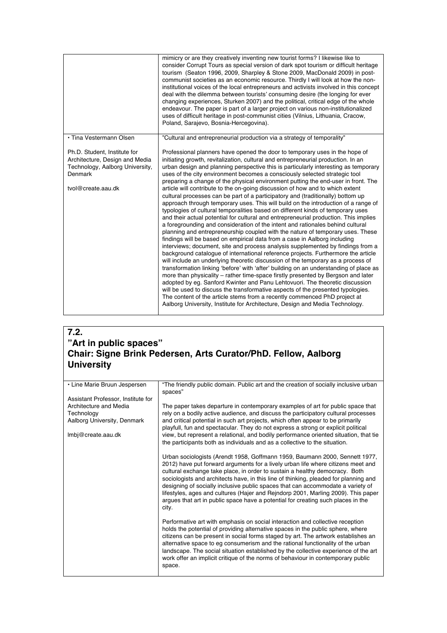|                                                                                                                                    | mimicry or are they creatively inventing new tourist forms? I likewise like to<br>consider Corrupt Tours as special version of dark spot tourism or difficult heritage<br>tourism (Seaton 1996, 2009, Sharpley & Stone 2009, MacDonald 2009) in post-<br>communist societies as an economic resource. Thirdly I will look at how the non-<br>institutional voices of the local entrepreneurs and activists involved in this concept<br>deal with the dilemma between tourists' consuming desire (the longing for ever<br>changing experiences, Sturken 2007) and the political, critical edge of the whole<br>endeavour. The paper is part of a larger project on various non-institutionalized<br>uses of difficult heritage in post-communist cities (Vilnius, Lithuania, Cracow,<br>Poland, Sarajevo, Bosnia-Hercegovina).                                                                                                                                                                                                                                                                                                                                                                                                                                                                                                                                                                                                                                                                                                                                                                                                                                                                                                                                                                                                                                                             |
|------------------------------------------------------------------------------------------------------------------------------------|-------------------------------------------------------------------------------------------------------------------------------------------------------------------------------------------------------------------------------------------------------------------------------------------------------------------------------------------------------------------------------------------------------------------------------------------------------------------------------------------------------------------------------------------------------------------------------------------------------------------------------------------------------------------------------------------------------------------------------------------------------------------------------------------------------------------------------------------------------------------------------------------------------------------------------------------------------------------------------------------------------------------------------------------------------------------------------------------------------------------------------------------------------------------------------------------------------------------------------------------------------------------------------------------------------------------------------------------------------------------------------------------------------------------------------------------------------------------------------------------------------------------------------------------------------------------------------------------------------------------------------------------------------------------------------------------------------------------------------------------------------------------------------------------------------------------------------------------------------------------------------------------|
| • Tina Vestermann Olsen                                                                                                            | "Cultural and entrepreneurial production via a strategy of temporality"                                                                                                                                                                                                                                                                                                                                                                                                                                                                                                                                                                                                                                                                                                                                                                                                                                                                                                                                                                                                                                                                                                                                                                                                                                                                                                                                                                                                                                                                                                                                                                                                                                                                                                                                                                                                                   |
| Ph.D. Student, Institute for<br>Architecture, Design and Media<br>Technology, Aalborg University,<br>Denmark<br>tvol@create.aau.dk | Professional planners have opened the door to temporary uses in the hope of<br>initiating growth, revitalization, cultural and entrepreneurial production. In an<br>urban design and planning perspective this is particularly interesting as temporary<br>uses of the city environment becomes a consciously selected strategic tool<br>preparing a change of the physical environment putting the end-user in front. The<br>article will contribute to the on-going discussion of how and to which extent<br>cultural processes can be part of a participatory and (traditionally) bottom up<br>approach through temporary uses. This will build on the introduction of a range of<br>typologies of cultural temporalities based on different kinds of temporary uses<br>and their actual potential for cultural and entrepreneurial production. This implies<br>a foregrounding and consideration of the intent and rationales behind cultural<br>planning and entrepreneurship coupled with the nature of temporary uses. These<br>findings will be based on empirical data from a case in Aalborg including<br>interviews; document, site and process analysis supplemented by findings from a<br>background catalogue of international reference projects. Furthermore the article<br>will include an underlying theoretic discussion of the temporary as a process of<br>transformation linking 'before' with 'after' building on an understanding of place as<br>more than physicality – rather time-space firstly presented by Bergson and later<br>adopted by eg. Sanford Kwinter and Panu Lehtovuori. The theoretic discussion<br>will be used to discuss the transformative aspects of the presented typologies.<br>The content of the article stems from a recently commenced PhD project at<br>Aalborg University, Institute for Architecture, Design and Media Technology. |

### **7.2. "Art in public spaces" Chair: Signe Brink Pedersen, Arts Curator/PhD. Fellow, Aalborg University**

| • Line Marie Bruun Jespersen       | "The friendly public domain. Public art and the creation of socially inclusive urban<br>spaces"                                                                                                                                                                                                                                                                                                                                                                                                                                                                                                             |
|------------------------------------|-------------------------------------------------------------------------------------------------------------------------------------------------------------------------------------------------------------------------------------------------------------------------------------------------------------------------------------------------------------------------------------------------------------------------------------------------------------------------------------------------------------------------------------------------------------------------------------------------------------|
| Assistant Professor, Institute for |                                                                                                                                                                                                                                                                                                                                                                                                                                                                                                                                                                                                             |
| Architecture and Media             | The paper takes departure in contemporary examples of art for public space that                                                                                                                                                                                                                                                                                                                                                                                                                                                                                                                             |
| Technology                         | rely on a bodily active audience, and discuss the participatory cultural processes                                                                                                                                                                                                                                                                                                                                                                                                                                                                                                                          |
| Aalborg University, Denmark        | and critical potential in such art projects, which often appear to be primarily<br>playfull, fun and spectacular. They do not express a strong or explicit political                                                                                                                                                                                                                                                                                                                                                                                                                                        |
| Imbj@create.aau.dk                 | view, but represent a relational, and bodily performance oriented situation, that tie<br>the participants both as individuals and as a collective to the situation.                                                                                                                                                                                                                                                                                                                                                                                                                                         |
|                                    | Urban sociologists (Arendt 1958, Goffmann 1959, Baumann 2000, Sennett 1977,<br>2012) have put forward arguments for a lively urban life where citizens meet and<br>cultural exchange take place, in order to sustain a healthy democracy. Both<br>sociologists and architects have, in this line of thinking, pleaded for planning and<br>designing of socially inclusive public spaces that can accommodate a variety of<br>lifestyles, ages and cultures (Hajer and Rejndorp 2001, Marling 2009). This paper<br>argues that art in public space have a potential for creating such places in the<br>city. |
|                                    | Performative art with emphasis on social interaction and collective reception<br>holds the potential of providing alternative spaces in the public sphere, where<br>citizens can be present in social forms staged by art. The artwork establishes an<br>alternative space to eg consumerism and the rational functionality of the urban<br>landscape. The social situation established by the collective experience of the art<br>work offer an implicit critique of the norms of behaviour in contemporary public<br>space.                                                                               |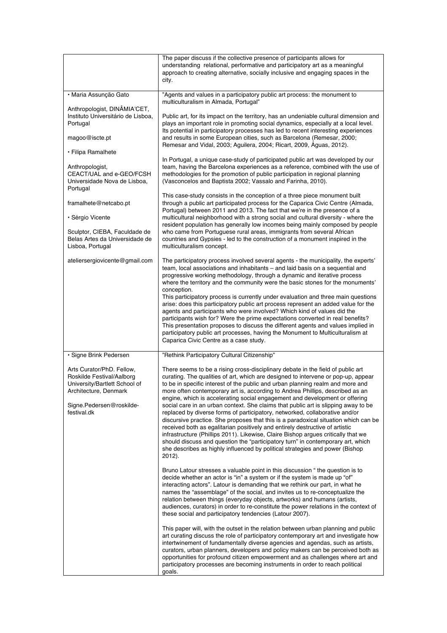|                                                                                                                                                             | The paper discuss if the collective presence of participants allows for<br>understanding relational, performative and participatory art as a meaningful<br>approach to creating alternative, socially inclusive and engaging spaces in the<br>city.                                                                                                                                                                                                                                                                                                                                                                                                                                                                                                                                                                                                                                                                                                                                                                                  |
|-------------------------------------------------------------------------------------------------------------------------------------------------------------|--------------------------------------------------------------------------------------------------------------------------------------------------------------------------------------------------------------------------------------------------------------------------------------------------------------------------------------------------------------------------------------------------------------------------------------------------------------------------------------------------------------------------------------------------------------------------------------------------------------------------------------------------------------------------------------------------------------------------------------------------------------------------------------------------------------------------------------------------------------------------------------------------------------------------------------------------------------------------------------------------------------------------------------|
| · Maria Assunção Gato                                                                                                                                       | "Agents and values in a participatory public art process: the monument to<br>multiculturalism in Almada, Portugal"                                                                                                                                                                                                                                                                                                                                                                                                                                                                                                                                                                                                                                                                                                                                                                                                                                                                                                                   |
| Anthropologist, DINÂMIA'CET,<br>Instituto Universitário de Lisboa,<br>Portugal<br>magoo@iscte.pt                                                            | Public art, for its impact on the territory, has an undeniable cultural dimension and<br>plays an important role in promoting social dynamics, especially at a local level.<br>Its potential in participatory processes has led to recent interesting experiences<br>and results in some European cities, such as Barcelona (Remesar, 2000;<br>Remesar and Vidal, 2003; Aguilera, 2004; Ricart, 2009, Águas, 2012).                                                                                                                                                                                                                                                                                                                                                                                                                                                                                                                                                                                                                  |
| • Filipa Ramalhete<br>Anthropologist,<br>CEACT/UAL and e-GEO/FCSH<br>Universidade Nova de Lisboa,<br>Portugal                                               | In Portugal, a unique case-study of participated public art was developed by our<br>team, having the Barcelona experiences as a reference, combined with the use of<br>methodologies for the promotion of public participation in regional planning<br>(Vasconcelos and Baptista 2002; Vassalo and Farinha, 2010).                                                                                                                                                                                                                                                                                                                                                                                                                                                                                                                                                                                                                                                                                                                   |
| framalhete@netcabo.pt                                                                                                                                       | This case-study consists in the conception of a three piece monument built<br>through a public art participated process for the Caparica Civic Centre (Almada,<br>Portugal) between 2011 and 2013. The fact that we're in the presence of a                                                                                                                                                                                                                                                                                                                                                                                                                                                                                                                                                                                                                                                                                                                                                                                          |
| • Sérgio Vicente                                                                                                                                            | multicultural neighborhood with a strong social and cultural diversity - where the<br>resident population has generally low incomes being mainly composed by people                                                                                                                                                                                                                                                                                                                                                                                                                                                                                                                                                                                                                                                                                                                                                                                                                                                                  |
| Sculptor, CIEBA, Faculdade de<br>Belas Artes da Universidade de<br>Lisboa, Portugal                                                                         | who came from Portuguese rural areas, immigrants from several African<br>countries and Gypsies - led to the construction of a monument inspired in the<br>multiculturalism concept.                                                                                                                                                                                                                                                                                                                                                                                                                                                                                                                                                                                                                                                                                                                                                                                                                                                  |
| ateliersergiovicente@gmail.com                                                                                                                              | The participatory process involved several agents - the municipality, the experts'<br>team, local associations and inhabitants - and laid basis on a sequential and<br>progressive working methodology, through a dynamic and iterative process<br>where the territory and the community were the basic stones for the monuments'<br>conception.                                                                                                                                                                                                                                                                                                                                                                                                                                                                                                                                                                                                                                                                                     |
|                                                                                                                                                             | This participatory process is currently under evaluation and three main questions<br>arise: does this participatory public art process represent an added value for the<br>agents and participants who were involved? Which kind of values did the<br>participants wish for? Were the prime expectations converted in real benefits?<br>This presentation proposes to discuss the different agents and values implied in<br>participatory public art processes, having the Monument to Multiculturalism at<br>Caparica Civic Centre as a case study.                                                                                                                                                                                                                                                                                                                                                                                                                                                                                 |
| · Signe Brink Pedersen                                                                                                                                      | "Rethink Participatory Cultural Citizenship"                                                                                                                                                                                                                                                                                                                                                                                                                                                                                                                                                                                                                                                                                                                                                                                                                                                                                                                                                                                         |
| Arts Curator/PhD. Fellow,<br>Roskilde Festival/Aalborg<br>University/Bartlett School of<br>Architecture, Denmark<br>Signe.Pedersen@roskilde-<br>festival.dk | There seems to be a rising cross-disciplinary debate in the field of public art<br>curating. The qualities of art, which are designed to intervene or pop-up, appear<br>to be in specific interest of the public and urban planning realm and more and<br>more often contemporary art is, according to Andrea Phillips, described as an<br>engine, which is accelerating social engagement and development or offering<br>social care in an urban context. She claims that public art is slipping away to be<br>replaced by diverse forms of participatory, networked, collaborative and/or<br>discursive practice. She proposes that this is a paradoxical situation which can be<br>received both as egalitarian positively and entirely destructive of artistic<br>infrastructure (Phillips 2011). Likewise, Claire Bishop arques critically that we<br>should discuss and question the "participatory turn" in contemporary art, which<br>she describes as highly influenced by political strategies and power (Bishop<br>2012). |
|                                                                                                                                                             | Bruno Latour stresses a valuable point in this discussion "the question is to<br>decide whether an actor is "in" a system or if the system is made up "of"<br>interacting actors". Latour is demanding that we rethink our part, in what he<br>names the "assemblage" of the social, and invites us to re-conceptualize the<br>relation between things (everyday objects, artworks) and humans (artists,<br>audiences, curators) in order to re-constitute the power relations in the context of<br>these social and participatory tendencies (Latour 2007).                                                                                                                                                                                                                                                                                                                                                                                                                                                                         |
|                                                                                                                                                             | This paper will, with the outset in the relation between urban planning and public<br>art curating discuss the role of participatory contemporary art and investigate how<br>intertwinement of fundamentally diverse agencies and agendas, such as artists,<br>curators, urban planners, developers and policy makers can be perceived both as<br>opportunities for profound citizen empowerment and as challenges where art and<br>participatory processes are becoming instruments in order to reach political<br>goals.                                                                                                                                                                                                                                                                                                                                                                                                                                                                                                           |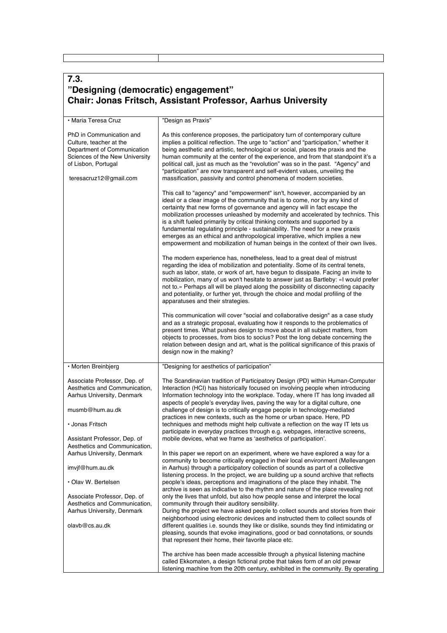| 7.3.                                                                                                                                                                  |                                                                                                                                                                                                                                                                                                                                                                                                                                                                                                                                                                                                                                                                                                                                 |  |
|-----------------------------------------------------------------------------------------------------------------------------------------------------------------------|---------------------------------------------------------------------------------------------------------------------------------------------------------------------------------------------------------------------------------------------------------------------------------------------------------------------------------------------------------------------------------------------------------------------------------------------------------------------------------------------------------------------------------------------------------------------------------------------------------------------------------------------------------------------------------------------------------------------------------|--|
| "Designing (democratic) engagement"<br><b>Chair: Jonas Fritsch, Assistant Professor, Aarhus University</b>                                                            |                                                                                                                                                                                                                                                                                                                                                                                                                                                                                                                                                                                                                                                                                                                                 |  |
| • Maria Teresa Cruz                                                                                                                                                   | "Design as Praxis"                                                                                                                                                                                                                                                                                                                                                                                                                                                                                                                                                                                                                                                                                                              |  |
| PhD in Communication and<br>Culture, teacher at the<br>Department of Communication<br>Sciences of the New University<br>of Lisbon, Portugal<br>teresacruz12@gmail.com | As this conference proposes, the participatory turn of contemporary culture<br>implies a political reflection. The urge to "action" and "participation," whether it<br>being aesthetic and artistic, technological or social, places the praxis and the<br>human community at the center of the experience, and from that standpoint it's a<br>political call, just as much as the "revolution" was so in the past. "Agency" and<br>"participation" are now transparent and self-evident values, unveiling the<br>massification, passivity and control phenomena of modern societies.                                                                                                                                           |  |
|                                                                                                                                                                       | This call to "agency" and "empowerment" isn't, however, accompanied by an<br>ideal or a clear image of the community that is to come, nor by any kind of<br>certainty that new forms of governance and agency will in fact escape the<br>mobilization processes unleashed by modernity and accelerated by technics. This<br>is a shift fueled primarily by critical thinking contexts and supported by a<br>fundamental regulating principle - sustainability. The need for a new praxis<br>emerges as an ethical and anthropological imperative, which implies a new<br>empowerment and mobilization of human beings in the context of their own lives.                                                                        |  |
|                                                                                                                                                                       | The modern experience has, nonetheless, lead to a great deal of mistrust<br>regarding the idea of mobilization and potentiality. Some of its central tenets,<br>such as labor, state, or work of art, have begun to dissipate. Facing an invite to<br>mobilization, many of us won't hesitate to answer just as Bartleby: «I would prefer<br>not to.» Perhaps all will be played along the possibility of disconnecting capacity<br>and potentiality, or further yet, through the choice and modal profiling of the<br>apparatuses and their strategies.                                                                                                                                                                        |  |
|                                                                                                                                                                       | This communication will cover "social and collaborative design" as a case study<br>and as a strategic proposal, evaluating how it responds to the problematics of<br>present times. What pushes design to move about in all subject matters, from<br>objects to processes, from bios to socius? Post the long debate concerning the<br>relation between design and art, what is the political significance of this praxis of<br>design now in the making?                                                                                                                                                                                                                                                                       |  |
| · Morten Breinbjerg                                                                                                                                                   | "Designing for aesthetics of participation"                                                                                                                                                                                                                                                                                                                                                                                                                                                                                                                                                                                                                                                                                     |  |
| Associate Professor, Dep. of<br>Aesthetics and Communication,<br>Aarhus University, Denmark<br>musmb@hum.au.dk<br>• Jonas Fritsch<br>Assistant Professor, Dep. of     | The Scandinavian tradition of Participatory Design (PD) within Human-Computer<br>Interaction (HCI) has historically focused on involving people when introducing<br>Information technology into the workplace. Today, where IT has long invaded all<br>aspects of people's everyday lives, paving the way for a digital culture, one<br>challenge of design is to critically engage people in technology-mediated<br>practices in new contexts, such as the home or urban space. Here, PD<br>techniques and methods might help cultivate a reflection on the way IT lets us<br>participate in everyday practices through e.g. webpages, interactive screens,<br>mobile devices, what we frame as 'aesthetics of participation'. |  |
| Aesthetics and Communication,<br>Aarhus University, Denmark<br>imvjf@hum.au.dk                                                                                        | In this paper we report on an experiment, where we have explored a way for a<br>community to become critically engaged in their local environment (Møllevangen<br>in Aarhus) through a participatory collection of sounds as part of a collective                                                                                                                                                                                                                                                                                                                                                                                                                                                                               |  |
| • Olav W. Bertelsen                                                                                                                                                   | listening process. In the project, we are building up a sound archive that reflects<br>people's ideas, perceptions and imaginations of the place they inhabit. The                                                                                                                                                                                                                                                                                                                                                                                                                                                                                                                                                              |  |
| Associate Professor, Dep. of<br>Aesthetics and Communication,<br>Aarhus University, Denmark<br>olavb@cs.au.dk                                                         | archive is seen as indicative to the rhythm and nature of the place revealing not<br>only the lives that unfold, but also how people sense and interpret the local<br>community through their auditory sensibility.<br>During the project we have asked people to collect sounds and stories from their<br>neighborhood using electronic devices and instructed them to collect sounds of<br>different qualities i.e. sounds they like or dislike, sounds they find intimidating or<br>pleasing, sounds that evoke imaginations, good or bad connotations, or sounds<br>that represent their home, their favorite place etc.                                                                                                    |  |
|                                                                                                                                                                       | The archive has been made accessible through a physical listening machine<br>called Ekkomaten, a design fictional probe that takes form of an old prewar<br>listening machine from the 20th century, exhibited in the community. By operating                                                                                                                                                                                                                                                                                                                                                                                                                                                                                   |  |

Г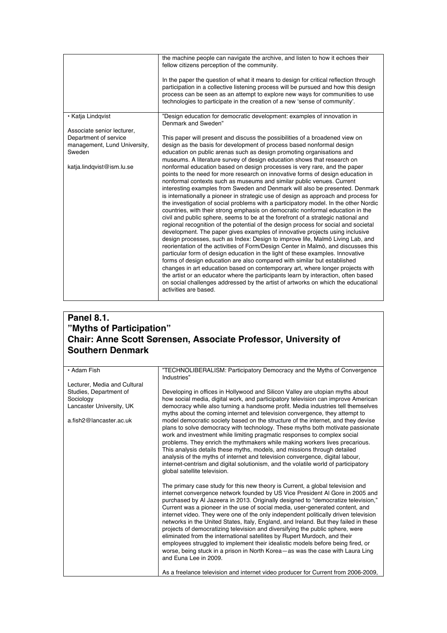|                                                                                                                            | the machine people can navigate the archive, and listen to how it echoes their<br>fellow citizens perception of the community.<br>In the paper the question of what it means to design for critical reflection through<br>participation in a collective listening process will be pursued and how this design<br>process can be seen as an attempt to explore new ways for communities to use<br>technologies to participate in the creation of a new 'sense of community'.                                                                                                                                                                                                                                                                                                                                                                                                                                                                                                                                                                                                                                                                                                                                                                                                                                                                                                                                                                                                                                                                                                                                                                                                                                                                                                                 |
|----------------------------------------------------------------------------------------------------------------------------|---------------------------------------------------------------------------------------------------------------------------------------------------------------------------------------------------------------------------------------------------------------------------------------------------------------------------------------------------------------------------------------------------------------------------------------------------------------------------------------------------------------------------------------------------------------------------------------------------------------------------------------------------------------------------------------------------------------------------------------------------------------------------------------------------------------------------------------------------------------------------------------------------------------------------------------------------------------------------------------------------------------------------------------------------------------------------------------------------------------------------------------------------------------------------------------------------------------------------------------------------------------------------------------------------------------------------------------------------------------------------------------------------------------------------------------------------------------------------------------------------------------------------------------------------------------------------------------------------------------------------------------------------------------------------------------------------------------------------------------------------------------------------------------------|
| • Katja Lindgvist                                                                                                          | "Design education for democratic development: examples of innovation in<br>Denmark and Sweden"                                                                                                                                                                                                                                                                                                                                                                                                                                                                                                                                                                                                                                                                                                                                                                                                                                                                                                                                                                                                                                                                                                                                                                                                                                                                                                                                                                                                                                                                                                                                                                                                                                                                                              |
| Associate senior lecturer,<br>Department of service<br>management, Lund University,<br>Sweden<br>katja.lindqvist@ism.lu.se | This paper will present and discuss the possibilities of a broadened view on<br>design as the basis for development of process based nonformal design<br>education on public arenas such as design promoting organisations and<br>museums. A literature survey of design education shows that research on<br>nonformal education based on design processes is very rare, and the paper<br>points to the need for more research on innovative forms of design education in<br>nonformal contexts such as museums and similar public venues. Current<br>interesting examples from Sweden and Denmark will also be presented. Denmark<br>is internationally a pioneer in strategic use of design as approach and process for<br>the investigation of social problems with a participatory model. In the other Nordic<br>countries, with their strong emphasis on democratic nonformal education in the<br>civil and public sphere, seems to be at the forefront of a strategic national and<br>regional recognition of the potential of the design process for social and societal<br>development. The paper gives examples of innovative projects using inclusive<br>design processes, such as Index: Design to improve life, Malmö Living Lab, and<br>reorientation of the activities of Form/Design Center in Malmö, and discusses this<br>particular form of design education in the light of these examples. Innovative<br>forms of design education are also compared with similar but established<br>changes in art education based on contemporary art, where longer projects with<br>the artist or an educator where the participants learn by interaction, often based<br>on social challenges addressed by the artist of artworks on which the educational<br>activities are based. |

# **Panel 8.1. "Myths of Participation" Chair: Anne Scott Sørensen, Associate Professor, University of Southern Denmark**

| • Adam Fish                  | "TECHNOLIBERALISM: Participatory Democracy and the Myths of Convergence                                                                                                                                                                                                                                                                                                                                                                                                                                                                                                                                                                                                                                                                                                                                                                                                         |
|------------------------------|---------------------------------------------------------------------------------------------------------------------------------------------------------------------------------------------------------------------------------------------------------------------------------------------------------------------------------------------------------------------------------------------------------------------------------------------------------------------------------------------------------------------------------------------------------------------------------------------------------------------------------------------------------------------------------------------------------------------------------------------------------------------------------------------------------------------------------------------------------------------------------|
|                              | Industries"                                                                                                                                                                                                                                                                                                                                                                                                                                                                                                                                                                                                                                                                                                                                                                                                                                                                     |
| Lecturer, Media and Cultural |                                                                                                                                                                                                                                                                                                                                                                                                                                                                                                                                                                                                                                                                                                                                                                                                                                                                                 |
| Studies, Department of       | Developing in offices in Hollywood and Silicon Valley are utopian myths about                                                                                                                                                                                                                                                                                                                                                                                                                                                                                                                                                                                                                                                                                                                                                                                                   |
| Sociology                    | how social media, digital work, and participatory television can improve American                                                                                                                                                                                                                                                                                                                                                                                                                                                                                                                                                                                                                                                                                                                                                                                               |
| Lancaster University, UK     | democracy while also turning a handsome profit. Media industries tell themselves                                                                                                                                                                                                                                                                                                                                                                                                                                                                                                                                                                                                                                                                                                                                                                                                |
|                              | myths about the coming internet and television convergence, they attempt to                                                                                                                                                                                                                                                                                                                                                                                                                                                                                                                                                                                                                                                                                                                                                                                                     |
| a.fish2@lancaster.ac.uk      | model democratic society based on the structure of the internet, and they devise<br>plans to solve democracy with technology. These myths both motivate passionate<br>work and investment while limiting pragmatic responses to complex social<br>problems. They enrich the mythmakers while making workers lives precarious.<br>This analysis details these myths, models, and missions through detailed<br>analysis of the myths of internet and television convergence, digital labour,<br>internet-centrism and digital solutionism, and the volatile world of participatory<br>global satellite television.                                                                                                                                                                                                                                                                |
|                              | The primary case study for this new theory is Current, a global television and<br>internet convergence network founded by US Vice President AI Gore in 2005 and<br>purchased by AI Jazeera in 2013. Originally designed to "democratize television,"<br>Current was a pioneer in the use of social media, user-generated content, and<br>internet video. They were one of the only independent politically driven television<br>networks in the United States, Italy, England, and Ireland. But they failed in these<br>projects of democratizing television and diversifying the public sphere, were<br>eliminated from the international satellites by Rupert Murdoch, and their<br>employees struggled to implement their idealistic models before being fired, or<br>worse, being stuck in a prison in North Korea-as was the case with Laura Ling<br>and Euna Lee in 2009. |
|                              | As a freelance television and internet video producer for Current from 2006-2009,                                                                                                                                                                                                                                                                                                                                                                                                                                                                                                                                                                                                                                                                                                                                                                                               |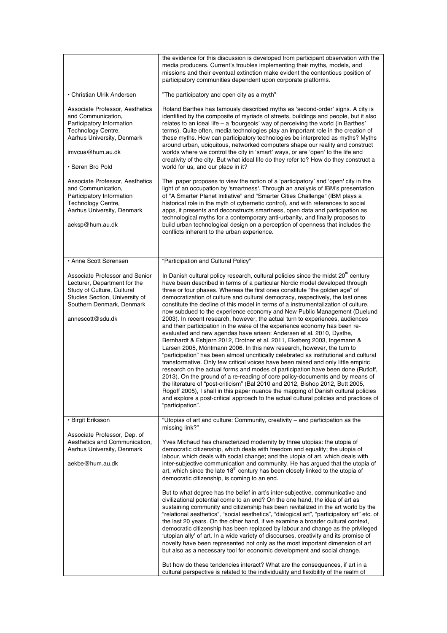|                                                                                                                                                                                 | the evidence for this discussion is developed from participant observation with the<br>media producers. Current's troubles implementing their myths, models, and<br>missions and their eventual extinction make evident the contentious position of<br>participatory communities dependent upon corporate platforms.                                                                                                                                                                                                                                                                                                                                                                                                                                                                                                                                                                                                                                                                                                                                                                                                                                                                                                                                                                                                                                                                                                                                                                                                                                 |
|---------------------------------------------------------------------------------------------------------------------------------------------------------------------------------|------------------------------------------------------------------------------------------------------------------------------------------------------------------------------------------------------------------------------------------------------------------------------------------------------------------------------------------------------------------------------------------------------------------------------------------------------------------------------------------------------------------------------------------------------------------------------------------------------------------------------------------------------------------------------------------------------------------------------------------------------------------------------------------------------------------------------------------------------------------------------------------------------------------------------------------------------------------------------------------------------------------------------------------------------------------------------------------------------------------------------------------------------------------------------------------------------------------------------------------------------------------------------------------------------------------------------------------------------------------------------------------------------------------------------------------------------------------------------------------------------------------------------------------------------|
| • Christian Ulrik Andersen                                                                                                                                                      | "The participatory and open city as a myth"                                                                                                                                                                                                                                                                                                                                                                                                                                                                                                                                                                                                                                                                                                                                                                                                                                                                                                                                                                                                                                                                                                                                                                                                                                                                                                                                                                                                                                                                                                          |
| Associate Professor, Aesthetics<br>and Communication,<br>Participatory Information<br>Technology Centre,<br>Aarhus University, Denmark<br>imvcua@hum.au.dk<br>· Søren Bro Pold  | Roland Barthes has famously described myths as 'second-order' signs. A city is<br>identified by the composite of myriads of streets, buildings and people, but it also<br>relates to an ideal life $-$ a 'bourgeois' way of perceiving the world (in Barthes'<br>terms). Quite often, media technologies play an important role in the creation of<br>these myths. How can participatory technologies be interpreted as myths? Myths<br>around urban, ubiquitous, networked computers shape our reality and construct<br>worlds where we control the city in 'smart' ways, or are 'open' to the life and<br>creativity of the city. But what ideal life do they refer to? How do they construct a<br>world for us, and our place in it?                                                                                                                                                                                                                                                                                                                                                                                                                                                                                                                                                                                                                                                                                                                                                                                                              |
| Associate Professor, Aesthetics<br>and Communication,<br>Participatory Information<br>Technology Centre,<br>Aarhus University, Denmark<br>aeksp@hum.au.dk                       | The paper proposes to view the notion of a 'participatory' and 'open' city in the<br>light of an occupation by 'smartness'. Through an analysis of IBM's presentation<br>of "A Smarter Planet Initiative" and "Smarter Cities Challenge" (IBM plays a<br>historical role in the myth of cybernetic control), and with references to social<br>apps, it presents and deconstructs smartness, open data and participation as<br>technological myths for a contemporary anti-urbanity, and finally proposes to<br>build urban technological design on a perception of openness that includes the<br>conflicts inherent to the urban experience.                                                                                                                                                                                                                                                                                                                                                                                                                                                                                                                                                                                                                                                                                                                                                                                                                                                                                                         |
| · Anne Scott Sørensen                                                                                                                                                           | "Participation and Cultural Policy"                                                                                                                                                                                                                                                                                                                                                                                                                                                                                                                                                                                                                                                                                                                                                                                                                                                                                                                                                                                                                                                                                                                                                                                                                                                                                                                                                                                                                                                                                                                  |
| Associate Professor and Senior<br>Lecturer, Department for the<br>Study of Culture, Cultural<br>Studies Section, University of<br>Southern Denmark, Denmark<br>annescott@sdu.dk | In Danish cultural policy research, cultural policies since the midst 20 <sup>th</sup> century<br>have been described in terms of a particular Nordic model developed through<br>three or four phases. Whereas the first ones constitute "the golden age" of<br>democratization of culture and cultural democracy, respectively, the last ones<br>constitute the decline of this model in terms of a instrumentalization of culture,<br>now subdued to the experience economy and New Public Management (Duelund<br>2003). In recent research, however, the actual turn to experiences, audiences<br>and their participation in the wake of the experience economy has been re-<br>evaluated and new agendas have arisen: Andersen et al. 2010, Dysthe,<br>Bernhardt & Esbjørn 2012, Drotner et al. 2011, Ekeberg 2003, Ingemann &<br>Larsen 2005, Möntmann 2006. In this new research, however, the turn to<br>"participation" has been almost uncritically celebrated as institutional and cultural<br>transformative. Only few critical voices have been raised and only little empiric<br>research on the actual forms and modes of participation have been done (Rutloff,<br>2013). On the ground of a re-reading of core policy-documents and by means of<br>the literature of "post-criticism" (Bal 2010 and 2012, Bishop 2012, Butt 2005,<br>Rogoff 2005), I shall in this paper nuance the mapping of Danish cultural policies<br>and explore a post-critical approach to the actual cultural policies and practices of<br>"participation". |
| · Birgit Eriksson<br>Associate Professor, Dep. of<br>Aesthetics and Communication,<br>Aarhus University, Denmark                                                                | "Utopias of art and culture: Community, creativity - and participation as the<br>missing link?"<br>Yves Michaud has characterized modernity by three utopias: the utopia of<br>democratic citizenship, which deals with freedom and equality; the utopia of<br>labour, which deals with social change; and the utopia of art, which deals with                                                                                                                                                                                                                                                                                                                                                                                                                                                                                                                                                                                                                                                                                                                                                                                                                                                                                                                                                                                                                                                                                                                                                                                                       |
| aekbe@hum.au.dk                                                                                                                                                                 | inter-subjective communication and community. He has argued that the utopia of<br>art, which since the late $18th$ century has been closely linked to the utopia of<br>democratic citizenship, is coming to an end.<br>But to what degree has the belief in art's inter-subjective, communicative and<br>civilizational potential come to an end? On the one hand, the idea of art as<br>sustaining community and citizenship has been revitalized in the art world by the<br>"relational aesthetics", "social aesthetics", "dialogical art", "participatory art" etc. of<br>the last 20 years. On the other hand, if we examine a broader cultural context,<br>democratic citizenship has been replaced by labour and change as the privileged<br>'utopian ally' of art. In a wide variety of discourses, creativity and its promise of<br>novelty have been represented not only as the most important dimension of art<br>but also as a necessary tool for economic development and social change.                                                                                                                                                                                                                                                                                                                                                                                                                                                                                                                                                |
|                                                                                                                                                                                 | But how do these tendencies interact? What are the consequences, if art in a<br>cultural perspective is related to the individuality and flexibility of the realm of                                                                                                                                                                                                                                                                                                                                                                                                                                                                                                                                                                                                                                                                                                                                                                                                                                                                                                                                                                                                                                                                                                                                                                                                                                                                                                                                                                                 |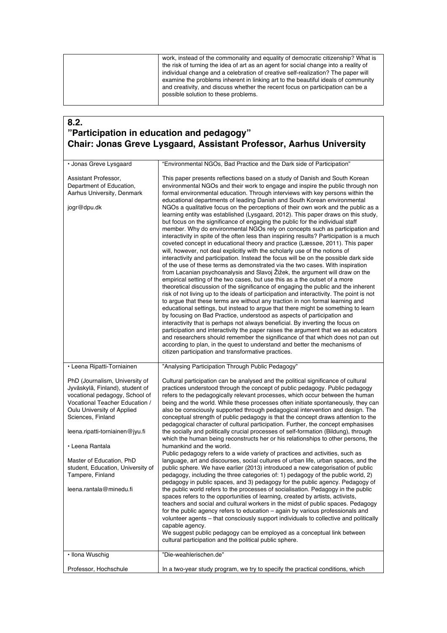work, instead of the commonality and equality of democratic citizenship? What is the risk of turning the idea of art as an agent for social change into a reality of individual change and a celebration of creative self-realization? The paper will examine the problems inherent in linking art to the beautiful ideals of community and creativity, and discuss whether the recent focus on participation can be a possible solution to these problems.

### **8.2. "Participation in education and pedagogy" Chair: Jonas Greve Lysgaard, Assistant Professor, Aarhus University**

| • Jonas Greve Lysgaard                                                                                                                                                                                                                                                                                                                                         | "Environmental NGOs, Bad Practice and the Dark side of Participation"                                                                                                                                                                                                                                                                                                                                                                                                                                                                                                                                                                                                                                                                                                                                                                                                                                                                                                                                                                                                                                                                                                                                                                                                                                                                                                                                                                                                                                                                                                                                                                                                                                                                                                                                                                                                                                                                                                                                                                                                                                        |
|----------------------------------------------------------------------------------------------------------------------------------------------------------------------------------------------------------------------------------------------------------------------------------------------------------------------------------------------------------------|--------------------------------------------------------------------------------------------------------------------------------------------------------------------------------------------------------------------------------------------------------------------------------------------------------------------------------------------------------------------------------------------------------------------------------------------------------------------------------------------------------------------------------------------------------------------------------------------------------------------------------------------------------------------------------------------------------------------------------------------------------------------------------------------------------------------------------------------------------------------------------------------------------------------------------------------------------------------------------------------------------------------------------------------------------------------------------------------------------------------------------------------------------------------------------------------------------------------------------------------------------------------------------------------------------------------------------------------------------------------------------------------------------------------------------------------------------------------------------------------------------------------------------------------------------------------------------------------------------------------------------------------------------------------------------------------------------------------------------------------------------------------------------------------------------------------------------------------------------------------------------------------------------------------------------------------------------------------------------------------------------------------------------------------------------------------------------------------------------------|
| Assistant Professor,<br>Department of Education,<br>Aarhus University, Denmark<br>jogr@dpu.dk                                                                                                                                                                                                                                                                  | This paper presents reflections based on a study of Danish and South Korean<br>environmental NGOs and their work to engage and inspire the public through non<br>formal environmental education. Through interviews with key persons within the<br>educational departments of leading Danish and South Korean environmental<br>NGOs a qualitative focus on the perceptions of their own work and the public as a<br>learning entity was established (Lysgaard, 2012). This paper draws on this study,<br>but focus on the significance of engaging the public for the individual staff<br>member. Why do environmental NGOs rely on concepts such as participation and<br>interactivity in spite of the often less than inspiring results? Participation is a much<br>coveted concept in educational theory and practice (Læssøe, 2011). This paper<br>will, however, not deal explicitly with the scholarly use of the notions of<br>interactivity and participation. Instead the focus will be on the possible dark side<br>of the use of these terms as demonstrated via the two cases. With inspiration<br>from Lacanian psychoanalysis and Slavoj Žižek, the argument will draw on the<br>empirical setting of the two cases, but use this as a the outset of a more<br>theoretical discussion of the significance of engaging the public and the inherent<br>risk of not living up to the ideals of participation and interactivity. The point is not<br>to argue that these terms are without any traction in non formal learning and<br>educational settings, but instead to argue that there might be something to learn<br>by focusing on Bad Practice, understood as aspects of participation and<br>interactivity that is perhaps not always beneficial. By inverting the focus on<br>participation and interactivity the paper raises the argument that we as educators<br>and researchers should remember the significance of that which does not pan out<br>according to plan, in the quest to understand and better the mechanisms of<br>citizen participation and transformative practices. |
| • Leena Ripatti-Torniainen                                                                                                                                                                                                                                                                                                                                     | "Analysing Participation Through Public Pedagogy"                                                                                                                                                                                                                                                                                                                                                                                                                                                                                                                                                                                                                                                                                                                                                                                                                                                                                                                                                                                                                                                                                                                                                                                                                                                                                                                                                                                                                                                                                                                                                                                                                                                                                                                                                                                                                                                                                                                                                                                                                                                            |
| PhD (Journalism, University of<br>Jyväskylä, Finland), student of<br>vocational pedagogy, School of<br>Vocational Teacher Education /<br>Oulu University of Applied<br>Sciences, Finland<br>leena.ripatti-torniainen@jyu.fi<br>• Leena Rantala<br>Master of Education, PhD<br>student, Education, University of<br>Tampere, Finland<br>leena.rantala@minedu.fi | Cultural participation can be analysed and the political significance of cultural<br>practices understood through the concept of public pedagogy. Public pedagogy<br>refers to the pedagogically relevant processes, which occur between the human<br>being and the world. While these processes often initiate spontaneously, they can<br>also be consciously supported through pedagogical intervention and design. The<br>conceptual strength of public pedagogy is that the concept draws attention to the<br>pedagogical character of cultural participation. Further, the concept emphasises<br>the socially and politically crucial processes of self-formation (Bildung), through<br>which the human being reconstructs her or his relationships to other persons, the<br>humankind and the world.<br>Public pedagogy refers to a wide variety of practices and activities, such as<br>language, art and discourses, social cultures of urban life, urban spaces, and the<br>public sphere. We have earlier (2013) introduced a new categorisation of public<br>pedagogy, including the three categories of: 1) pedagogy of the public world, 2)<br>pedagogy in public spaces, and 3) pedagogy for the public agency. Pedagogy of<br>the public world refers to the processes of socialisation. Pedagogy in the public<br>spaces refers to the opportunities of learning, created by artists, activists,<br>teachers and social and cultural workers in the midst of public spaces. Pedagogy<br>for the public agency refers to education – again by various professionals and<br>volunteer agents – that consciously support individuals to collective and politically<br>capable agency.<br>We suggest public pedagogy can be employed as a conceptual link between<br>cultural participation and the political public sphere.                                                                                                                                                                                                                                                                     |
| · Ilona Wuschig                                                                                                                                                                                                                                                                                                                                                | "Die-weahlerischen.de"                                                                                                                                                                                                                                                                                                                                                                                                                                                                                                                                                                                                                                                                                                                                                                                                                                                                                                                                                                                                                                                                                                                                                                                                                                                                                                                                                                                                                                                                                                                                                                                                                                                                                                                                                                                                                                                                                                                                                                                                                                                                                       |
| Professor, Hochschule                                                                                                                                                                                                                                                                                                                                          | In a two-year study program, we try to specify the practical conditions, which                                                                                                                                                                                                                                                                                                                                                                                                                                                                                                                                                                                                                                                                                                                                                                                                                                                                                                                                                                                                                                                                                                                                                                                                                                                                                                                                                                                                                                                                                                                                                                                                                                                                                                                                                                                                                                                                                                                                                                                                                               |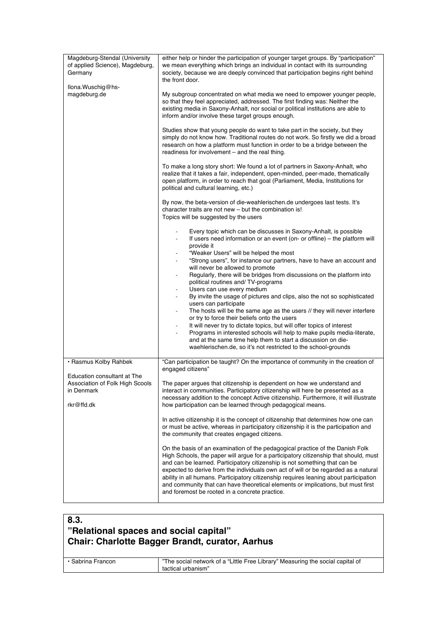| either help or hinder the participation of younger target groups. By "participation"<br>we mean everything which brings an individual in contact with its surrounding<br>society, because we are deeply convinced that participation begins right behind<br>the front door.<br>My subgroup concentrated on what media we need to empower younger people,<br>so that they feel appreciated, addressed. The first finding was: Neither the<br>existing media in Saxony-Anhalt, nor social or political institutions are able to<br>inform and/or involve these target groups enough.<br>Studies show that young people do want to take part in the society, but they<br>simply do not know how. Traditional routes do not work. So firstly we did a broad<br>research on how a platform must function in order to be a bridge between the<br>readiness for involvement - and the real thing. |
|--------------------------------------------------------------------------------------------------------------------------------------------------------------------------------------------------------------------------------------------------------------------------------------------------------------------------------------------------------------------------------------------------------------------------------------------------------------------------------------------------------------------------------------------------------------------------------------------------------------------------------------------------------------------------------------------------------------------------------------------------------------------------------------------------------------------------------------------------------------------------------------------|
|                                                                                                                                                                                                                                                                                                                                                                                                                                                                                                                                                                                                                                                                                                                                                                                                                                                                                            |
|                                                                                                                                                                                                                                                                                                                                                                                                                                                                                                                                                                                                                                                                                                                                                                                                                                                                                            |
|                                                                                                                                                                                                                                                                                                                                                                                                                                                                                                                                                                                                                                                                                                                                                                                                                                                                                            |
|                                                                                                                                                                                                                                                                                                                                                                                                                                                                                                                                                                                                                                                                                                                                                                                                                                                                                            |
| To make a long story short: We found a lot of partners in Saxony-Anhalt, who<br>realize that it takes a fair, independent, open-minded, peer-made, thematically<br>open platform, in order to reach that goal (Parliament, Media, Institutions for<br>political and cultural learning, etc.)                                                                                                                                                                                                                                                                                                                                                                                                                                                                                                                                                                                               |
| By now, the beta-version of die-weahlerischen.de undergoes last tests. It's<br>character traits are not new - but the combination is!<br>Topics will be suggested by the users                                                                                                                                                                                                                                                                                                                                                                                                                                                                                                                                                                                                                                                                                                             |
| Every topic which can be discusses in Saxony-Anhalt, is possible<br>If users need information or an event (on- or offline) – the platform will<br>$\overline{\phantom{a}}$<br>provide it                                                                                                                                                                                                                                                                                                                                                                                                                                                                                                                                                                                                                                                                                                   |
| "Weaker Users" will be helped the most<br>"Strong users", for instance our partners, have to have an account and<br>will never be allowed to promote<br>Regularly, there will be bridges from discussions on the platform into<br>$\overline{\phantom{a}}$                                                                                                                                                                                                                                                                                                                                                                                                                                                                                                                                                                                                                                 |
| political routines and/TV-programs<br>Users can use every medium                                                                                                                                                                                                                                                                                                                                                                                                                                                                                                                                                                                                                                                                                                                                                                                                                           |
| By invite the usage of pictures and clips, also the not so sophisticated<br>users can participate<br>The hosts will be the same age as the users // they will never interfere<br>$\overline{\phantom{a}}$                                                                                                                                                                                                                                                                                                                                                                                                                                                                                                                                                                                                                                                                                  |
| or try to force their beliefs onto the users<br>It will never try to dictate topics, but will offer topics of interest                                                                                                                                                                                                                                                                                                                                                                                                                                                                                                                                                                                                                                                                                                                                                                     |
| Programs in interested schools will help to make pupils media-literate,<br>and at the same time help them to start a discussion on die-<br>waehlerischen.de, so it's not restricted to the school-grounds                                                                                                                                                                                                                                                                                                                                                                                                                                                                                                                                                                                                                                                                                  |
| "Can participation be taught? On the importance of community in the creation of<br>engaged citizens"                                                                                                                                                                                                                                                                                                                                                                                                                                                                                                                                                                                                                                                                                                                                                                                       |
| The paper argues that citizenship is dependent on how we understand and<br>interact in communities. Participatory citizenship will here be presented as a                                                                                                                                                                                                                                                                                                                                                                                                                                                                                                                                                                                                                                                                                                                                  |
| necessary addition to the concept Active citizenship. Furthermore, it will illustrate<br>how participation can be learned through pedagogical means.                                                                                                                                                                                                                                                                                                                                                                                                                                                                                                                                                                                                                                                                                                                                       |
| In active citizenship it is the concept of citizenship that determines how one can<br>or must be active, whereas in participatory citizenship it is the participation and<br>the community that creates engaged citizens.                                                                                                                                                                                                                                                                                                                                                                                                                                                                                                                                                                                                                                                                  |
| On the basis of an examination of the pedagogical practice of the Danish Folk<br>High Schools, the paper will argue for a participatory citizenship that should, must<br>and can be learned. Participatory citizenship is not something that can be<br>expected to derive from the individuals own act of will or be regarded as a natural<br>ability in all humans. Participatory citizenship requires leaning about participation<br>and community that can have theoretical elements or implications, but must first<br>and foremost be rooted in a concrete practice.                                                                                                                                                                                                                                                                                                                  |
|                                                                                                                                                                                                                                                                                                                                                                                                                                                                                                                                                                                                                                                                                                                                                                                                                                                                                            |

# **8.3. "Relational spaces and social capital" Chair: Charlotte Bagger Brandt, curator, Aarhus**

| • Sabrina Francon | The social network of a "Little Free Library" Measuring the social capital of |
|-------------------|-------------------------------------------------------------------------------|
|                   | tactical urbanism"                                                            |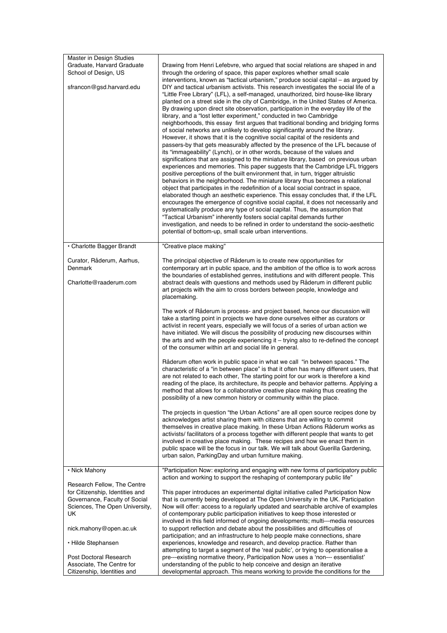| <b>Master in Design Studies</b><br>Graduate, Harvard Graduate<br>School of Design, US<br>sfrancon@gsd.harvard.edu                       | Drawing from Henri Lefebvre, who argued that social relations are shaped in and<br>through the ordering of space, this paper explores whether small scale<br>interventions, known as "tactical urbanism," produce social capital - as argued by<br>DIY and tactical urbanism activists. This research investigates the social life of a<br>"Little Free Library" (LFL), a self-managed, unauthorized, bird house-like library<br>planted on a street side in the city of Cambridge, in the United States of America.<br>By drawing upon direct site observation, participation in the everyday life of the<br>library, and a "lost letter experiment," conducted in two Cambridge<br>neighborhoods, this essay first argues that traditional bonding and bridging forms<br>of social networks are unlikely to develop significantly around the library.<br>However, it shows that it is the cognitive social capital of the residents and<br>passers-by that gets measurably affected by the presence of the LFL because of<br>its "immageability" (Lynch), or in other words, because of the values and<br>significations that are assigned to the miniature library, based on previous urban<br>experiences and memories. This paper suggests that the Cambridge LFL triggers<br>positive perceptions of the built environment that, in turn, trigger altruistic<br>behaviors in the neighborhood. The miniature library thus becomes a relational<br>object that participates in the redefinition of a local social contract in space,<br>elaborated though an aesthetic experience. This essay concludes that, if the LFL<br>encourages the emergence of cognitive social capital, it does not necessarily and<br>systematically produce any type of social capital. Thus, the assumption that<br>"Tactical Urbanism" inherently fosters social capital demands further<br>investigation, and needs to be refined in order to understand the socio-aesthetic<br>potential of bottom-up, small scale urban interventions. |
|-----------------------------------------------------------------------------------------------------------------------------------------|------------------------------------------------------------------------------------------------------------------------------------------------------------------------------------------------------------------------------------------------------------------------------------------------------------------------------------------------------------------------------------------------------------------------------------------------------------------------------------------------------------------------------------------------------------------------------------------------------------------------------------------------------------------------------------------------------------------------------------------------------------------------------------------------------------------------------------------------------------------------------------------------------------------------------------------------------------------------------------------------------------------------------------------------------------------------------------------------------------------------------------------------------------------------------------------------------------------------------------------------------------------------------------------------------------------------------------------------------------------------------------------------------------------------------------------------------------------------------------------------------------------------------------------------------------------------------------------------------------------------------------------------------------------------------------------------------------------------------------------------------------------------------------------------------------------------------------------------------------------------------------------------------------------------------------------------------------------------------------------------------------------------------|
| • Charlotte Bagger Brandt                                                                                                               | "Creative place making"                                                                                                                                                                                                                                                                                                                                                                                                                                                                                                                                                                                                                                                                                                                                                                                                                                                                                                                                                                                                                                                                                                                                                                                                                                                                                                                                                                                                                                                                                                                                                                                                                                                                                                                                                                                                                                                                                                                                                                                                      |
| Curator, Råderum, Aarhus,<br>Denmark<br>Charlotte@raaderum.com                                                                          | The principal objective of Råderum is to create new opportunities for<br>contemporary art in public space, and the ambition of the office is to work across<br>the boundaries of established genres, institutions and with different people. This<br>abstract deals with questions and methods used by Råderum in different public<br>art projects with the aim to cross borders between people, knowledge and<br>placemaking.                                                                                                                                                                                                                                                                                                                                                                                                                                                                                                                                                                                                                                                                                                                                                                                                                                                                                                                                                                                                                                                                                                                                                                                                                                                                                                                                                                                                                                                                                                                                                                                               |
|                                                                                                                                         | The work of Råderum is process- and project based, hence our discussion will<br>take a starting point in projects we have done ourselves either as curators or<br>activist in recent years, especially we will focus of a series of urban action we<br>have initiated. We will discus the possibility of producing new discourses within<br>the arts and with the people experiencing it – trying also to re-defined the concept<br>of the consumer within art and social life in general.                                                                                                                                                                                                                                                                                                                                                                                                                                                                                                                                                                                                                                                                                                                                                                                                                                                                                                                                                                                                                                                                                                                                                                                                                                                                                                                                                                                                                                                                                                                                   |
|                                                                                                                                         | Råderum often work in public space in what we call "in between spaces." The<br>characteristic of a "in between place" is that it often has many different users, that<br>are not related to each other, The starting point for our work is therefore a kind<br>reading of the place, its architecture, its people and behavior patterns. Applying a<br>method that allows for a collaborative creative place making thus creating the<br>possibility of a new common history or community within the place.                                                                                                                                                                                                                                                                                                                                                                                                                                                                                                                                                                                                                                                                                                                                                                                                                                                                                                                                                                                                                                                                                                                                                                                                                                                                                                                                                                                                                                                                                                                  |
|                                                                                                                                         | The projects in question "the Urban Actions" are all open source recipes done by<br>acknowledges artist sharing them with citizens that are willing to commit<br>themselves in creative place making. In these Urban Actions Råderum works as<br>activists/ facilitators of a process together with different people that wants to get<br>involved in creative place making. These recipes and how we enact them in<br>public space will be the focus in our talk. We will talk about Guerilla Gardening,<br>urban salon, ParkingDay and urban furniture making.                                                                                                                                                                                                                                                                                                                                                                                                                                                                                                                                                                                                                                                                                                                                                                                                                                                                                                                                                                                                                                                                                                                                                                                                                                                                                                                                                                                                                                                             |
| • Nick Mahony                                                                                                                           | "Participation Now: exploring and engaging with new forms of participatory public<br>action and working to support the reshaping of contemporary public life"                                                                                                                                                                                                                                                                                                                                                                                                                                                                                                                                                                                                                                                                                                                                                                                                                                                                                                                                                                                                                                                                                                                                                                                                                                                                                                                                                                                                                                                                                                                                                                                                                                                                                                                                                                                                                                                                |
| Research Fellow, The Centre<br>for Citizenship, Identities and<br>Governance, Faculty of Social<br>Sciences, The Open University,<br>UK | This paper introduces an experimental digital initiative called Participation Now<br>that is currently being developed at The Open University in the UK. Participation<br>Now will offer: access to a regularly updated and searchable archive of examples<br>of contemporary public participation initiatives to keep those interested or<br>involved in this field informed of ongoing developments; multi---media resources                                                                                                                                                                                                                                                                                                                                                                                                                                                                                                                                                                                                                                                                                                                                                                                                                                                                                                                                                                                                                                                                                                                                                                                                                                                                                                                                                                                                                                                                                                                                                                                               |
| nick.mahony@open.ac.uk                                                                                                                  | to support reflection and debate about the possibilities and difficulties of                                                                                                                                                                                                                                                                                                                                                                                                                                                                                                                                                                                                                                                                                                                                                                                                                                                                                                                                                                                                                                                                                                                                                                                                                                                                                                                                                                                                                                                                                                                                                                                                                                                                                                                                                                                                                                                                                                                                                 |
| • Hilde Stephansen                                                                                                                      | participation; and an infrastructure to help people make connections, share<br>experiences, knowledge and research, and develop practice. Rather than<br>attempting to target a segment of the 'real public', or trying to operationalise a                                                                                                                                                                                                                                                                                                                                                                                                                                                                                                                                                                                                                                                                                                                                                                                                                                                                                                                                                                                                                                                                                                                                                                                                                                                                                                                                                                                                                                                                                                                                                                                                                                                                                                                                                                                  |
| Post Doctoral Research<br>Associate, The Centre for                                                                                     | pre---existing normative theory, Participation Now uses a 'non--- essentialist'<br>understanding of the public to help conceive and design an iterative                                                                                                                                                                                                                                                                                                                                                                                                                                                                                                                                                                                                                                                                                                                                                                                                                                                                                                                                                                                                                                                                                                                                                                                                                                                                                                                                                                                                                                                                                                                                                                                                                                                                                                                                                                                                                                                                      |
| Citizenship, Identities and                                                                                                             | developmental approach. This means working to provide the conditions for the                                                                                                                                                                                                                                                                                                                                                                                                                                                                                                                                                                                                                                                                                                                                                                                                                                                                                                                                                                                                                                                                                                                                                                                                                                                                                                                                                                                                                                                                                                                                                                                                                                                                                                                                                                                                                                                                                                                                                 |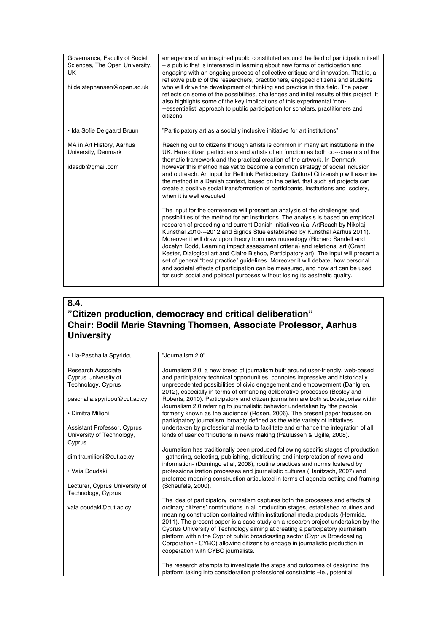| Governance, Faculty of Social<br>Sciences, The Open University,<br>UK<br>hilde.stephansen@open.ac.uk | emergence of an imagined public constituted around the field of participation itself<br>- a public that is interested in learning about new forms of participation and<br>engaging with an ongoing process of collective critique and innovation. That is, a<br>reflexive public of the researchers, practitioners, engaged citizens and students<br>who will drive the development of thinking and practice in this field. The paper<br>reflects on some of the possibilities, challenges and initial results of this project. It<br>also highlights some of the key implications of this experimental 'non-<br>--essentialist' approach to public participation for scholars, practitioners and<br>citizens.                                                                                                                                    |
|------------------------------------------------------------------------------------------------------|---------------------------------------------------------------------------------------------------------------------------------------------------------------------------------------------------------------------------------------------------------------------------------------------------------------------------------------------------------------------------------------------------------------------------------------------------------------------------------------------------------------------------------------------------------------------------------------------------------------------------------------------------------------------------------------------------------------------------------------------------------------------------------------------------------------------------------------------------|
| • Ida Sofie Deigaard Bruun                                                                           | "Participatory art as a socially inclusive initiative for art institutions"                                                                                                                                                                                                                                                                                                                                                                                                                                                                                                                                                                                                                                                                                                                                                                       |
| MA in Art History, Aarhus<br>University, Denmark<br>idasdb@gmail.com                                 | Reaching out to citizens through artists is common in many art institutions in the<br>UK. Here citizen participants and artists often function as both co---creators of the<br>thematic framework and the practical creation of the artwork. In Denmark<br>however this method has yet to become a common strategy of social inclusion<br>and outreach. An input for Rethink Participatory Cultural Citizenship will examine<br>the method in a Danish context, based on the belief, that such art projects can<br>create a positive social transformation of participants, institutions and society,<br>when it is well executed.                                                                                                                                                                                                                |
|                                                                                                      | The input for the conference will present an analysis of the challenges and<br>possibilities of the method for art institutions. The analysis is based on empirical<br>research of preceding and current Danish initiatives (i.a. ArtReach by Nikolaj<br>Kunsthal 2010---2012 and Sigrids Stue established by Kunsthal Aarhus 2011).<br>Moreover it will draw upon theory from new museology (Richard Sandell and<br>Jocelyn Dodd, Learning impact assessment criteria) and relational art (Grant<br>Kester, Dialogical art and Claire Bishop, Participatory art). The input will present a<br>set of general "best practice" guidelines. Moreover it will debate, how personal<br>and societal effects of participation can be measured, and how art can be used<br>for such social and political purposes without losing its aesthetic quality. |

# **8.4. "Citizen production, democracy and critical deliberation" Chair: Bodil Marie Stavning Thomsen, Associate Professor, Aarhus University**

| · Lia-Paschalia Spyridou           | "Journalism 2.0"                                                                    |
|------------------------------------|-------------------------------------------------------------------------------------|
|                                    |                                                                                     |
| Research Associate                 | Journalism 2.0, a new breed of journalism built around user-friendly, web-based     |
| Cyprus University of               | and participatory technical opportunities, connotes impressive and historically     |
| Technology, Cyprus                 | unprecedented possibilities of civic engagement and empowerment (Dahlgren,          |
|                                    | 2012), especially in terms of enhancing deliberative processes (Besley and          |
| paschalia.spyridou@cut.ac.cy       | Roberts, 2010). Participatory and citizen journalism are both subcategories within  |
|                                    | Journalism 2.0 referring to journalistic behavior undertaken by 'the people         |
| • Dimitra Milioni                  | formerly known as the audience' (Rosen, 2006). The present paper focuses on         |
|                                    | participatory journalism, broadly defined as the wide variety of initiatives        |
| <b>Assistant Professor, Cyprus</b> | undertaken by professional media to facilitate and enhance the integration of all   |
|                                    |                                                                                     |
| University of Technology,          | kinds of user contributions in news making (Paulussen & Ugille, 2008).              |
| Cyprus                             |                                                                                     |
|                                    | Journalism has traditionally been produced following specific stages of production  |
| dimitra.milioni@cut.ac.cy          | - gathering, selecting, publishing, distributing and interpretation of news and     |
|                                    | information- (Domingo et al, 2008), routine practices and norms fostered by         |
| · Vaia Doudaki                     | professionalization processes and journalistic cultures (Hanitzsch, 2007) and       |
|                                    | preferred meaning construction articulated in terms of agenda-setting and framing   |
| Lecturer, Cyprus University of     | (Scheufele, 2000).                                                                  |
| Technology, Cyprus                 |                                                                                     |
|                                    | The idea of participatory journalism captures both the processes and effects of     |
| vaia.doudaki@cut.ac.cy             | ordinary citizens' contributions in all production stages, established routines and |
|                                    | meaning construction contained within institutional media products (Hermida,        |
|                                    | 2011). The present paper is a case study on a research project undertaken by the    |
|                                    | Cyprus University of Technology aiming at creating a participatory journalism       |
|                                    | platform within the Cypriot public broadcasting sector (Cyprus Broadcasting         |
|                                    | Corporation - CYBC) allowing citizens to engage in journalistic production in       |
|                                    | cooperation with CYBC journalists.                                                  |
|                                    |                                                                                     |
|                                    | The research attempts to investigate the steps and outcomes of designing the        |
|                                    | platform taking into consideration professional constraints -ie., potential         |
|                                    |                                                                                     |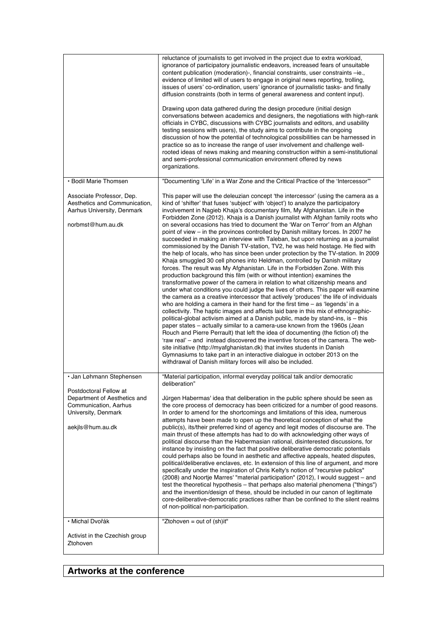|                                                                                                                            | reluctance of journalists to get involved in the project due to extra workload,<br>ignorance of participatory journalistic endeavors, increased fears of unsuitable<br>content publication (moderation)-, financial constraints, user constraints -ie.,<br>evidence of limited will of users to engage in original news reporting, trolling,<br>issues of users' co-ordination, users' ignorance of journalistic tasks- and finally<br>diffusion constraints (both in terms of general awareness and content input).<br>Drawing upon data gathered during the design procedure (initial design<br>conversations between academics and designers, the negotiations with high-rank<br>officials in CYBC, discussions with CYBC journalists and editors, and usability<br>testing sessions with users), the study aims to contribute in the ongoing<br>discussion of how the potential of technological possibilities can be harnessed in<br>practice so as to increase the range of user involvement and challenge well-<br>rooted ideas of news making and meaning construction within a semi-institutional<br>and semi-professional communication environment offered by news<br>organizations.                                                                                                                                                                                                                                                                                                                                                                                                                                                                                                                                                                                                                                                                                                                                                                                                                                    |
|----------------------------------------------------------------------------------------------------------------------------|------------------------------------------------------------------------------------------------------------------------------------------------------------------------------------------------------------------------------------------------------------------------------------------------------------------------------------------------------------------------------------------------------------------------------------------------------------------------------------------------------------------------------------------------------------------------------------------------------------------------------------------------------------------------------------------------------------------------------------------------------------------------------------------------------------------------------------------------------------------------------------------------------------------------------------------------------------------------------------------------------------------------------------------------------------------------------------------------------------------------------------------------------------------------------------------------------------------------------------------------------------------------------------------------------------------------------------------------------------------------------------------------------------------------------------------------------------------------------------------------------------------------------------------------------------------------------------------------------------------------------------------------------------------------------------------------------------------------------------------------------------------------------------------------------------------------------------------------------------------------------------------------------------------------------------------------------------------------------------------------------------------------------------|
| · Bodil Marie Thomsen                                                                                                      | "Documenting 'Life' in a War Zone and the Critical Practice of the 'Intercessor""                                                                                                                                                                                                                                                                                                                                                                                                                                                                                                                                                                                                                                                                                                                                                                                                                                                                                                                                                                                                                                                                                                                                                                                                                                                                                                                                                                                                                                                                                                                                                                                                                                                                                                                                                                                                                                                                                                                                                  |
| Associate Professor, Dep.<br>Aesthetics and Communication.<br>Aarhus University, Denmark<br>norbmst@hum.au.dk              | This paper will use the deleuzian concept 'the intercessor' (using the camera as a<br>kind of 'shifter' that fuses 'subject' with 'object') to analyze the participatory<br>involvement in Nagieb Khaja's documentary film, My Afghanistan. Life in the<br>Forbidden Zone (2012). Khaja is a Danish journalist with Afghan family roots who<br>on several occasions has tried to document the 'War on Terror' from an Afghan<br>point of view – in the provinces controlled by Danish military forces. In 2007 he<br>succeeded in making an interview with Taleban, but upon returning as a journalist<br>commissioned by the Danish TV-station, TV2, he was held hostage. He fled with<br>the help of locals, who has since been under protection by the TV-station. In 2009<br>Khaja smuggled 30 cell phones into Heldman, controlled by Danish military<br>forces. The result was My Afghanistan. Life in the Forbidden Zone. With this<br>production background this film (with or without intention) examines the<br>transformative power of the camera in relation to what citizenship means and<br>under what conditions you could judge the lives of others. This paper will examine<br>the camera as a creative intercessor that actively 'produces' the life of individuals<br>who are holding a camera in their hand for the first time $-$ as 'legends' in a<br>collectivity. The haptic images and affects laid bare in this mix of ethnographic-<br>political-global activism aimed at a Danish public, made by stand-ins, is – this<br>paper states – actually similar to a camera-use known from the 1960s (Jean<br>Rouch and Pierre Perrault) that left the idea of documenting (the fiction of) the<br>'raw real' – and instead discovered the inventive forces of the camera. The web-<br>site initiative (http://myafghanistan.dk) that invites students in Danish<br>Gymnasiums to take part in an interactive dialogue in october 2013 on the<br>withdrawal of Danish military forces will also be included. |
| · Jan Løhmann Stephensen                                                                                                   | "Material participation, informal everyday political talk and/or democratic                                                                                                                                                                                                                                                                                                                                                                                                                                                                                                                                                                                                                                                                                                                                                                                                                                                                                                                                                                                                                                                                                                                                                                                                                                                                                                                                                                                                                                                                                                                                                                                                                                                                                                                                                                                                                                                                                                                                                        |
| Postdoctoral Fellow at<br>Department of Aesthetics and<br>Communication, Aarhus<br>University, Denmark<br>aekjls@hum.au.dk | deliberation"<br>Jürgen Habermas' idea that deliberation in the public sphere should be seen as<br>the core process of democracy has been criticized for a number of good reasons.<br>In order to amend for the shortcomings and limitations of this idea, numerous<br>attempts have been made to open up the theoretical conception of what the<br>public(s), its/their preferred kind of agency and legit modes of discourse are. The<br>main thrust of these attempts has had to do with acknowledging other ways of<br>political discourse than the Habermasian rational, disinterested discussions, for<br>instance by insisting on the fact that positive deliberative democratic potentials<br>could perhaps also be found in aesthetic and affective appeals, heated disputes,<br>political/deliberative enclaves, etc. In extension of this line of argument, and more<br>specifically under the inspiration of Chris Kelty's notion of "recursive publics"<br>(2008) and Noortje Marres' "material participation" (2012), I would suggest - and<br>test the theoretical hypothesis – that perhaps also material phenomena ("things")<br>and the invention/design of these, should be included in our canon of legitimate<br>core-deliberative-democratic practices rather than be confined to the silent realms<br>of non-political non-participation.                                                                                                                                                                                                                                                                                                                                                                                                                                                                                                                                                                                                                                                                   |
| · Michal Dvořák                                                                                                            | "Ztohoven = out of (sh)it"                                                                                                                                                                                                                                                                                                                                                                                                                                                                                                                                                                                                                                                                                                                                                                                                                                                                                                                                                                                                                                                                                                                                                                                                                                                                                                                                                                                                                                                                                                                                                                                                                                                                                                                                                                                                                                                                                                                                                                                                         |
| Activist in the Czechish group<br>Ztohoven                                                                                 |                                                                                                                                                                                                                                                                                                                                                                                                                                                                                                                                                                                                                                                                                                                                                                                                                                                                                                                                                                                                                                                                                                                                                                                                                                                                                                                                                                                                                                                                                                                                                                                                                                                                                                                                                                                                                                                                                                                                                                                                                                    |

# **Artworks at the conference**